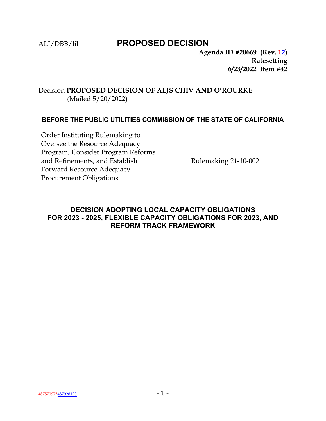# ALJ/DBB/lil **PROPOSED DECISION**

**Agenda ID #20669 (Rev. 12) Ratesetting 6/23/2022 Item #42**

# Decision **PROPOSED DECISION OF ALJS CHIV AND O'ROURKE** (Mailed 5/20/2022)

## **BEFORE THE PUBLIC UTILITIES COMMISSION OF THE STATE OF CALIFORNIA**

Order Instituting Rulemaking to Oversee the Resource Adequacy Program, Consider Program Reforms and Refinements, and Establish Forward Resource Adequacy Procurement Obligations.

Rulemaking 21-10-002

# **DECISION ADOPTING LOCAL CAPACITY OBLIGATIONS FOR 2023 - 2025, FLEXIBLE CAPACITY OBLIGATIONS FOR 2023, AND REFORM TRACK FRAMEWORK**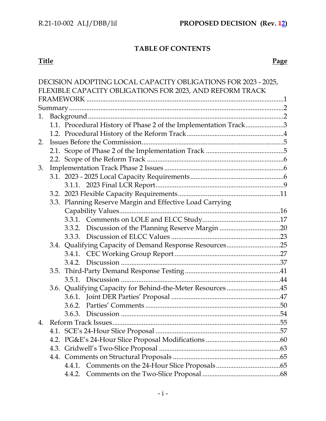# **TABLE OF CONTENTS**

#### **Title Page**

|    |  |  | DECISION ADOPTING LOCAL CAPACITY OBLIGATIONS FOR 2023 - 2025,   |  |  |  |  |
|----|--|--|-----------------------------------------------------------------|--|--|--|--|
|    |  |  | FLEXIBLE CAPACITY OBLIGATIONS FOR 2023, AND REFORM TRACK        |  |  |  |  |
|    |  |  |                                                                 |  |  |  |  |
|    |  |  |                                                                 |  |  |  |  |
| 1. |  |  |                                                                 |  |  |  |  |
|    |  |  | 1.1. Procedural History of Phase 2 of the Implementation Track3 |  |  |  |  |
|    |  |  |                                                                 |  |  |  |  |
| 2. |  |  |                                                                 |  |  |  |  |
|    |  |  |                                                                 |  |  |  |  |
|    |  |  |                                                                 |  |  |  |  |
| 3. |  |  |                                                                 |  |  |  |  |
|    |  |  |                                                                 |  |  |  |  |
|    |  |  |                                                                 |  |  |  |  |
|    |  |  |                                                                 |  |  |  |  |
|    |  |  | 3.3. Planning Reserve Margin and Effective Load Carrying        |  |  |  |  |
|    |  |  |                                                                 |  |  |  |  |
|    |  |  |                                                                 |  |  |  |  |
|    |  |  |                                                                 |  |  |  |  |
|    |  |  |                                                                 |  |  |  |  |
|    |  |  | 3.4. Qualifying Capacity of Demand Response Resources25         |  |  |  |  |
|    |  |  |                                                                 |  |  |  |  |
|    |  |  |                                                                 |  |  |  |  |
|    |  |  |                                                                 |  |  |  |  |
|    |  |  |                                                                 |  |  |  |  |
|    |  |  | 3.6. Qualifying Capacity for Behind-the-Meter Resources45       |  |  |  |  |
|    |  |  |                                                                 |  |  |  |  |
|    |  |  |                                                                 |  |  |  |  |
|    |  |  |                                                                 |  |  |  |  |
| 4. |  |  |                                                                 |  |  |  |  |
|    |  |  |                                                                 |  |  |  |  |
|    |  |  |                                                                 |  |  |  |  |
|    |  |  |                                                                 |  |  |  |  |
|    |  |  |                                                                 |  |  |  |  |
|    |  |  |                                                                 |  |  |  |  |
|    |  |  |                                                                 |  |  |  |  |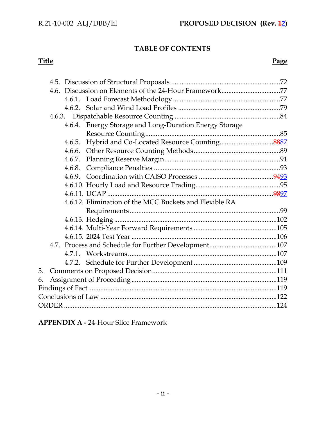# **TABLE OF CONTENTS**

## **Title Page**

|  |        | 4.6.4. Energy Storage and Long-Duration Energy Storage |  |  |
|--|--------|--------------------------------------------------------|--|--|
|  |        |                                                        |  |  |
|  | 4.6.5. |                                                        |  |  |
|  |        |                                                        |  |  |
|  |        |                                                        |  |  |
|  |        |                                                        |  |  |
|  |        |                                                        |  |  |
|  |        |                                                        |  |  |
|  |        |                                                        |  |  |
|  |        | 4.6.12. Elimination of the MCC Buckets and Flexible RA |  |  |
|  |        |                                                        |  |  |
|  |        |                                                        |  |  |
|  |        |                                                        |  |  |
|  |        |                                                        |  |  |
|  |        |                                                        |  |  |
|  |        |                                                        |  |  |
|  |        |                                                        |  |  |
|  |        |                                                        |  |  |
|  |        |                                                        |  |  |
|  |        |                                                        |  |  |
|  |        |                                                        |  |  |
|  |        |                                                        |  |  |

**APPENDIX A -** 24-Hour Slice Framework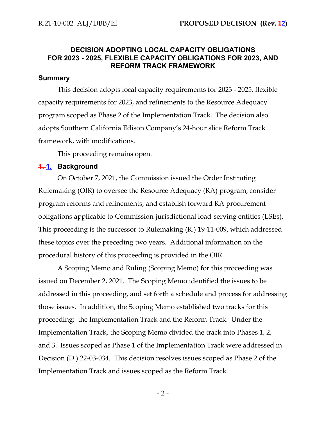# **DECISION ADOPTING LOCAL CAPACITY OBLIGATIONS FOR 2023 - 2025, FLEXIBLE CAPACITY OBLIGATIONS FOR 2023, AND REFORM TRACK FRAMEWORK**

#### **Summary**

This decision adopts local capacity requirements for 2023 - 2025, flexible capacity requirements for 2023, and refinements to the Resource Adequacy program scoped as Phase 2 of the Implementation Track. The decision also adopts Southern California Edison Company's 24-hour slice Reform Track framework, with modifications.

This proceeding remains open.

#### **1. 1. Background**

On October 7, 2021, the Commission issued the Order Instituting Rulemaking (OIR) to oversee the Resource Adequacy (RA) program, consider program reforms and refinements, and establish forward RA procurement obligations applicable to Commission-jurisdictional load-serving entities (LSEs). This proceeding is the successor to Rulemaking (R.) 19-11-009, which addressed these topics over the preceding two years. Additional information on the procedural history of this proceeding is provided in the OIR.

A Scoping Memo and Ruling (Scoping Memo) for this proceeding was issued on December 2, 2021. The Scoping Memo identified the issues to be addressed in this proceeding, and set forth a schedule and process for addressing those issues. In addition, the Scoping Memo established two tracks for this proceeding: the Implementation Track and the Reform Track. Under the Implementation Track, the Scoping Memo divided the track into Phases 1, 2, and 3. Issues scoped as Phase 1 of the Implementation Track were addressed in Decision (D.) 22-03-034. This decision resolves issues scoped as Phase 2 of the Implementation Track and issues scoped as the Reform Track.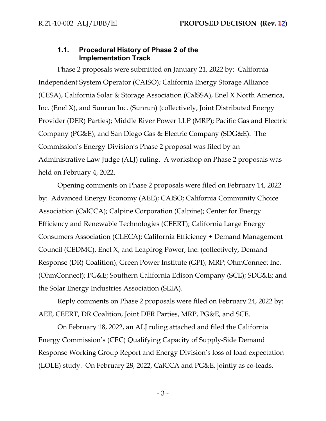## **1.1. Procedural History of Phase 2 of the Implementation Track**

Phase 2 proposals were submitted on January 21, 2022 by: California Independent System Operator (CAISO); California Energy Storage Alliance (CESA), California Solar & Storage Association (CalSSA), Enel X North America, Inc. (Enel X), and Sunrun Inc. (Sunrun) (collectively, Joint Distributed Energy Provider (DER) Parties); Middle River Power LLP (MRP); Pacific Gas and Electric Company (PG&E); and San Diego Gas & Electric Company (SDG&E). The Commission's Energy Division's Phase 2 proposal was filed by an Administrative Law Judge (ALJ) ruling. A workshop on Phase 2 proposals was held on February 4, 2022.

Opening comments on Phase 2 proposals were filed on February 14, 2022 by: Advanced Energy Economy (AEE); CAISO; California Community Choice Association (CalCCA); Calpine Corporation (Calpine); Center for Energy Efficiency and Renewable Technologies (CEERT); California Large Energy Consumers Association (CLECA); California Efficiency + Demand Management Council (CEDMC), Enel X, and Leapfrog Power, Inc. (collectively, Demand Response (DR) Coalition); Green Power Institute (GPI); MRP; OhmConnect Inc. (OhmConnect); PG&E; Southern California Edison Company (SCE); SDG&E; and the Solar Energy Industries Association (SEIA).

Reply comments on Phase 2 proposals were filed on February 24, 2022 by: AEE, CEERT, DR Coalition, Joint DER Parties, MRP, PG&E, and SCE.

On February 18, 2022, an ALJ ruling attached and filed the California Energy Commission's (CEC) Qualifying Capacity of Supply-Side Demand Response Working Group Report and Energy Division's loss of load expectation (LOLE) study. On February 28, 2022, CalCCA and PG&E, jointly as co-leads,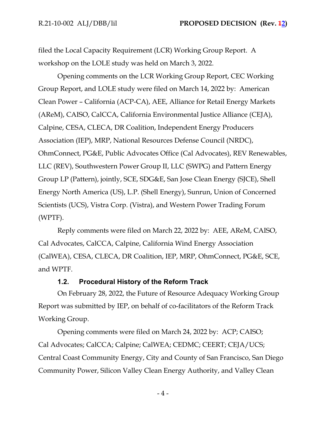filed the Local Capacity Requirement (LCR) Working Group Report. A workshop on the LOLE study was held on March 3, 2022.

Opening comments on the LCR Working Group Report, CEC Working Group Report, and LOLE study were filed on March 14, 2022 by: American Clean Power – California (ACP-CA), AEE, Alliance for Retail Energy Markets (AReM), CAISO, CalCCA, California Environmental Justice Alliance (CEJA), Calpine, CESA, CLECA, DR Coalition, Independent Energy Producers Association (IEP), MRP, National Resources Defense Council (NRDC), OhmConnect, PG&E, Public Advocates Office (Cal Advocates), REV Renewables, LLC (REV), Southwestern Power Group II, LLC (SWPG) and Pattern Energy Group LP (Pattern), jointly, SCE, SDG&E, San Jose Clean Energy (SJCE), Shell Energy North America (US), L.P. (Shell Energy), Sunrun, Union of Concerned Scientists (UCS), Vistra Corp. (Vistra), and Western Power Trading Forum (WPTF).

Reply comments were filed on March 22, 2022 by: AEE, AReM, CAISO, Cal Advocates, CalCCA, Calpine, California Wind Energy Association (CalWEA), CESA, CLECA, DR Coalition, IEP, MRP, OhmConnect, PG&E, SCE, and WPTF.

#### **1.2. Procedural History of the Reform Track**

On February 28, 2022, the Future of Resource Adequacy Working Group Report was submitted by IEP, on behalf of co-facilitators of the Reform Track Working Group.

Opening comments were filed on March 24, 2022 by: ACP; CAISO; Cal Advocates; CalCCA; Calpine; CalWEA; CEDMC; CEERT; CEJA/UCS; Central Coast Community Energy, City and County of San Francisco, San Diego Community Power, Silicon Valley Clean Energy Authority, and Valley Clean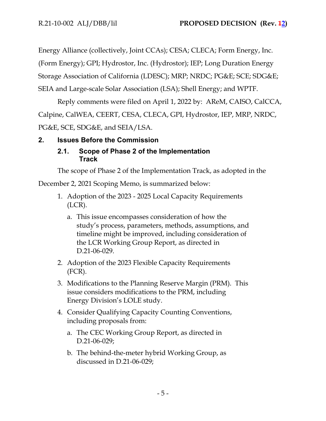Energy Alliance (collectively, Joint CCAs); CESA; CLECA; Form Energy, Inc. (Form Energy); GPI; Hydrostor, Inc. (Hydrostor); IEP; Long Duration Energy Storage Association of California (LDESC); MRP; NRDC; PG&E; SCE; SDG&E; SEIA and Large-scale Solar Association (LSA); Shell Energy; and WPTF.

Reply comments were filed on April 1, 2022 by: AReM, CAISO, CalCCA, Calpine, CalWEA, CEERT, CESA, CLECA, GPI, Hydrostor, IEP, MRP, NRDC, PG&E, SCE, SDG&E, and SEIA/LSA.

# **2. Issues Before the Commission**

# **2.1. Scope of Phase 2 of the Implementation Track**

The scope of Phase 2 of the Implementation Track, as adopted in the

December 2, 2021 Scoping Memo, is summarized below:

- 1. Adoption of the 2023 2025 Local Capacity Requirements (LCR).
	- a. This issue encompasses consideration of how the study's process, parameters, methods, assumptions, and timeline might be improved, including consideration of the LCR Working Group Report, as directed in D.21-06-029.
- 2. Adoption of the 2023 Flexible Capacity Requirements (FCR).
- 3. Modifications to the Planning Reserve Margin (PRM). This issue considers modifications to the PRM, including Energy Division's LOLE study.
- 4. Consider Qualifying Capacity Counting Conventions, including proposals from:
	- a. The CEC Working Group Report, as directed in D.21-06-029;
	- b. The behind-the-meter hybrid Working Group, as discussed in D.21-06-029;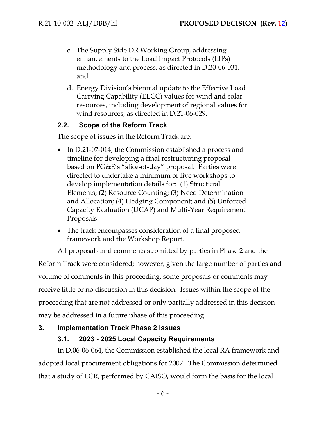- c. The Supply Side DR Working Group, addressing enhancements to the Load Impact Protocols (LIPs) methodology and process, as directed in D.20-06-031; and
- d. Energy Division's biennial update to the Effective Load Carrying Capability (ELCC) values for wind and solar resources, including development of regional values for wind resources, as directed in D.21-06-029.

# **2.2. Scope of the Reform Track**

The scope of issues in the Reform Track are:

- In D.21-07-014, the Commission established a process and timeline for developing a final restructuring proposal based on PG&E's "slice-of-day" proposal. Parties were directed to undertake a minimum of five workshops to develop implementation details for: (1) Structural Elements; (2) Resource Counting; (3) Need Determination and Allocation; (4) Hedging Component; and (5) Unforced Capacity Evaluation (UCAP) and Multi-Year Requirement Proposals.
- The track encompasses consideration of a final proposed framework and the Workshop Report.

All proposals and comments submitted by parties in Phase 2 and the Reform Track were considered; however, given the large number of parties and volume of comments in this proceeding, some proposals or comments may receive little or no discussion in this decision. Issues within the scope of the proceeding that are not addressed or only partially addressed in this decision may be addressed in a future phase of this proceeding.

## **3. Implementation Track Phase 2 Issues**

# **3.1. 2023 - 2025 Local Capacity Requirements**

In D.06-06-064, the Commission established the local RA framework and adopted local procurement obligations for 2007. The Commission determined that a study of LCR, performed by CAISO, would form the basis for the local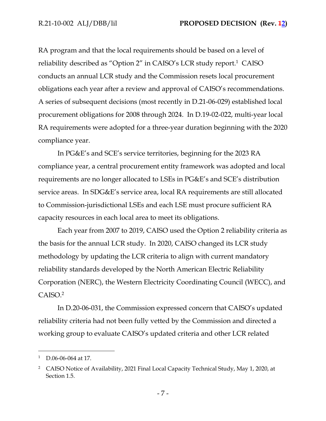RA program and that the local requirements should be based on a level of reliability described as "Option 2" in CAISO's LCR study report.<sup>1</sup> CAISO conducts an annual LCR study and the Commission resets local procurement obligations each year after a review and approval of CAISO's recommendations. A series of subsequent decisions (most recently in D.21-06-029) established local procurement obligations for 2008 through 2024. In D.19-02-022, multi-year local RA requirements were adopted for a three-year duration beginning with the 2020 compliance year.

In PG&E's and SCE's service territories, beginning for the 2023 RA compliance year, a central procurement entity framework was adopted and local requirements are no longer allocated to LSEs in PG&E's and SCE's distribution service areas. In SDG&E's service area, local RA requirements are still allocated to Commission-jurisdictional LSEs and each LSE must procure sufficient RA capacity resources in each local area to meet its obligations.

Each year from 2007 to 2019, CAISO used the Option 2 reliability criteria as the basis for the annual LCR study. In 2020, CAISO changed its LCR study methodology by updating the LCR criteria to align with current mandatory reliability standards developed by the North American Electric Reliability Corporation (NERC), the Western Electricity Coordinating Council (WECC), and CAISO.<sup>2</sup>

In D.20-06-031, the Commission expressed concern that CAISO's updated reliability criteria had not been fully vetted by the Commission and directed a working group to evaluate CAISO's updated criteria and other LCR related

<sup>1</sup> D.06-06-064 at 17.

<sup>&</sup>lt;sup>2</sup> CAISO Notice of Availability, 2021 Final Local Capacity Technical Study, May 1, 2020, at Section 1.5.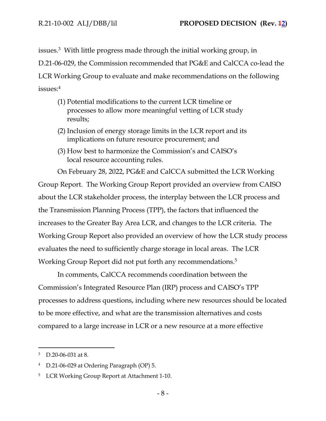issues.<sup>3</sup> With little progress made through the initial working group, in

D.21-06-029, the Commission recommended that PG&E and CalCCA co-lead the

LCR Working Group to evaluate and make recommendations on the following issues:<sup>4</sup>

- (1) Potential modifications to the current LCR timeline or processes to allow more meaningful vetting of LCR study results;
- (2) Inclusion of energy storage limits in the LCR report and its implications on future resource procurement; and
- (3) How best to harmonize the Commission's and CAISO's local resource accounting rules.

On February 28, 2022, PG&E and CalCCA submitted the LCR Working Group Report. The Working Group Report provided an overview from CAISO about the LCR stakeholder process, the interplay between the LCR process and the Transmission Planning Process (TPP), the factors that influenced the increases to the Greater Bay Area LCR, and changes to the LCR criteria. The Working Group Report also provided an overview of how the LCR study process evaluates the need to sufficiently charge storage in local areas. The LCR Working Group Report did not put forth any recommendations.<sup>5</sup>

In comments, CalCCA recommends coordination between the Commission's Integrated Resource Plan (IRP) process and CAISO's TPP processes to address questions, including where new resources should be located to be more effective, and what are the transmission alternatives and costs compared to a large increase in LCR or a new resource at a more effective

<sup>3</sup> D.20-06-031 at 8.

<sup>4</sup> D.21-06-029 at Ordering Paragraph (OP) 5.

<sup>&</sup>lt;sup>5</sup> LCR Working Group Report at Attachment 1-10.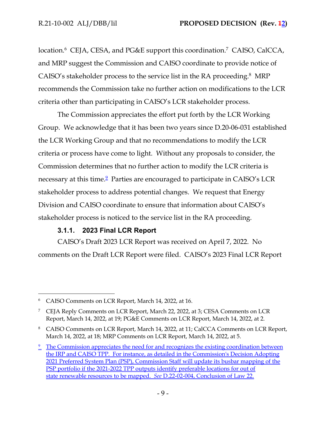location.<sup>6</sup> CEJA, CESA, and PG&E support this coordination.<sup>7</sup> CAISO, CalCCA, and MRP suggest the Commission and CAISO coordinate to provide notice of CAISO's stakeholder process to the service list in the RA proceeding.<sup>8</sup> MRP recommends the Commission take no further action on modifications to the LCR criteria other than participating in CAISO's LCR stakeholder process.

The Commission appreciates the effort put forth by the LCR Working Group. We acknowledge that it has been two years since D.20-06-031 established the LCR Working Group and that no recommendations to modify the LCR criteria or process have come to light. Without any proposals to consider, the Commission determines that no further action to modify the LCR criteria is necessary at this time.<sup>2</sup> Parties are encouraged to participate in CAISO's LCR stakeholder process to address potential changes. We request that Energy Division and CAISO coordinate to ensure that information about CAISO's stakeholder process is noticed to the service list in the RA proceeding.

# **3.1.1. 2023 Final LCR Report**

CAISO's Draft 2023 LCR Report was received on April 7, 2022. No comments on the Draft LCR Report were filed. CAISO's 2023 Final LCR Report

CAISO Comments on LCR Report, March 14, 2022, at 16.

<sup>&</sup>lt;sup>7</sup> CEJA Reply Comments on LCR Report, March 22, 2022, at 3; CESA Comments on LCR Report, March 14, 2022, at 19; PG&E Comments on LCR Report, March 14, 2022, at 2.

<sup>&</sup>lt;sup>8</sup> CAISO Comments on LCR Report, March 14, 2022, at 11; CalCCA Comments on LCR Report, March 14, 2022, at 18; MRP Comments on LCR Report, March 14, 2022, at 5.

<sup>&</sup>lt;sup>9</sup> The Commission appreciates the need for and recognizes the existing coordination between the IRP and CAISO TPP. For instance, as detailed in the Commission's Decision Adopting 2021 Preferred System Plan (PSP), Commission Staff will update its busbar mapping of the PSP portfolio if the 2021-2022 TPP outputs identify preferable locations for out of state renewable resources to be mapped. *See* D.22-02-004, Conclusion of Law 22.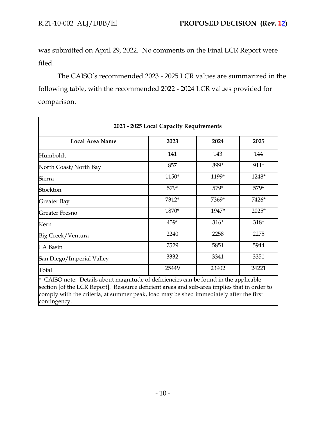was submitted on April 29, 2022. No comments on the Final LCR Report were filed.

The CAISO's recommended 2023 - 2025 LCR values are summarized in the following table, with the recommended 2022 - 2024 LCR values provided for comparison.

| <b>Local Area Name</b>    | 2023  | 2024   | 2025  |
|---------------------------|-------|--------|-------|
| Humboldt                  | 141   | 143    | 144   |
| North Coast/North Bay     | 857   | 899*   | 911*  |
| Sierra                    | 1150* | 1199*  | 1248* |
| Stockton                  | 579*  | 579*   | 579*  |
| Greater Bay               | 7312* | 7369*  | 7426* |
| Greater Fresno            | 1870* | 1947*  | 2025* |
| Kern                      | 439*  | $316*$ | 318*  |
| Big Creek/Ventura         | 2240  | 2258   | 2275  |
| LA Basin                  | 7529  | 5851   | 5944  |
| San Diego/Imperial Valley | 3332  | 3341   | 3351  |
| Total                     | 25449 | 23902  | 24221 |

section [of the LCR Report]. Resource deficient areas and sub-area implies that in order to comply with the criteria, at summer peak, load may be shed immediately after the first contingency.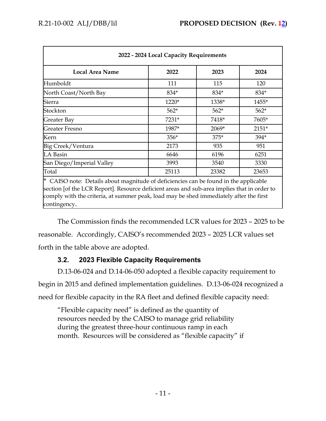| 2022 - 2024 Local Capacity Requirements                                                 |        |        |         |  |  |
|-----------------------------------------------------------------------------------------|--------|--------|---------|--|--|
| <b>Local Area Name</b>                                                                  | 2022   | 2023   | 2024    |  |  |
| Humboldt                                                                                | 111    | 115    | 120     |  |  |
| North Coast/North Bay                                                                   | 834*   | 834*   | 834*    |  |  |
| Sierra                                                                                  | 1220*  | 1338*  | 1455*   |  |  |
| Stockton                                                                                | $562*$ | $562*$ | $562*$  |  |  |
| Greater Bay                                                                             | 7231*  | 7418*  | 7605*   |  |  |
| Greater Fresno                                                                          | 1987*  | 2069*  | $2151*$ |  |  |
| Kern                                                                                    | $356*$ | 375*   | 394*    |  |  |
| Big Creek/Ventura                                                                       | 2173   | 935    | 951     |  |  |
| LA Basin                                                                                | 6646   | 6196   | 6251    |  |  |
| San Diego/Imperial Valley                                                               | 3993   | 3540   | 3330    |  |  |
| Total                                                                                   | 25113  | 23382  | 23653   |  |  |
| *<br>CAISO note: Details about magnitude of deficiencies can be found in the applicable |        |        |         |  |  |

section [of the LCR Report]. Resource deficient areas and sub-area implies that in order to comply with the criteria, at summer peak, load may be shed immediately after the first contingency.

The Commission finds the recommended LCR values for 2023 – 2025 to be reasonable. Accordingly, CAISO's recommended 2023 – 2025 LCR values set forth in the table above are adopted.

# **3.2. 2023 Flexible Capacity Requirements**

D.13-06-024 and D.14-06-050 adopted a flexible capacity requirement to begin in 2015 and defined implementation guidelines. D.13-06-024 recognized a need for flexible capacity in the RA fleet and defined flexible capacity need:

"Flexible capacity need" is defined as the quantity of resources needed by the CAISO to manage grid reliability during the greatest three-hour continuous ramp in each month. Resources will be considered as "flexible capacity" if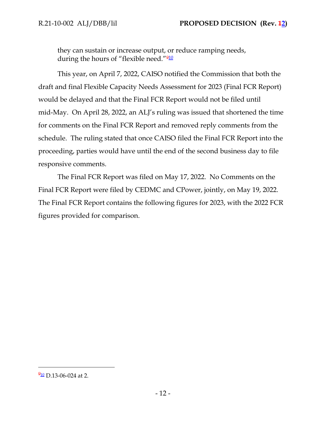they can sustain or increase output, or reduce ramping needs, during the hours of "flexible need."<sup>910</sup>

This year, on April 7, 2022, CAISO notified the Commission that both the draft and final Flexible Capacity Needs Assessment for 2023 (Final FCR Report) would be delayed and that the Final FCR Report would not be filed until mid-May. On April 28, 2022, an ALJ's ruling was issued that shortened the time for comments on the Final FCR Report and removed reply comments from the schedule. The ruling stated that once CAISO filed the Final FCR Report into the proceeding, parties would have until the end of the second business day to file responsive comments.

The Final FCR Report was filed on May 17, 2022. No Comments on the Final FCR Report were filed by CEDMC and CPower, jointly, on May 19, 2022. The Final FCR Report contains the following figures for 2023, with the 2022 FCR figures provided for comparison.

 $\frac{910}{2}$  D.13-06-024 at 2.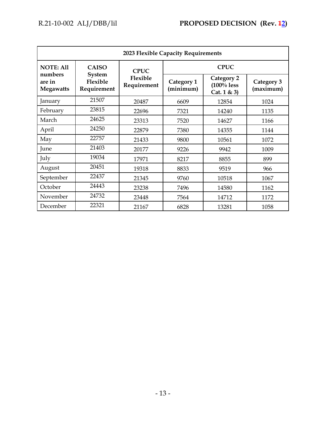| 2023 Flexible Capacity Requirements   |                                                          |                                        |                         |                                             |                         |  |
|---------------------------------------|----------------------------------------------------------|----------------------------------------|-------------------------|---------------------------------------------|-------------------------|--|
| <b>NOTE: All</b>                      | <b>CAISO</b><br><b>System</b><br>Flexible<br>Requirement | <b>CPUC</b><br>Flexible<br>Requirement | <b>CPUC</b>             |                                             |                         |  |
| numbers<br>are in<br><b>Megawatts</b> |                                                          |                                        | Category 1<br>(minimum) | Category 2<br>$(100\%$ less<br>Cat. $1 & 3$ | Category 3<br>(maximum) |  |
| January                               | 21507                                                    | 20487                                  | 6609                    | 12854                                       | 1024                    |  |
| February                              | 23815                                                    | 22696                                  | 7321                    | 14240                                       | 1135                    |  |
| March                                 | 24625                                                    | 23313                                  | 7520                    | 14627                                       | 1166                    |  |
| April                                 | 24250                                                    | 22879                                  | 7380                    | 14355                                       | 1144                    |  |
| May                                   | 22757                                                    | 21433                                  | 9800                    | 10561                                       | 1072                    |  |
| June                                  | 21403                                                    | 20177                                  | 9226                    | 9942                                        | 1009                    |  |
| July                                  | 19034                                                    | 17971                                  | 8217                    | 8855                                        | 899                     |  |
| August                                | 20451                                                    | 19318                                  | 8833                    | 9519                                        | 966                     |  |
| September                             | 22437                                                    | 21345                                  | 9760                    | 10518                                       | 1067                    |  |
| October                               | 24443                                                    | 23238                                  | 7496                    | 14580                                       | 1162                    |  |
| November                              | 24732                                                    | 23448                                  | 7564                    | 14712                                       | 1172                    |  |
| December                              | 22321                                                    | 21167                                  | 6828                    | 13281                                       | 1058                    |  |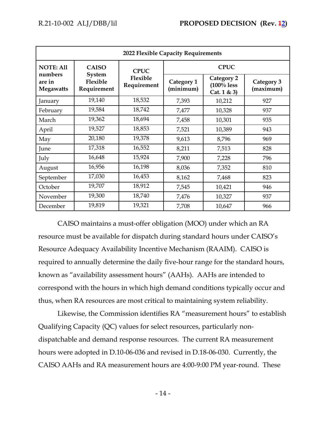| 2022 Flexible Capacity Requirements   |                                                          |                                        |                         |                                             |                         |  |
|---------------------------------------|----------------------------------------------------------|----------------------------------------|-------------------------|---------------------------------------------|-------------------------|--|
| <b>NOTE: All</b>                      | <b>CAISO</b><br><b>System</b><br>Flexible<br>Requirement | <b>CPUC</b><br>Flexible<br>Requirement | <b>CPUC</b>             |                                             |                         |  |
| numbers<br>are in<br><b>Megawatts</b> |                                                          |                                        | Category 1<br>(minimum) | Category 2<br>$(100\%$ less<br>Cat. $1 & 3$ | Category 3<br>(maximum) |  |
| January                               | 19,140                                                   | 18,532                                 | 7,393                   | 10,212                                      | 927                     |  |
| February                              | 19,584                                                   | 18,742                                 | 7,477                   | 10,328                                      | 937                     |  |
| March                                 | 19,362                                                   | 18,694                                 | 7,458                   | 10,301                                      | 935                     |  |
| April                                 | 19,527                                                   | 18,853                                 | 7,521                   | 10,389                                      | 943                     |  |
| May                                   | 20,180                                                   | 19,378                                 | 9,613                   | 8,796                                       | 969                     |  |
| June                                  | 17,318                                                   | 16,552                                 | 8,211                   | 7,513                                       | 828                     |  |
| July                                  | 16,648                                                   | 15,924                                 | 7,900                   | 7,228                                       | 796                     |  |
| August                                | 16,956                                                   | 16,198                                 | 8,036                   | 7,352                                       | 810                     |  |
| September                             | 17,030                                                   | 16,453                                 | 8,162                   | 7,468                                       | 823                     |  |
| October                               | 19,707                                                   | 18,912                                 | 7,545                   | 10,421                                      | 946                     |  |
| November                              | 19,300                                                   | 18,740                                 | 7,476                   | 10,327                                      | 937                     |  |
| December                              | 19,819                                                   | 19,321                                 | 7,708                   | 10,647                                      | 966                     |  |

CAISO maintains a must-offer obligation (MOO) under which an RA resource must be available for dispatch during standard hours under CAISO's Resource Adequacy Availability Incentive Mechanism (RAAIM). CAISO is required to annually determine the daily five-hour range for the standard hours, known as "availability assessment hours" (AAHs). AAHs are intended to correspond with the hours in which high demand conditions typically occur and thus, when RA resources are most critical to maintaining system reliability.

Likewise, the Commission identifies RA "measurement hours" to establish Qualifying Capacity (QC) values for select resources, particularly nondispatchable and demand response resources. The current RA measurement hours were adopted in D.10-06-036 and revised in D.18-06-030. Currently, the CAISO AAHs and RA measurement hours are 4:00-9:00 PM year-round. These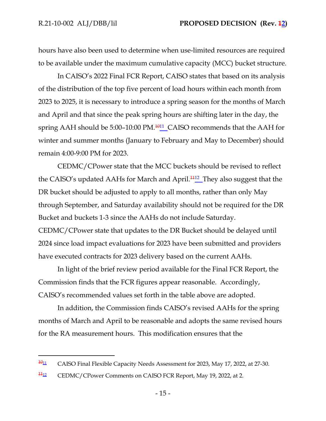hours have also been used to determine when use-limited resources are required to be available under the maximum cumulative capacity (MCC) bucket structure.

In CAISO's 2022 Final FCR Report, CAISO states that based on its analysis of the distribution of the top five percent of load hours within each month from 2023 to 2025, it is necessary to introduce a spring season for the months of March and April and that since the peak spring hours are shifting later in the day, the spring AAH should be 5:00–10:00 PM.<sup>1011</sup> CAISO recommends that the AAH for winter and summer months (January to February and May to December) should remain 4:00-9:00 PM for 2023.

CEDMC/CPower state that the MCC buckets should be revised to reflect the CAISO's updated AAHs for March and April.<sup>1112</sup> They also suggest that the DR bucket should be adjusted to apply to all months, rather than only May through September, and Saturday availability should not be required for the DR Bucket and buckets 1-3 since the AAHs do not include Saturday. CEDMC/CPower state that updates to the DR Bucket should be delayed until 2024 since load impact evaluations for 2023 have been submitted and providers have executed contracts for 2023 delivery based on the current AAHs.

In light of the brief review period available for the Final FCR Report, the Commission finds that the FCR figures appear reasonable. Accordingly, CAISO's recommended values set forth in the table above are adopted.

In addition, the Commission finds CAISO's revised AAHs for the spring months of March and April to be reasonable and adopts the same revised hours for the RA measurement hours. This modification ensures that the

 $\frac{1011}{101}$  CAISO Final Flexible Capacity Needs Assessment for 2023, May 17, 2022, at 27-30.

<sup>&</sup>lt;sup>1112</sup> CEDMC/CPower Comments on CAISO FCR Report, May 19, 2022, at 2.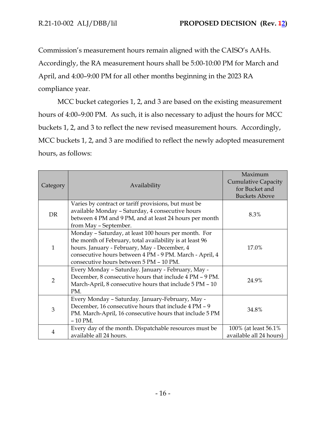Commission's measurement hours remain aligned with the CAISO's AAHs. Accordingly, the RA measurement hours shall be 5:00-10:00 PM for March and April, and 4:00–9:00 PM for all other months beginning in the 2023 RA compliance year.

MCC bucket categories 1, 2, and 3 are based on the existing measurement hours of 4:00–9:00 PM. As such, it is also necessary to adjust the hours for MCC buckets 1, 2, and 3 to reflect the new revised measurement hours. Accordingly, MCC buckets 1, 2, and 3 are modified to reflect the newly adopted measurement hours, as follows:

| Category       | Availability                                                                                                                                                                                                                                                           | Maximum<br><b>Cumulative Capacity</b><br>for Bucket and<br><b>Buckets Above</b> |
|----------------|------------------------------------------------------------------------------------------------------------------------------------------------------------------------------------------------------------------------------------------------------------------------|---------------------------------------------------------------------------------|
| <b>DR</b>      | Varies by contract or tariff provisions, but must be<br>available Monday - Saturday, 4 consecutive hours<br>between 4 PM and 9 PM, and at least 24 hours per month<br>from May - September.                                                                            | 8.3%                                                                            |
| $\mathbf{1}$   | Monday - Saturday, at least 100 hours per month. For<br>the month of February, total availability is at least 96<br>hours. January - February, May - December, 4<br>consecutive hours between 4 PM - 9 PM. March - April, 4<br>consecutive hours between 5 PM - 10 PM. | 17.0%                                                                           |
| $\overline{2}$ | Every Monday - Saturday. January - February, May -<br>December, 8 consecutive hours that include 4 PM - 9 PM.<br>March-April, 8 consecutive hours that include 5 PM - 10<br>PM.                                                                                        | 24.9%                                                                           |
| 3              | Every Monday - Saturday. January-February, May -<br>December, 16 consecutive hours that include 4 PM - 9<br>PM. March-April, 16 consecutive hours that include 5 PM<br>$-10$ PM.                                                                                       | 34.8%                                                                           |
| $\overline{4}$ | Every day of the month. Dispatchable resources must be<br>available all 24 hours.                                                                                                                                                                                      | 100% (at least 56.1%)<br>available all 24 hours)                                |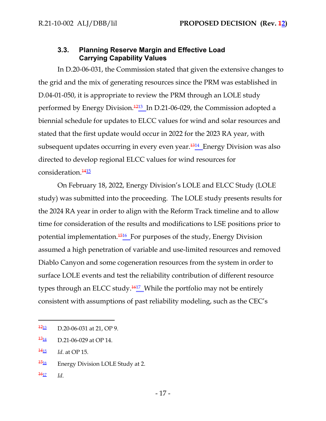## **3.3. Planning Reserve Margin and Effective Load Carrying Capability Values**

In D.20-06-031, the Commission stated that given the extensive changes to the grid and the mix of generating resources since the PRM was established in D.04-01-050, it is appropriate to review the PRM through an LOLE study performed by Energy Division.<sup>1213</sup> In D.21-06-029, the Commission adopted a biennial schedule for updates to ELCC values for wind and solar resources and stated that the first update would occur in 2022 for the 2023 RA year, with subsequent updates occurring in every even year.<sup>1314</sup> Energy Division was also directed to develop regional ELCC values for wind resources for consideration.<sup>1415</sup>

On February 18, 2022, Energy Division's LOLE and ELCC Study (LOLE study) was submitted into the proceeding. The LOLE study presents results for the 2024 RA year in order to align with the Reform Track timeline and to allow time for consideration of the results and modifications to LSE positions prior to potential implementation.<sup>1516</sup> For purposes of the study, Energy Division assumed a high penetration of variable and use-limited resources and removed Diablo Canyon and some cogeneration resources from the system in order to surface LOLE events and test the reliability contribution of different resource types through an ELCC study. $\frac{1617}{2}$  While the portfolio may not be entirely consistent with assumptions of past reliability modeling, such as the CEC's

- $\frac{1516}{15}$  Energy Division LOLE Study at 2.
- $\frac{1617}{16}$  *Id.*

 $\frac{12}{13}$  D.20-06-031 at 21, OP 9.

 $\frac{1314}{12}$  D.21-06-029 at OP 14.

<sup>14</sup><sup>15</sup> *Id*. at OP 15.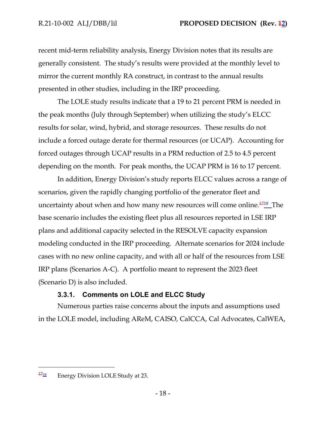recent mid-term reliability analysis, Energy Division notes that its results are generally consistent. The study's results were provided at the monthly level to mirror the current monthly RA construct, in contrast to the annual results presented in other studies, including in the IRP proceeding.

The LOLE study results indicate that a 19 to 21 percent PRM is needed in the peak months (July through September) when utilizing the study's ELCC results for solar, wind, hybrid, and storage resources. These results do not include a forced outage derate for thermal resources (or UCAP). Accounting for forced outages through UCAP results in a PRM reduction of 2.5 to 4.5 percent depending on the month. For peak months, the UCAP PRM is 16 to 17 percent.

In addition, Energy Division's study reports ELCC values across a range of scenarios, given the rapidly changing portfolio of the generator fleet and uncertainty about when and how many new resources will come online. $\frac{1718}{12}$  The base scenario includes the existing fleet plus all resources reported in LSE IRP plans and additional capacity selected in the RESOLVE capacity expansion modeling conducted in the IRP proceeding. Alternate scenarios for 2024 include cases with no new online capacity, and with all or half of the resources from LSE IRP plans (Scenarios A-C). A portfolio meant to represent the 2023 fleet (Scenario D) is also included.

## **3.3.1. Comments on LOLE and ELCC Study**

Numerous parties raise concerns about the inputs and assumptions used in the LOLE model, including AReM, CAISO, CalCCA, Cal Advocates, CalWEA,

 $\frac{1718}{17}$  Energy Division LOLE Study at 23.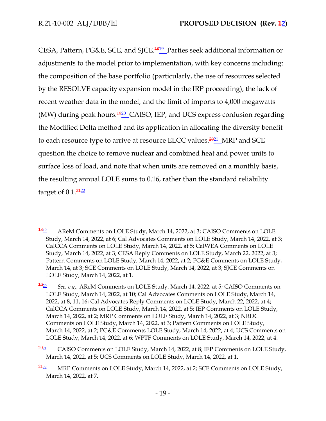CESA, Pattern, PG&E, SCE, and SJCE.<sup>1819</sup> Parties seek additional information or adjustments to the model prior to implementation, with key concerns including: the composition of the base portfolio (particularly, the use of resources selected by the RESOLVE capacity expansion model in the IRP proceeding), the lack of recent weather data in the model, and the limit of imports to 4,000 megawatts (MW) during peak hours.<sup>1920</sup> CAISO, IEP, and UCS express confusion regarding the Modified Delta method and its application in allocating the diversity benefit to each resource type to arrive at resource ELCC values.<sup>2021</sup>\_MRP and SCE question the choice to remove nuclear and combined heat and power units to surface loss of load, and note that when units are removed on a monthly basis, the resulting annual LOLE sums to 0.16, rather than the standard reliability target of  $0.1<sup>2422</sup>$ 

 $\frac{1819}{1812}$  AReM Comments on LOLE Study, March 14, 2022, at 3; CAISO Comments on LOLE Study, March 14, 2022, at 6; Cal Advocates Comments on LOLE Study, March 14, 2022, at 3; CalCCA Comments on LOLE Study, March 14, 2022, at 5; CalWEA Comments on LOLE Study, March 14, 2022, at 3; CESA Reply Comments on LOLE Study, March 22, 2022, at 3; Pattern Comments on LOLE Study, March 14, 2022, at 2; PG&E Comments on LOLE Study, March 14, at 3; SCE Comments on LOLE Study, March 14, 2022, at 3; SJCE Comments on LOLE Study, March 14, 2022, at 1.

<sup>19</sup><sup>20</sup> *See, e.g.*, AReM Comments on LOLE Study, March 14, 2022, at 5; CAISO Comments on LOLE Study, March 14, 2022, at 10; Cal Advocates Comments on LOLE Study, March 14, 2022, at 8, 11, 16; Cal Advocates Reply Comments on LOLE Study, March 22, 2022, at 4; CalCCA Comments on LOLE Study, March 14, 2022, at 5; IEP Comments on LOLE Study, March 14, 2022, at 2; MRP Comments on LOLE Study, March 14, 2022, at 3; NRDC Comments on LOLE Study, March 14, 2022, at 3; Pattern Comments on LOLE Study, March 14, 2022, at 2; PG&E Comments LOLE Study, March 14, 2022, at 4; UCS Comments on LOLE Study, March 14, 2022, at 6; WPTF Comments on LOLE Study, March 14, 2022, at 4.

 $2021$  CAISO Comments on LOLE Study, March 14, 2022, at 8; IEP Comments on LOLE Study, March 14, 2022, at 5; UCS Comments on LOLE Study, March 14, 2022, at 1.

 $\frac{2422}{21}$  MRP Comments on LOLE Study, March 14, 2022, at 2; SCE Comments on LOLE Study, March 14, 2022, at 7.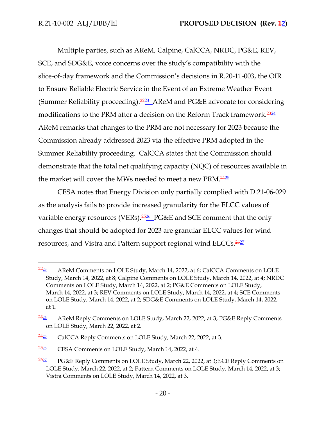Multiple parties, such as AReM, Calpine, CalCCA, NRDC, PG&E, REV, SCE, and SDG&E, voice concerns over the study's compatibility with the slice-of-day framework and the Commission's decisions in R.20-11-003, the OIR to Ensure Reliable Electric Service in the Event of an Extreme Weather Event (Summer Reliability proceeding).<sup>2223</sup> AReM and PG&E advocate for considering modifications to the PRM after a decision on the Reform Track framework.<sup>2324</sup> AReM remarks that changes to the PRM are not necessary for 2023 because the Commission already addressed 2023 via the effective PRM adopted in the Summer Reliability proceeding. CalCCA states that the Commission should demonstrate that the total net qualifying capacity (NQC) of resources available in the market will cover the MWs needed to meet a new PRM.<sup>2425</sup>

CESA notes that Energy Division only partially complied with D.21-06-029 as the analysis fails to provide increased granularity for the ELCC values of variable energy resources (VERs). $\frac{2526}{\pi}$ PG&E and SCE comment that the only changes that should be adopted for 2023 are granular ELCC values for wind resources, and Vistra and Pattern support regional wind ELCCs.<sup>2627</sup>

 $\frac{2223}{2}$  AReM Comments on LOLE Study, March 14, 2022, at 6; CalCCA Comments on LOLE Study, March 14, 2022, at 8; Calpine Comments on LOLE Study, March 14, 2022, at 4; NRDC Comments on LOLE Study, March 14, 2022, at 2; PG&E Comments on LOLE Study, March 14, 2022, at 3; REV Comments on LOLE Study, March 14, 2022, at 4; SCE Comments on LOLE Study, March 14, 2022, at 2; SDG&E Comments on LOLE Study, March 14, 2022, at 1.

<sup>&</sup>lt;sup>23</sup><sup>24</sup> AReM Reply Comments on LOLE Study, March 22, 2022, at 3; PG&E Reply Comments on LOLE Study, March 22, 2022, at 2.

 $2425$  CalCCA Reply Comments on LOLE Study, March 22, 2022, at 3.

 $2526$  CESA Comments on LOLE Study, March 14, 2022, at 4.

 $2627$  PG&E Reply Comments on LOLE Study, March 22, 2022, at 3; SCE Reply Comments on LOLE Study, March 22, 2022, at 2; Pattern Comments on LOLE Study, March 14, 2022, at 3; Vistra Comments on LOLE Study, March 14, 2022, at 3.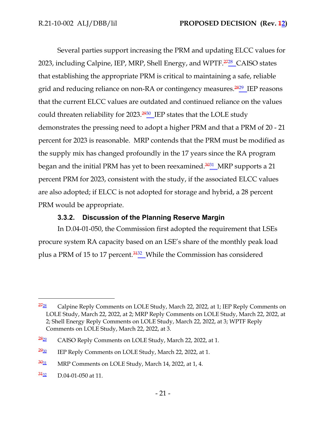Several parties support increasing the PRM and updating ELCC values for 2023, including Calpine, IEP, MRP, Shell Energy, and WPTF.<sup>2728</sup> CAISO states that establishing the appropriate PRM is critical to maintaining a safe, reliable grid and reducing reliance on non-RA or contingency measures.<sup>2829</sup> IEP reasons that the current ELCC values are outdated and continued reliance on the values could threaten reliability for  $2023.\frac{2930}{\sim}$  IEP states that the LOLE study demonstrates the pressing need to adopt a higher PRM and that a PRM of 20 - 21 percent for 2023 is reasonable. MRP contends that the PRM must be modified as the supply mix has changed profoundly in the 17 years since the RA program began and the initial PRM has yet to been reexamined.<sup>3031</sup>\_MRP supports a 21 percent PRM for 2023, consistent with the study, if the associated ELCC values are also adopted; if ELCC is not adopted for storage and hybrid, a 28 percent PRM would be appropriate.

## **3.3.2. Discussion of the Planning Reserve Margin**

In D.04-01-050, the Commission first adopted the requirement that LSEs procure system RA capacity based on an LSE's share of the monthly peak load plus a PRM of 15 to 17 percent.<sup>3132</sup> While the Commission has considered

 $27_{28}$  Calpine Reply Comments on LOLE Study, March 22, 2022, at 1; IEP Reply Comments on LOLE Study, March 22, 2022, at 2; MRP Reply Comments on LOLE Study, March 22, 2022, at 2; Shell Energy Reply Comments on LOLE Study, March 22, 2022, at 3; WPTF Reply Comments on LOLE Study, March 22, 2022, at 3.

 $28_{22}$  CAISO Reply Comments on LOLE Study, March 22, 2022, at 1.

 $2930$  IEP Reply Comments on LOLE Study, March 22, 2022, at 1.

 $\frac{3031}{1}$  MRP Comments on LOLE Study, March 14, 2022, at 1, 4.

 $\frac{3432}{1004}$  D.04-01-050 at 11.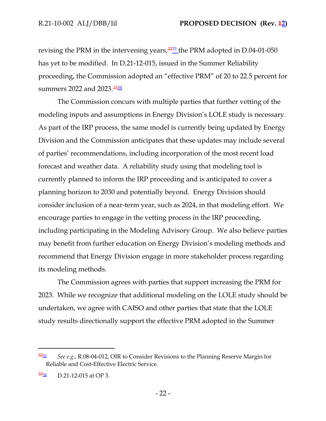revising the PRM in the intervening years,  $3233$  the PRM adopted in D.04-01-050 has yet to be modified. In D.21-12-015, issued in the Summer Reliability proceeding, the Commission adopted an "effective PRM" of 20 to 22.5 percent for summers 2022 and 2023.<sup>33<u>34</u></sup>

The Commission concurs with multiple parties that further vetting of the modeling inputs and assumptions in Energy Division's LOLE study is necessary. As part of the IRP process, the same model is currently being updated by Energy Division and the Commission anticipates that these updates may include several of parties' recommendations, including incorporation of the most recent load forecast and weather data. A reliability study using that modeling tool is currently planned to inform the IRP proceeding and is anticipated to cover a planning horizon to 2030 and potentially beyond. Energy Division should consider inclusion of a near-term year, such as 2024, in that modeling effort. We encourage parties to engage in the vetting process in the IRP proceeding, including participating in the Modeling Advisory Group. We also believe parties may benefit from further education on Energy Division's modeling methods and recommend that Energy Division engage in more stakeholder process regarding its modeling methods.

The Commission agrees with parties that support increasing the PRM for 2023. While we recognize that additional modeling on the LOLE study should be undertaken, we agree with CAISO and other parties that state that the LOLE study results directionally support the effective PRM adopted in the Summer

<sup>32</sup><sup>33</sup> *See e.g.*, R.08-04-012, OIR to Consider Revisions to the Planning Reserve Margin for Reliable and Cost-Effective Electric Service.

 $\frac{3334}{9}$  D.21-12-015 at OP 3.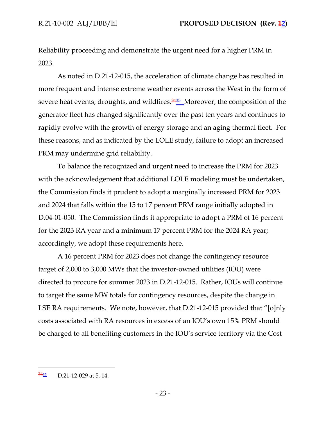Reliability proceeding and demonstrate the urgent need for a higher PRM in 2023.

As noted in D.21-12-015, the acceleration of climate change has resulted in more frequent and intense extreme weather events across the West in the form of severe heat events, droughts, and wildfires.<sup>3435</sup> Moreover, the composition of the generator fleet has changed significantly over the past ten years and continues to rapidly evolve with the growth of energy storage and an aging thermal fleet. For these reasons, and as indicated by the LOLE study, failure to adopt an increased PRM may undermine grid reliability.

To balance the recognized and urgent need to increase the PRM for 2023 with the acknowledgement that additional LOLE modeling must be undertaken, the Commission finds it prudent to adopt a marginally increased PRM for 2023 and 2024 that falls within the 15 to 17 percent PRM range initially adopted in D.04-01-050. The Commission finds it appropriate to adopt a PRM of 16 percent for the 2023 RA year and a minimum 17 percent PRM for the 2024 RA year; accordingly, we adopt these requirements here.

A 16 percent PRM for 2023 does not change the contingency resource target of 2,000 to 3,000 MWs that the investor-owned utilities (IOU) were directed to procure for summer 2023 in D.21-12-015. Rather, IOUs will continue to target the same MW totals for contingency resources, despite the change in LSE RA requirements. We note, however, that D.21-12-015 provided that "[o]nly costs associated with RA resources in excess of an IOU's own 15% PRM should be charged to all benefiting customers in the IOU's service territory via the Cost

 $\frac{3435}{12}$  D.21-12-029 at 5, 14.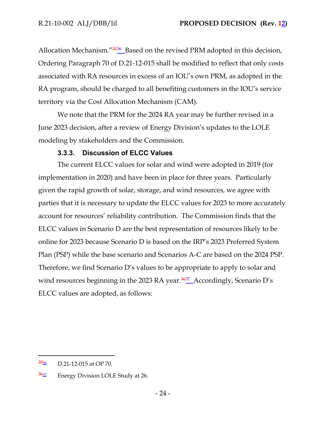Allocation Mechanism."<sup>3536</sup> Based on the revised PRM adopted in this decision, Ordering Paragraph 70 of D.21-12-015 shall be modified to reflect that only costs associated with RA resources in excess of an IOU's own PRM, as adopted in the RA program, should be charged to all benefiting customers in the IOU's service territory via the Cost Allocation Mechanism (CAM).

We note that the PRM for the 2024 RA year may be further revised in a June 2023 decision, after a review of Energy Division's updates to the LOLE modeling by stakeholders and the Commission.

#### **3.3.3. Discussion of ELCC Values**

The current ELCC values for solar and wind were adopted in 2019 (for implementation in 2020) and have been in place for three years. Particularly given the rapid growth of solar, storage, and wind resources, we agree with parties that it is necessary to update the ELCC values for 2023 to more accurately account for resources' reliability contribution. The Commission finds that the ELCC values in Scenario D are the best representation of resources likely to be online for 2023 because Scenario D is based on the IRP's 2023 Preferred System Plan (PSP) while the base scenario and Scenarios A-C are based on the 2024 PSP. Therefore, we find Scenario D's values to be appropriate to apply to solar and wind resources beginning in the 2023 RA year.<sup>3637</sup>\_Accordingly, Scenario D's ELCC values are adopted, as follows:

 $\frac{3536}{10}$  D.21-12-015 at OP 70.

 $\frac{3637}{2}$  Energy Division LOLE Study at 26.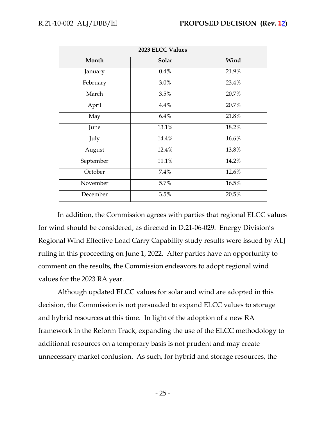| 2023 ELCC Values       |       |       |  |  |  |  |
|------------------------|-------|-------|--|--|--|--|
| Solar<br>Wind<br>Month |       |       |  |  |  |  |
| January                | 0.4%  | 21.9% |  |  |  |  |
| February               | 3.0%  | 23.4% |  |  |  |  |
| March                  | 3.5%  | 20.7% |  |  |  |  |
| April                  | 4.4%  | 20.7% |  |  |  |  |
| May                    | 6.4%  | 21.8% |  |  |  |  |
| June                   | 13.1% | 18.2% |  |  |  |  |
| July                   | 14.4% | 16.6% |  |  |  |  |
| August                 | 12.4% | 13.8% |  |  |  |  |
| September              | 11.1% | 14.2% |  |  |  |  |
| October                | 7.4%  | 12.6% |  |  |  |  |
| November               | 5.7%  | 16.5% |  |  |  |  |
| December               | 3.5%  | 20.5% |  |  |  |  |

In addition, the Commission agrees with parties that regional ELCC values for wind should be considered, as directed in D.21-06-029. Energy Division's Regional Wind Effective Load Carry Capability study results were issued by ALJ ruling in this proceeding on June 1, 2022. After parties have an opportunity to comment on the results, the Commission endeavors to adopt regional wind values for the 2023 RA year.

Although updated ELCC values for solar and wind are adopted in this decision, the Commission is not persuaded to expand ELCC values to storage and hybrid resources at this time. In light of the adoption of a new RA framework in the Reform Track, expanding the use of the ELCC methodology to additional resources on a temporary basis is not prudent and may create unnecessary market confusion. As such, for hybrid and storage resources, the

- 25 -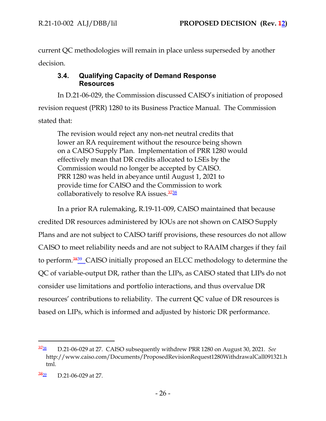current QC methodologies will remain in place unless superseded by another decision.

# **3.4. Qualifying Capacity of Demand Response Resources**

In D.21-06-029, the Commission discussed CAISO's initiation of proposed revision request (PRR) 1280 to its Business Practice Manual. The Commission stated that:

The revision would reject any non-net neutral credits that lower an RA requirement without the resource being shown on a CAISO Supply Plan. Implementation of PRR 1280 would effectively mean that DR credits allocated to LSEs by the Commission would no longer be accepted by CAISO. PRR 1280 was held in abeyance until August 1, 2021 to provide time for CAISO and the Commission to work collaboratively to resolve RA issues.<sup>3738</sup>

In a prior RA rulemaking, R.19-11-009, CAISO maintained that because credited DR resources administered by IOUs are not shown on CAISO Supply Plans and are not subject to CAISO tariff provisions, these resources do not allow CAISO to meet reliability needs and are not subject to RAAIM charges if they fail to perform.<sup>3839</sup> CAISO initially proposed an ELCC methodology to determine the QC of variable-output DR, rather than the LIPs, as CAISO stated that LIPs do not consider use limitations and portfolio interactions, and thus overvalue DR resources' contributions to reliability. The current QC value of DR resources is based on LIPs, which is informed and adjusted by historic DR performance.

<sup>37</sup><sup>38</sup> D.21-06-029 at 27. CAISO subsequently withdrew PRR 1280 on August 30, 2021. *See* [http://www.caiso.com/Documents/ProposedRevisionRequest1280WithdrawalCall091321.h](http://www.caiso.com/Documents/ProposedRevisionRequest1280WithdrawalCall091321.html) [tml.](http://www.caiso.com/Documents/ProposedRevisionRequest1280WithdrawalCall091321.html)

 $\frac{3839}{10}$  D.21-06-029 at 27.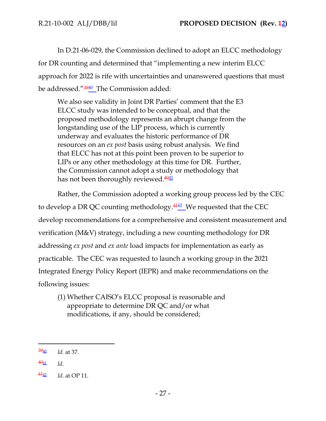In D.21-06-029, the Commission declined to adopt an ELCC methodology for DR counting and determined that "implementing a new interim ELCC approach for 2022 is rife with uncertainties and unanswered questions that must be addressed."<sup>3940</sup>\_The Commission added:

We also see validity in Joint DR Parties' comment that the E3 ELCC study was intended to be conceptual, and that the proposed methodology represents an abrupt change from the longstanding use of the LIP process, which is currently underway and evaluates the historic performance of DR resources on an *ex post* basis using robust analysis. We find that ELCC has not at this point been proven to be superior to LIPs or any other methodology at this time for DR. Further, the Commission cannot adopt a study or methodology that has not been thoroughly reviewed. $4041$ 

Rather, the Commission adopted a working group process led by the CEC to develop a DR QC counting methodology. $\frac{4142}{2}$  We requested that the CEC develop recommendations for a comprehensive and consistent measurement and verification (M&V) strategy, including a new counting methodology for DR addressing *ex post* and *ex ante* load impacts for implementation as early as practicable. The CEC was requested to launch a working group in the 2021 Integrated Energy Policy Report (IEPR) and make recommendations on the following issues:

(1) Whether CAISO's ELCC proposal is reasonable and appropriate to determine DR QC and/or what modifications, if any, should be considered;

 $\frac{3940}{1}$  *Id.* at 37.

 $\frac{4\theta_{11}}{1d}$  *Id.* 

 $\frac{442}{2}$  *Id.* at OP 11.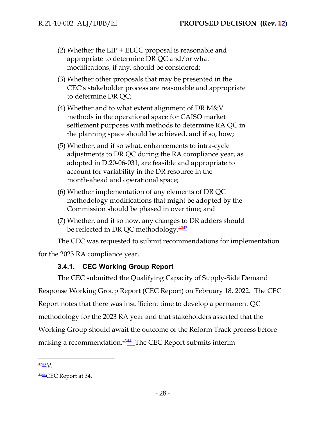- (2) Whether the LIP + ELCC proposal is reasonable and appropriate to determine DR QC and/or what modifications, if any, should be considered;
- (3) Whether other proposals that may be presented in the CEC's stakeholder process are reasonable and appropriate to determine DR QC;
- (4) Whether and to what extent alignment of DR M&V methods in the operational space for CAISO market settlement purposes with methods to determine RA QC in the planning space should be achieved, and if so, how;
- (5) Whether, and if so what, enhancements to intra-cycle adjustments to DR QC during the RA compliance year, as adopted in D.20-06-031, are feasible and appropriate to account for variability in the DR resource in the month-ahead and operational space;
- (6) Whether implementation of any elements of DR QC methodology modifications that might be adopted by the Commission should be phased in over time; and
- (7) Whether, and if so how, any changes to DR adders should be reflected in DR QC methodology.<sup>4243</sup>

The CEC was requested to submit recommendations for implementation

for the 2023 RA compliance year.

# **3.4.1. CEC Working Group Report**

The CEC submitted the Qualifying Capacity of Supply-Side Demand Response Working Group Report (CEC Report) on February 18, 2022. The CEC Report notes that there was insufficient time to develop a permanent QC methodology for the 2023 RA year and that stakeholders asserted that the Working Group should await the outcome of the Reform Track process before making a recommendation.<sup>4344</sup>\_The CEC Report submits interim

<sup>4243</sup>*Id*.

<sup>4344</sup> CEC Report at 34.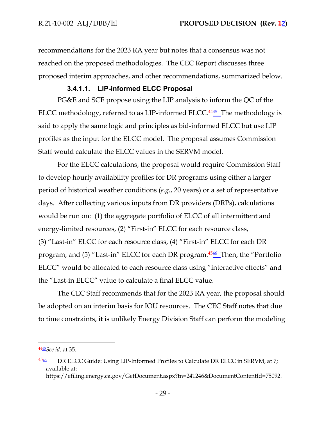recommendations for the 2023 RA year but notes that a consensus was not reached on the proposed methodologies. The CEC Report discusses three proposed interim approaches, and other recommendations, summarized below.

## **3.4.1.1. LIP-informed ELCC Proposal**

PG&E and SCE propose using the LIP analysis to inform the QC of the ELCC methodology, referred to as LIP-informed ELCC.<sup>4445</sup> The methodology is said to apply the same logic and principles as bid-informed ELCC but use LIP profiles as the input for the ELCC model. The proposal assumes Commission Staff would calculate the ELCC values in the SERVM model.

For the ELCC calculations, the proposal would require Commission Staff to develop hourly availability profiles for DR programs using either a larger period of historical weather conditions (*e.g.*, 20 years) or a set of representative days. After collecting various inputs from DR providers (DRPs), calculations would be run on: (1) the aggregate portfolio of ELCC of all intermittent and energy-limited resources, (2) "First-in" ELCC for each resource class, (3) "Last-in" ELCC for each resource class, (4) "First-in" ELCC for each DR program, and (5) "Last-in" ELCC for each DR program.<sup>4546</sup> Then, the "Portfolio ELCC" would be allocated to each resource class using "interactive effects" and the "Last-in ELCC" value to calculate a final ELCC value.

The CEC Staff recommends that for the 2023 RA year, the proposal should be adopted on an interim basis for IOU resources. The CEC Staff notes that due to time constraints, it is unlikely Energy Division Staff can perform the modeling

<sup>4445</sup>*See id*. at 35.

 $4546$  DR ELCC Guide: Using LIP-Informed Profiles to Calculate DR ELCC in SERVM, at 7; available at: [https://efiling.energy.ca.gov/GetDocument.aspx?tn=241246&DocumentContentId=75092.](https://efiling.energy.ca.gov/GetDocument.aspx?tn=241246&DocumentContentId=75092)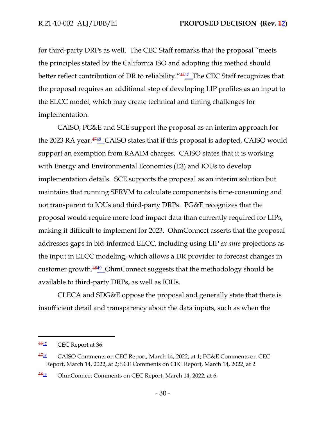for third-party DRPs as well. The CEC Staff remarks that the proposal "meets the principles stated by the California ISO and adopting this method should better reflect contribution of DR to reliability."<sup>4647</sup> The CEC Staff recognizes that the proposal requires an additional step of developing LIP profiles as an input to the ELCC model, which may create technical and timing challenges for implementation.

CAISO, PG&E and SCE support the proposal as an interim approach for the 2023 RA year.<sup>4748</sup> CAISO states that if this proposal is adopted, CAISO would support an exemption from RAAIM charges. CAISO states that it is working with Energy and Environmental Economics (E3) and IOUs to develop implementation details. SCE supports the proposal as an interim solution but maintains that running SERVM to calculate components is time-consuming and not transparent to IOUs and third-party DRPs. PG&E recognizes that the proposal would require more load impact data than currently required for LIPs, making it difficult to implement for 2023. OhmConnect asserts that the proposal addresses gaps in bid-informed ELCC, including using LIP *ex ante* projections as the input in ELCC modeling, which allows a DR provider to forecast changes in customer growth.<sup>4849</sup> OhmConnect suggests that the methodology should be available to third-party DRPs, as well as IOUs.

CLECA and SDG&E oppose the proposal and generally state that there is insufficient detail and transparency about the data inputs, such as when the

 $\frac{4647}{464}$  CEC Report at 36.

 $4748$  CAISO Comments on CEC Report, March 14, 2022, at 1; PG&E Comments on CEC Report, March 14, 2022, at 2; SCE Comments on CEC Report, March 14, 2022, at 2.

 $4849$  OhmConnect Comments on CEC Report, March 14, 2022, at 6.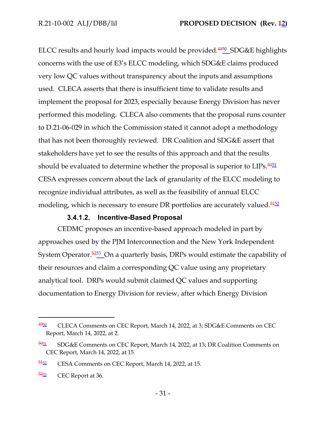ELCC results and hourly load impacts would be provided.<sup>4950</sup> SDG&E highlights concerns with the use of E3's ELCC modeling, which SDG&E claims produced very low QC values without transparency about the inputs and assumptions used. CLECA asserts that there is insufficient time to validate results and implement the proposal for 2023, especially because Energy Division has never performed this modeling. CLECA also comments that the proposal runs counter to D.21-06-029 in which the Commission stated it cannot adopt a methodology that has not been thoroughly reviewed. DR Coalition and SDG&E assert that stakeholders have yet to see the results of this approach and that the results should be evaluated to determine whether the proposal is superior to LIPs.<sup>5051</sup> CESA expresses concern about the lack of granularity of the ELCC modeling to recognize individual attributes, as well as the feasibility of annual ELCC modeling, which is necessary to ensure DR portfolios are accurately valued.<sup>5452</sup>

# **3.4.1.2. Incentive-Based Proposal**

CEDMC proposes an incentive-based approach modeled in part by approaches used by the PJM Interconnection and the New York Independent System Operator.<sup>5253</sup> On a quarterly basis, DRPs would estimate the capability of their resources and claim a corresponding QC value using any proprietary analytical tool. DRPs would submit claimed QC values and supporting documentation to Energy Division for review, after which Energy Division

 $4950$  CLECA Comments on CEC Report, March 14, 2022, at 3; SDG&E Comments on CEC Report, March 14, 2022, at 2.

 $\frac{5051}{20}$  SDG&E Comments on CEC Report, March 14, 2022, at 13; DR Coalition Comments on CEC Report, March 14, 2022, at 15.

<sup>54&</sup>lt;sub>52</sub> CESA Comments on CEC Report, March 14, 2022, at 15.

 $\frac{5253}{2}$  CEC Report at 36.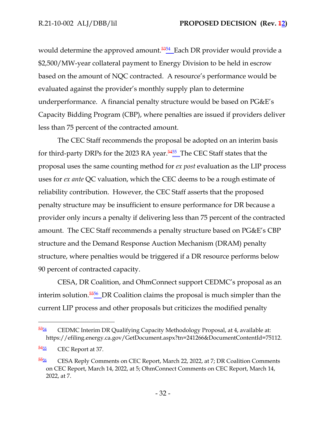would determine the approved amount.<sup>5354</sup> Each DR provider would provide a \$2,500/MW-year collateral payment to Energy Division to be held in escrow based on the amount of NQC contracted. A resource's performance would be evaluated against the provider's monthly supply plan to determine underperformance. A financial penalty structure would be based on PG&E's Capacity Bidding Program (CBP), where penalties are issued if providers deliver less than 75 percent of the contracted amount.

The CEC Staff recommends the proposal be adopted on an interim basis for third-party DRPs for the 2023 RA year.<sup>5455</sup> The CEC Staff states that the proposal uses the same counting method for *ex post* evaluation as the LIP process uses for *ex ante* QC valuation, which the CEC deems to be a rough estimate of reliability contribution. However, the CEC Staff asserts that the proposed penalty structure may be insufficient to ensure performance for DR because a provider only incurs a penalty if delivering less than 75 percent of the contracted amount. The CEC Staff recommends a penalty structure based on PG&E's CBP structure and the Demand Response Auction Mechanism (DRAM) penalty structure, where penalties would be triggered if a DR resource performs below 90 percent of contracted capacity.

CESA, DR Coalition, and OhmConnect support CEDMC's proposal as an interim solution.<sup>5556</sup> DR Coalition claims the proposal is much simpler than the current LIP process and other proposals but criticizes the modified penalty

 $\frac{5354}{2}$  CEDMC Interim DR Qualifying Capacity Methodology Proposal, at 4, available at: [https://efiling.energy.ca.gov/GetDocument.aspx?tn=241266&DocumentContentId=75112.](https://efiling.energy.ca.gov/GetDocument.aspx?tn=241266&DocumentContentId=75112)

 $\frac{5455}{2}$  CEC Report at 37.

<sup>55&</sup>lt;sub>56</sub> CESA Reply Comments on CEC Report, March 22, 2022, at 7; DR Coalition Comments on CEC Report, March 14, 2022, at 5; OhmConnect Comments on CEC Report, March 14, 2022, at 7.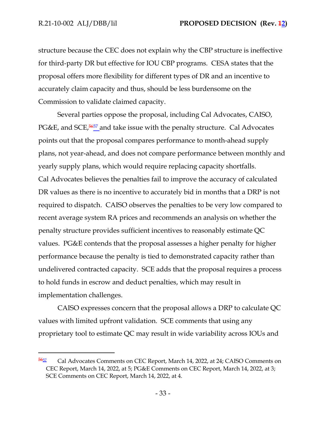structure because the CEC does not explain why the CBP structure is ineffective for third-party DR but effective for IOU CBP programs. CESA states that the proposal offers more flexibility for different types of DR and an incentive to accurately claim capacity and thus, should be less burdensome on the Commission to validate claimed capacity.

Several parties oppose the proposal, including Cal Advocates, CAISO, PG&E, and SCE,<sup>5657</sup> and take issue with the penalty structure. Cal Advocates points out that the proposal compares performance to month-ahead supply plans, not year-ahead, and does not compare performance between monthly and yearly supply plans, which would require replacing capacity shortfalls. Cal Advocates believes the penalties fail to improve the accuracy of calculated DR values as there is no incentive to accurately bid in months that a DRP is not required to dispatch. CAISO observes the penalties to be very low compared to recent average system RA prices and recommends an analysis on whether the penalty structure provides sufficient incentives to reasonably estimate QC values. PG&E contends that the proposal assesses a higher penalty for higher performance because the penalty is tied to demonstrated capacity rather than undelivered contracted capacity. SCE adds that the proposal requires a process to hold funds in escrow and deduct penalties, which may result in implementation challenges.

CAISO expresses concern that the proposal allows a DRP to calculate QC values with limited upfront validation. SCE comments that using any proprietary tool to estimate QC may result in wide variability across IOUs and

<sup>&</sup>lt;sup>5657</sup> Cal Advocates Comments on CEC Report, March 14, 2022, at 24; CAISO Comments on CEC Report, March 14, 2022, at 5; PG&E Comments on CEC Report, March 14, 2022, at 3; SCE Comments on CEC Report, March 14, 2022, at 4.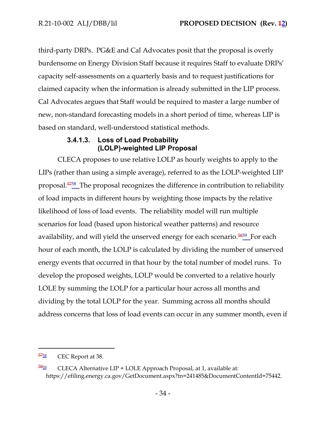third-party DRPs. PG&E and Cal Advocates posit that the proposal is overly burdensome on Energy Division Staff because it requires Staff to evaluate DRPs' capacity self-assessments on a quarterly basis and to request justifications for claimed capacity when the information is already submitted in the LIP process. Cal Advocates argues that Staff would be required to master a large number of new, non-standard forecasting models in a short period of time, whereas LIP is based on standard, well-understood statistical methods.

# **3.4.1.3. Loss of Load Probability (LOLP)-weighted LIP Proposal**

CLECA proposes to use relative LOLP as hourly weights to apply to the LIPs (rather than using a simple average), referred to as the LOLP-weighted LIP proposal.<sup>5758</sup> The proposal recognizes the difference in contribution to reliability of load impacts in different hours by weighting those impacts by the relative likelihood of loss of load events. The reliability model will run multiple scenarios for load (based upon historical weather patterns) and resource availability, and will yield the unserved energy for each scenario.<sup>5859</sup> For each hour of each month, the LOLP is calculated by dividing the number of unserved energy events that occurred in that hour by the total number of model runs. To develop the proposed weights, LOLP would be converted to a relative hourly LOLE by summing the LOLP for a particular hour across all months and dividing by the total LOLP for the year. Summing across all months should address concerns that loss of load events can occur in any summer month, even if

<sup>57&</sup>lt;sub>58</sub> CEC Report at 38.

 $\frac{5859}{2}$  CLECA Alternative LIP + LOLE Approach Proposal, at 1, available at: [https://efiling.energy.ca.gov/GetDocument.aspx?tn=241485&DocumentContentId=75442.](https://efiling.energy.ca.gov/GetDocument.aspx?tn=241485&DocumentContentId=75442)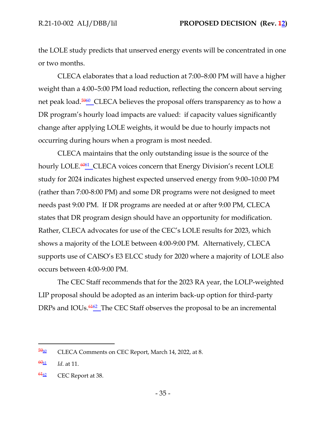the LOLE study predicts that unserved energy events will be concentrated in one or two months.

CLECA elaborates that a load reduction at 7:00–8:00 PM will have a higher weight than a 4:00–5:00 PM load reduction, reflecting the concern about serving net peak load.<sup>5960</sup>\_CLECA believes the proposal offers transparency as to how a DR program's hourly load impacts are valued: if capacity values significantly change after applying LOLE weights, it would be due to hourly impacts not occurring during hours when a program is most needed.

CLECA maintains that the only outstanding issue is the source of the hourly LOLE.<sup>6061</sup> CLECA voices concern that Energy Division's recent LOLE study for 2024 indicates highest expected unserved energy from 9:00–10:00 PM (rather than 7:00-8:00 PM) and some DR programs were not designed to meet needs past 9:00 PM. If DR programs are needed at or after 9:00 PM, CLECA states that DR program design should have an opportunity for modification. Rather, CLECA advocates for use of the CEC's LOLE results for 2023, which shows a majority of the LOLE between 4:00-9:00 PM. Alternatively, CLECA supports use of CAISO's E3 ELCC study for 2020 where a majority of LOLE also occurs between 4:00-9:00 PM.

The CEC Staff recommends that for the 2023 RA year, the LOLP-weighted LIP proposal should be adopted as an interim back-up option for third-party DRPs and IOUs.<sup>6462</sup> The CEC Staff observes the proposal to be an incremental

 $\frac{5960}{2}$  CLECA Comments on CEC Report, March 14, 2022, at 8.

<sup>60</sup><sup>61</sup> *Id*. at 11.

 $\frac{6162}{2}$  CEC Report at 38.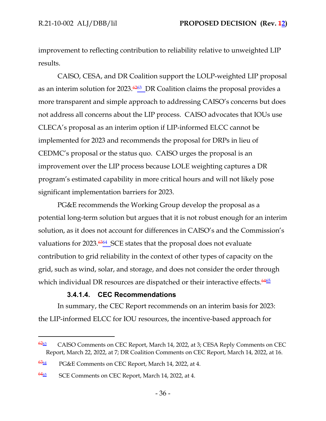improvement to reflecting contribution to reliability relative to unweighted LIP results.

CAISO, CESA, and DR Coalition support the LOLP-weighted LIP proposal as an interim solution for 2023. $\frac{6263}{12}$ DR Coalition claims the proposal provides a more transparent and simple approach to addressing CAISO's concerns but does not address all concerns about the LIP process. CAISO advocates that IOUs use CLECA's proposal as an interim option if LIP-informed ELCC cannot be implemented for 2023 and recommends the proposal for DRPs in lieu of CEDMC's proposal or the status quo. CAISO urges the proposal is an improvement over the LIP process because LOLE weighting captures a DR program's estimated capability in more critical hours and will not likely pose significant implementation barriers for 2023.

PG&E recommends the Working Group develop the proposal as a potential long-term solution but argues that it is not robust enough for an interim solution, as it does not account for differences in CAISO's and the Commission's valuations for 2023.<sup>6364</sup> SCE states that the proposal does not evaluate contribution to grid reliability in the context of other types of capacity on the grid, such as wind, solar, and storage, and does not consider the order through which individual DR resources are dispatched or their interactive effects. $\frac{6465}{ }$ 

### **3.4.1.4. CEC Recommendations**

In summary, the CEC Report recommends on an interim basis for 2023: the LIP-informed ELCC for IOU resources, the incentive-based approach for

 $\frac{6263}{2}$  CAISO Comments on CEC Report, March 14, 2022, at 3; CESA Reply Comments on CEC Report, March 22, 2022, at 7; DR Coalition Comments on CEC Report, March 14, 2022, at 16.

 $\frac{6364}{2}$  PG&E Comments on CEC Report, March 14, 2022, at 4.

<sup>6465</sup> SCE Comments on CEC Report, March 14, 2022, at 4.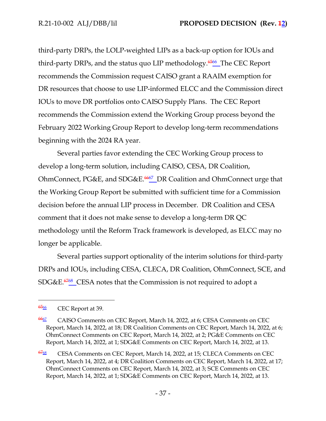third-party DRPs, the LOLP-weighted LIPs as a back-up option for IOUs and third-party DRPs, and the status quo LIP methodology.<sup>6566</sup> The CEC Report recommends the Commission request CAISO grant a RAAIM exemption for DR resources that choose to use LIP-informed ELCC and the Commission direct IOUs to move DR portfolios onto CAISO Supply Plans. The CEC Report recommends the Commission extend the Working Group process beyond the February 2022 Working Group Report to develop long-term recommendations beginning with the 2024 RA year.

Several parties favor extending the CEC Working Group process to develop a long-term solution, including CAISO, CESA, DR Coalition, OhmConnect, PG&E, and SDG&E. <sup>6667</sup> DR Coalition and OhmConnect urge that the Working Group Report be submitted with sufficient time for a Commission decision before the annual LIP process in December. DR Coalition and CESA comment that it does not make sense to develop a long-term DR QC methodology until the Reform Track framework is developed, as ELCC may no longer be applicable.

Several parties support optionality of the interim solutions for third-party DRPs and IOUs, including CESA, CLECA, DR Coalition, OhmConnect, SCE, and SDG&E.<sup>6768</sup> CESA notes that the Commission is not required to adopt a

<sup>65&</sup>lt;sub>66</sub> CEC Report at 39.

<sup>66</sup><sup>67</sup> CAISO Comments on CEC Report, March 14, 2022, at 6; CESA Comments on CEC Report, March 14, 2022, at 18; DR Coalition Comments on CEC Report, March 14, 2022, at 6; OhmConnect Comments on CEC Report, March 14, 2022, at 2; PG&E Comments on CEC Report, March 14, 2022, at 1; SDG&E Comments on CEC Report, March 14, 2022, at 13.

<sup>6768</sup> CESA Comments on CEC Report, March 14, 2022, at 15; CLECA Comments on CEC Report, March 14, 2022, at 4; DR Coalition Comments on CEC Report, March 14, 2022, at 17; OhmConnect Comments on CEC Report, March 14, 2022, at 3; SCE Comments on CEC Report, March 14, 2022, at 1; SDG&E Comments on CEC Report, March 14, 2022, at 13.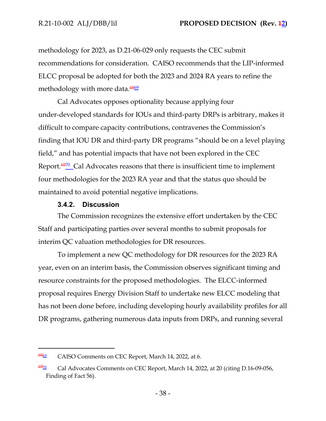methodology for 2023, as D.21-06-029 only requests the CEC submit recommendations for consideration. CAISO recommends that the LIP-informed ELCC proposal be adopted for both the 2023 and 2024 RA years to refine the methodology with more data.<sup>6869</sup>

Cal Advocates opposes optionality because applying four under-developed standards for IOUs and third-party DRPs is arbitrary, makes it difficult to compare capacity contributions, contravenes the Commission's finding that IOU DR and third-party DR programs "should be on a level playing field," and has potential impacts that have not been explored in the CEC Report.<sup>6970</sup> Cal Advocates reasons that there is insufficient time to implement four methodologies for the 2023 RA year and that the status quo should be maintained to avoid potential negative implications.

#### **3.4.2. Discussion**

The Commission recognizes the extensive effort undertaken by the CEC Staff and participating parties over several months to submit proposals for interim QC valuation methodologies for DR resources.

To implement a new QC methodology for DR resources for the 2023 RA year, even on an interim basis, the Commission observes significant timing and resource constraints for the proposed methodologies. The ELCC-informed proposal requires Energy Division Staff to undertake new ELCC modeling that has not been done before, including developing hourly availability profiles for all DR programs, gathering numerous data inputs from DRPs, and running several

<sup>6869</sup> CAISO Comments on CEC Report, March 14, 2022, at 6.

 $\frac{6970}{2}$  Cal Advocates Comments on CEC Report, March 14, 2022, at 20 (citing D.16-09-056, Finding of Fact 56).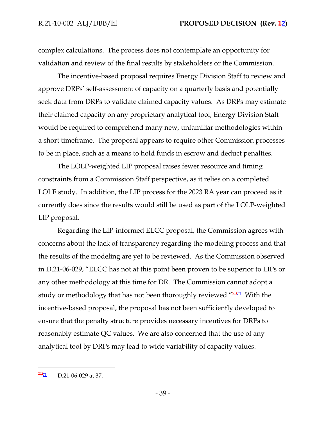complex calculations. The process does not contemplate an opportunity for validation and review of the final results by stakeholders or the Commission.

The incentive-based proposal requires Energy Division Staff to review and approve DRPs' self-assessment of capacity on a quarterly basis and potentially seek data from DRPs to validate claimed capacity values. As DRPs may estimate their claimed capacity on any proprietary analytical tool, Energy Division Staff would be required to comprehend many new, unfamiliar methodologies within a short timeframe. The proposal appears to require other Commission processes to be in place, such as a means to hold funds in escrow and deduct penalties.

The LOLP-weighted LIP proposal raises fewer resource and timing constraints from a Commission Staff perspective, as it relies on a completed LOLE study. In addition, the LIP process for the 2023 RA year can proceed as it currently does since the results would still be used as part of the LOLP-weighted LIP proposal.

Regarding the LIP-informed ELCC proposal, the Commission agrees with concerns about the lack of transparency regarding the modeling process and that the results of the modeling are yet to be reviewed. As the Commission observed in D.21-06-029, "ELCC has not at this point been proven to be superior to LIPs or any other methodology at this time for DR. The Commission cannot adopt a study or methodology that has not been thoroughly reviewed."<del>7071</del>\_With the incentive-based proposal, the proposal has not been sufficiently developed to ensure that the penalty structure provides necessary incentives for DRPs to reasonably estimate QC values. We are also concerned that the use of any analytical tool by DRPs may lead to wide variability of capacity values.

 $7\frac{7021}{10}$  D.21-06-029 at 37.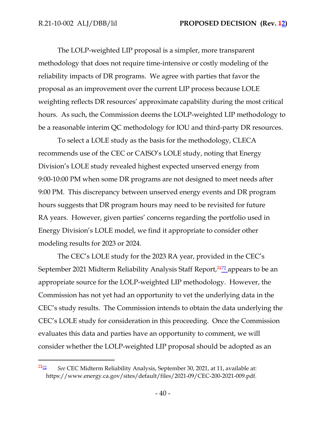The LOLP-weighted LIP proposal is a simpler, more transparent methodology that does not require time-intensive or costly modeling of the reliability impacts of DR programs. We agree with parties that favor the proposal as an improvement over the current LIP process because LOLE weighting reflects DR resources' approximate capability during the most critical hours. As such, the Commission deems the LOLP-weighted LIP methodology to be a reasonable interim QC methodology for IOU and third-party DR resources.

To select a LOLE study as the basis for the methodology, CLECA recommends use of the CEC or CAISO's LOLE study, noting that Energy Division's LOLE study revealed highest expected unserved energy from 9:00-10:00 PM when some DR programs are not designed to meet needs after 9:00 PM. This discrepancy between unserved energy events and DR program hours suggests that DR program hours may need to be revisited for future RA years. However, given parties' concerns regarding the portfolio used in Energy Division's LOLE model, we find it appropriate to consider other modeling results for 2023 or 2024.

The CEC's LOLE study for the 2023 RA year, provided in the CEC's September 2021 Midterm Reliability Analysis Staff Report, $\frac{7472}{2}$ appears to be an appropriate source for the LOLP-weighted LIP methodology. However, the Commission has not yet had an opportunity to vet the underlying data in the CEC's study results. The Commission intends to obtain the data underlying the CEC's LOLE study for consideration in this proceeding. Once the Commission evaluates this data and parties have an opportunity to comment, we will consider whether the LOLP-weighted LIP proposal should be adopted as an

<sup>71</sup><sup>72</sup> *See* CEC Midterm Reliability Analysis, September 30, 2021, at 11, available at: <https://www.energy.ca.gov/sites/default/files/2021-09/CEC-200-2021-009.pdf>.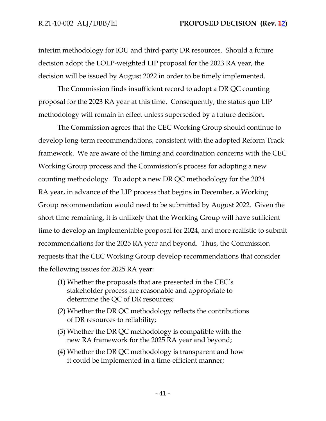interim methodology for IOU and third-party DR resources. Should a future decision adopt the LOLP-weighted LIP proposal for the 2023 RA year, the decision will be issued by August 2022 in order to be timely implemented.

The Commission finds insufficient record to adopt a DR QC counting proposal for the 2023 RA year at this time. Consequently, the status quo LIP methodology will remain in effect unless superseded by a future decision.

The Commission agrees that the CEC Working Group should continue to develop long-term recommendations, consistent with the adopted Reform Track framework. We are aware of the timing and coordination concerns with the CEC Working Group process and the Commission's process for adopting a new counting methodology. To adopt a new DR QC methodology for the 2024 RA year, in advance of the LIP process that begins in December, a Working Group recommendation would need to be submitted by August 2022. Given the short time remaining, it is unlikely that the Working Group will have sufficient time to develop an implementable proposal for 2024, and more realistic to submit recommendations for the 2025 RA year and beyond. Thus, the Commission requests that the CEC Working Group develop recommendations that consider the following issues for 2025 RA year:

- (1) Whether the proposals that are presented in the CEC's stakeholder process are reasonable and appropriate to determine the QC of DR resources;
- (2) Whether the DR QC methodology reflects the contributions of DR resources to reliability;
- (3) Whether the DR QC methodology is compatible with the new RA framework for the 2025 RA year and beyond;
- (4) Whether the DR QC methodology is transparent and how it could be implemented in a time-efficient manner;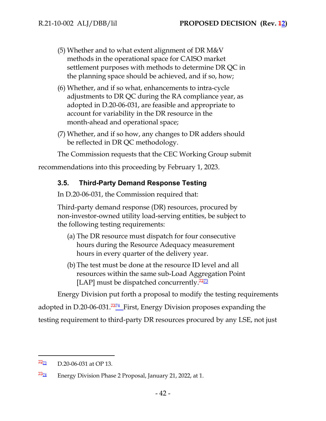- (5) Whether and to what extent alignment of DR M&V methods in the operational space for CAISO market settlement purposes with methods to determine DR QC in the planning space should be achieved, and if so, how;
- (6) Whether, and if so what, enhancements to intra-cycle adjustments to DR QC during the RA compliance year, as adopted in D.20-06-031, are feasible and appropriate to account for variability in the DR resource in the month-ahead and operational space;
- (7) Whether, and if so how, any changes to DR adders should be reflected in DR QC methodology.

The Commission requests that the CEC Working Group submit

recommendations into this proceeding by February 1, 2023.

## **3.5. Third-Party Demand Response Testing**

In D.20-06-031, the Commission required that:

Third-party demand response (DR) resources, procured by non-investor-owned utility load-serving entities, be subject to the following testing requirements:

- (a) The DR resource must dispatch for four consecutive hours during the Resource Adequacy measurement hours in every quarter of the delivery year.
- (b) The test must be done at the resource ID level and all resources within the same sub-Load Aggregation Point [LAP] must be dispatched concurrently. $72\frac{72}{3}$

Energy Division put forth a proposal to modify the testing requirements

adopted in D.20-06-031.<sup>7374</sup> First, Energy Division proposes expanding the

testing requirement to third-party DR resources procured by any LSE, not just

 $72\frac{7273}{2}$  D.20-06-031 at OP 13.

 $\frac{7374}{2}$  Energy Division Phase 2 Proposal, January 21, 2022, at 1.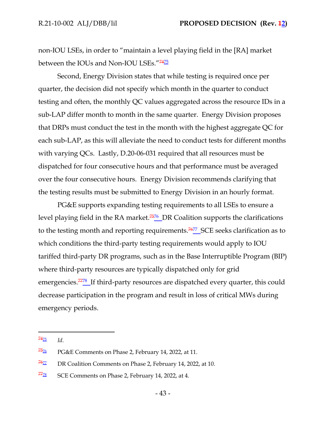non-IOU LSEs, in order to "maintain a level playing field in the [RA] market between the IOUs and Non-IOU LSEs."<sup>74<u>75</u></sup>

Second, Energy Division states that while testing is required once per quarter, the decision did not specify which month in the quarter to conduct testing and often, the monthly QC values aggregated across the resource IDs in a sub-LAP differ month to month in the same quarter. Energy Division proposes that DRPs must conduct the test in the month with the highest aggregate QC for each sub-LAP, as this will alleviate the need to conduct tests for different months with varying QCs. Lastly, D.20-06-031 required that all resources must be dispatched for four consecutive hours and that performance must be averaged over the four consecutive hours. Energy Division recommends clarifying that the testing results must be submitted to Energy Division in an hourly format.

PG&E supports expanding testing requirements to all LSEs to ensure a level playing field in the RA market.<sup>7576</sup> DR Coalition supports the clarifications to the testing month and reporting requirements.<sup>7677</sup> SCE seeks clarification as to which conditions the third-party testing requirements would apply to IOU tariffed third-party DR programs, such as in the Base Interruptible Program (BIP) where third-party resources are typically dispatched only for grid emergencies.<sup>7778</sup> If third-party resources are dispatched every quarter, this could decrease participation in the program and result in loss of critical MWs during emergency periods.

 $74_{\frac{75}{2}}$  *Id.* 

 $\frac{7576}{7576}$  PG&E Comments on Phase 2, February 14, 2022, at 11.

 $\frac{7677}{767}$  DR Coalition Comments on Phase 2, February 14, 2022, at 10.

 $7728$  SCE Comments on Phase 2, February 14, 2022, at 4.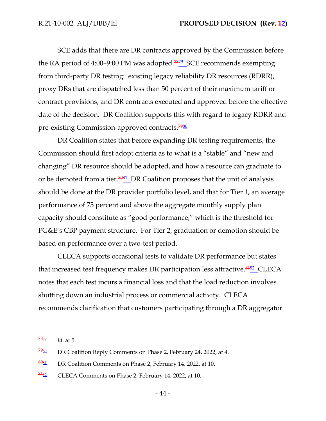SCE adds that there are DR contracts approved by the Commission before the RA period of 4:00–9:00 PM was adopted.<sup>7879</sup> SCE recommends exempting from third-party DR testing: existing legacy reliability DR resources (RDRR), proxy DRs that are dispatched less than 50 percent of their maximum tariff or contract provisions, and DR contracts executed and approved before the effective date of the decision. DR Coalition supports this with regard to legacy RDRR and pre-existing Commission-approved contracts.<sup>7980</sup>

DR Coalition states that before expanding DR testing requirements, the Commission should first adopt criteria as to what is a "stable" and "new and changing" DR resource should be adopted, and how a resource can graduate to or be demoted from a tier.<sup>8081</sup> DR Coalition proposes that the unit of analysis should be done at the DR provider portfolio level, and that for Tier 1, an average performance of 75 percent and above the aggregate monthly supply plan capacity should constitute as "good performance," which is the threshold for PG&E's CBP payment structure. For Tier 2, graduation or demotion should be based on performance over a two-test period.

CLECA supports occasional tests to validate DR performance but states that increased test frequency makes DR participation less attractive.<sup>8482</sup>\_CLECA notes that each test incurs a financial loss and that the load reduction involves shutting down an industrial process or commercial activity. CLECA recommends clarification that customers participating through a DR aggregator

 $\frac{78}{22}$  *Id.* at 5.

 $7980$  DR Coalition Reply Comments on Phase 2, February 24, 2022, at 4.

 $\frac{8081}{20}$  DR Coalition Comments on Phase 2, February 14, 2022, at 10.

 $\frac{8482}{81}$  CLECA Comments on Phase 2, February 14, 2022, at 10.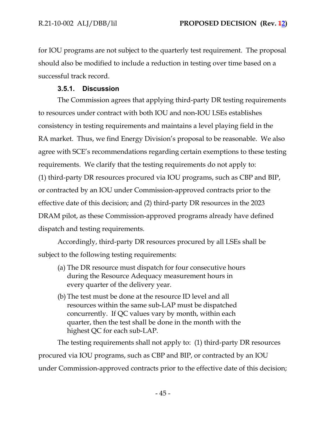for IOU programs are not subject to the quarterly test requirement. The proposal should also be modified to include a reduction in testing over time based on a successful track record.

## **3.5.1. Discussion**

The Commission agrees that applying third-party DR testing requirements to resources under contract with both IOU and non-IOU LSEs establishes consistency in testing requirements and maintains a level playing field in the RA market. Thus, we find Energy Division's proposal to be reasonable. We also agree with SCE's recommendations regarding certain exemptions to these testing requirements. We clarify that the testing requirements do not apply to: (1) third-party DR resources procured via IOU programs, such as CBP and BIP, or contracted by an IOU under Commission-approved contracts prior to the effective date of this decision; and (2) third-party DR resources in the 2023 DRAM pilot, as these Commission-approved programs already have defined dispatch and testing requirements.

Accordingly, third-party DR resources procured by all LSEs shall be subject to the following testing requirements:

- (a) The DR resource must dispatch for four consecutive hours during the Resource Adequacy measurement hours in every quarter of the delivery year.
- (b) The test must be done at the resource ID level and all resources within the same sub-LAP must be dispatched concurrently. If QC values vary by month, within each quarter, then the test shall be done in the month with the highest QC for each sub-LAP.

The testing requirements shall not apply to: (1) third-party DR resources procured via IOU programs, such as CBP and BIP, or contracted by an IOU under Commission-approved contracts prior to the effective date of this decision;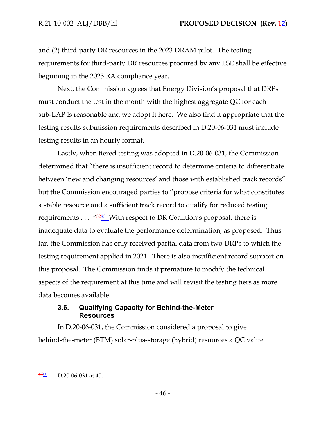and (2) third-party DR resources in the 2023 DRAM pilot. The testing requirements for third-party DR resources procured by any LSE shall be effective beginning in the 2023 RA compliance year.

Next, the Commission agrees that Energy Division's proposal that DRPs must conduct the test in the month with the highest aggregate QC for each sub-LAP is reasonable and we adopt it here. We also find it appropriate that the testing results submission requirements described in D.20-06-031 must include testing results in an hourly format.

Lastly, when tiered testing was adopted in D.20-06-031, the Commission determined that "there is insufficient record to determine criteria to differentiate between 'new and changing resources' and those with established track records" but the Commission encouraged parties to "propose criteria for what constitutes a stable resource and a sufficient track record to qualify for reduced testing requirements  $\dots$  " $\frac{9283}{2}$  With respect to DR Coalition's proposal, there is inadequate data to evaluate the performance determination, as proposed. Thus far, the Commission has only received partial data from two DRPs to which the testing requirement applied in 2021. There is also insufficient record support on this proposal. The Commission finds it premature to modify the technical aspects of the requirement at this time and will revisit the testing tiers as more data becomes available.

### **3.6. Qualifying Capacity for Behind-the-Meter Resources**

In D.20-06-031, the Commission considered a proposal to give behind-the-meter (BTM) solar-plus-storage (hybrid) resources a QC value

 $\frac{8283}{2}$  D.20-06-031 at 40.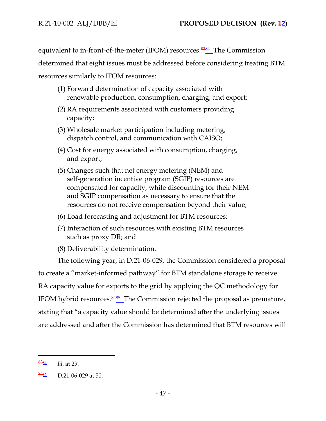equivalent to in-front-of-the-meter (IFOM) resources.<sup>8384</sup> The Commission

determined that eight issues must be addressed before considering treating BTM

resources similarly to IFOM resources:

- (1) Forward determination of capacity associated with renewable production, consumption, charging, and export;
- (2) RA requirements associated with customers providing capacity;
- (3) Wholesale market participation including metering, dispatch control, and communication with CAISO;
- (4) Cost for energy associated with consumption, charging, and export;
- (5) Changes such that net energy metering (NEM) and self-generation incentive program (SGIP) resources are compensated for capacity, while discounting for their NEM and SGIP compensation as necessary to ensure that the resources do not receive compensation beyond their value;
- (6) Load forecasting and adjustment for BTM resources;
- (7) Interaction of such resources with existing BTM resources such as proxy DR; and
- (8) Deliverability determination.

The following year, in D.21-06-029, the Commission considered a proposal to create a "market-informed pathway" for BTM standalone storage to receive RA capacity value for exports to the grid by applying the QC methodology for IFOM hybrid resources.<sup>8485</sup> The Commission rejected the proposal as premature, stating that "a capacity value should be determined after the underlying issues are addressed and after the Commission has determined that BTM resources will

<sup>83</sup><sup>84</sup> *Id*. at 29.

 $\frac{8485}{5}$  D.21-06-029 at 50.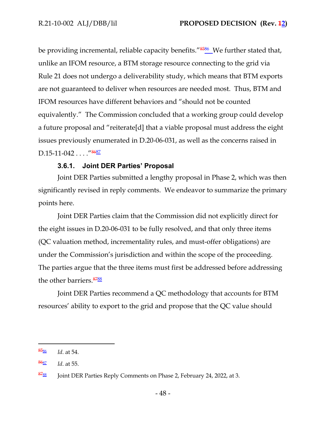be providing incremental, reliable capacity benefits."<sup>8586</sup> We further stated that, unlike an IFOM resource, a BTM storage resource connecting to the grid via Rule 21 does not undergo a deliverability study, which means that BTM exports are not guaranteed to deliver when resources are needed most. Thus, BTM and IFOM resources have different behaviors and "should not be counted equivalently." The Commission concluded that a working group could develop a future proposal and "reiterate[d] that a viable proposal must address the eight issues previously enumerated in D.20-06-031, as well as the concerns raised in D.15-11-042 . . . ."<sup>8687</sup>

### **3.6.1. Joint DER Parties' Proposal**

Joint DER Parties submitted a lengthy proposal in Phase 2, which was then significantly revised in reply comments. We endeavor to summarize the primary points here.

Joint DER Parties claim that the Commission did not explicitly direct for the eight issues in D.20-06-031 to be fully resolved, and that only three items (QC valuation method, incrementality rules, and must-offer obligations) are under the Commission's jurisdiction and within the scope of the proceeding. The parties argue that the three items must first be addressed before addressing the other barriers. 8788

Joint DER Parties recommend a QC methodology that accounts for BTM resources' ability to export to the grid and propose that the QC value should

<sup>85</sup><sup>86</sup> *Id*. at 54.

<sup>86</sup><sup>87</sup> *Id*. at 55.

 $\frac{8788}{8788}$  Joint DER Parties Reply Comments on Phase 2, February 24, 2022, at 3.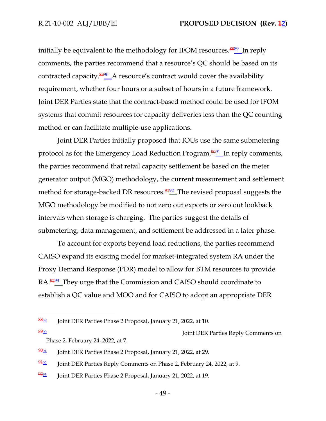initially be equivalent to the methodology for IFOM resources.<sup>8889</sup> In reply comments, the parties recommend that a resource's QC should be based on its contracted capacity.<sup>8990</sup> A resource's contract would cover the availability requirement, whether four hours or a subset of hours in a future framework. Joint DER Parties state that the contract-based method could be used for IFOM systems that commit resources for capacity deliveries less than the QC counting method or can facilitate multiple-use applications.

Joint DER Parties initially proposed that IOUs use the same submetering protocol as for the Emergency Load Reduction Program.<sup>9091</sup> In reply comments, the parties recommend that retail capacity settlement be based on the meter generator output (MGO) methodology, the current measurement and settlement method for storage-backed DR resources.<sup>9492</sup> The revised proposal suggests the MGO methodology be modified to not zero out exports or zero out lookback intervals when storage is charging. The parties suggest the details of submetering, data management, and settlement be addressed in a later phase.

To account for exports beyond load reductions, the parties recommend CAISO expand its existing model for market-integrated system RA under the Proxy Demand Response (PDR) model to allow for BTM resources to provide RA.<sup>9293</sup> They urge that the Commission and CAISO should coordinate to establish a QC value and MOO and for CAISO to adopt an appropriate DER

8990 Joint DER Parties Reply Comments on Phase 2, February 24, 2022, at 7.

<sup>8889</sup> Joint DER Parties Phase 2 Proposal, January 21, 2022, at 10.

 $\frac{9091}{9091}$  Joint DER Parties Phase 2 Proposal, January 21, 2022, at 29.

 $\frac{9492}{91}$  Joint DER Parties Reply Comments on Phase 2, February 24, 2022, at 9.

 $\frac{9293}{92}$  Joint DER Parties Phase 2 Proposal, January 21, 2022, at 19.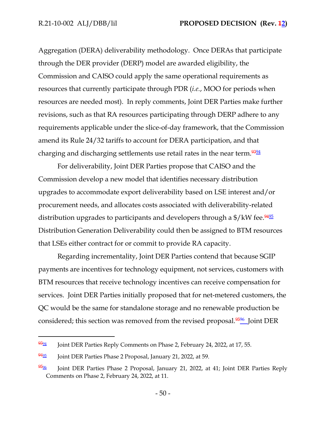Aggregation (DERA) deliverability methodology. Once DERAs that participate through the DER provider (DERP) model are awarded eligibility, the Commission and CAISO could apply the same operational requirements as resources that currently participate through PDR (*i.e.*, MOO for periods when resources are needed most). In reply comments, Joint DER Parties make further revisions, such as that RA resources participating through DERP adhere to any requirements applicable under the slice-of-day framework, that the Commission amend its Rule 24/32 tariffs to account for DERA participation, and that charging and discharging settlements use retail rates in the near term.<sup>9394</sup>

For deliverability, Joint DER Parties propose that CAISO and the Commission develop a new model that identifies necessary distribution upgrades to accommodate export deliverability based on LSE interest and/or procurement needs, and allocates costs associated with deliverability-related distribution upgrades to participants and developers through a \$/kW fee.<sup>9495</sup> Distribution Generation Deliverability could then be assigned to BTM resources that LSEs either contract for or commit to provide RA capacity.

Regarding incrementality, Joint DER Parties contend that because SGIP payments are incentives for technology equipment, not services, customers with BTM resources that receive technology incentives can receive compensation for services. Joint DER Parties initially proposed that for net-metered customers, the QC would be the same for standalone storage and no renewable production be considered; this section was removed from the revised proposal.<sup>9596</sup> Joint DER

 $\frac{9394}{9394}$  Joint DER Parties Reply Comments on Phase 2, February 24, 2022, at 17, 55.

 $\frac{9495}{94}$  Joint DER Parties Phase 2 Proposal, January 21, 2022, at 59.

 $\frac{9596}{90}$  Joint DER Parties Phase 2 Proposal, January 21, 2022, at 41; Joint DER Parties Reply Comments on Phase 2, February 24, 2022, at 11.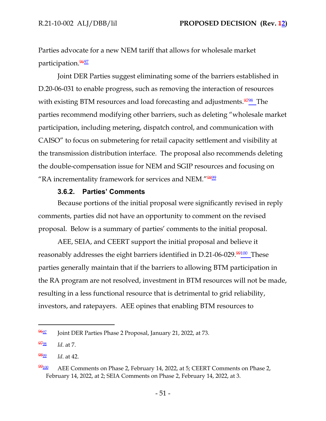Parties advocate for a new NEM tariff that allows for wholesale market participation.<sup>9697</sup>

Joint DER Parties suggest eliminating some of the barriers established in D.20-06-031 to enable progress, such as removing the interaction of resources with existing BTM resources and load forecasting and adjustments.<sup>9798</sup>\_The parties recommend modifying other barriers, such as deleting "wholesale market participation, including metering, dispatch control, and communication with CAISO" to focus on submetering for retail capacity settlement and visibility at the transmission distribution interface. The proposal also recommends deleting the double-compensation issue for NEM and SGIP resources and focusing on "RA incrementality framework for services and NEM."9899

#### **3.6.2. Parties' Comments**

Because portions of the initial proposal were significantly revised in reply comments, parties did not have an opportunity to comment on the revised proposal. Below is a summary of parties' comments to the initial proposal.

AEE, SEIA, and CEERT support the initial proposal and believe it reasonably addresses the eight barriers identified in D.21-06-029.<sup>99100</sup> These parties generally maintain that if the barriers to allowing BTM participation in the RA program are not resolved, investment in BTM resources will not be made, resulting in a less functional resource that is detrimental to grid reliability, investors, and ratepayers. AEE opines that enabling BTM resources to

 $\frac{9697}{9692}$  Joint DER Parties Phase 2 Proposal, January 21, 2022, at 73.

<sup>97</sup><sup>98</sup> *Id*. at 7.

<sup>98</sup><sup>99</sup> *Id*. at 42.

 $\frac{99}{100}$  AEE Comments on Phase 2, February 14, 2022, at 5; CEERT Comments on Phase 2, February 14, 2022, at 2; SEIA Comments on Phase 2, February 14, 2022, at 3.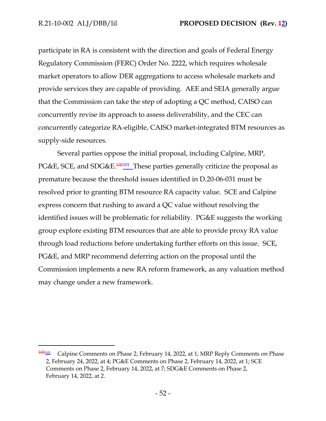participate in RA is consistent with the direction and goals of Federal Energy Regulatory Commission (FERC) Order No. 2222, which requires wholesale market operators to allow DER aggregations to access wholesale markets and provide services they are capable of providing. AEE and SEIA generally argue that the Commission can take the step of adopting a QC method, CAISO can concurrently revise its approach to assess deliverability, and the CEC can concurrently categorize RA-eligible, CAISO market-integrated BTM resources as supply-side resources.

Several parties oppose the initial proposal, including Calpine, MRP, PG&E, SCE, and SDG&E.<sup>100101</sup> These parties generally criticize the proposal as premature because the threshold issues identified in D.20-06-031 must be resolved prior to granting BTM resource RA capacity value. SCE and Calpine express concern that rushing to award a QC value without resolving the identified issues will be problematic for reliability. PG&E suggests the working group explore existing BTM resources that are able to provide proxy RA value through load reductions before undertaking further efforts on this issue. SCE, PG&E, and MRP recommend deferring action on the proposal until the Commission implements a new RA reform framework, as any valuation method may change under a new framework.

<sup>100</sup><sup>101</sup> Calpine Comments on Phase 2, February 14, 2022, at 1; MRP Reply Comments on Phase 2, February 24, 2022, at 4; PG&E Comments on Phase 2, February 14, 2022, at 1; SCE Comments on Phase 2, February 14, 2022, at 7; SDG&E Comments on Phase 2, February 14, 2022, at 2.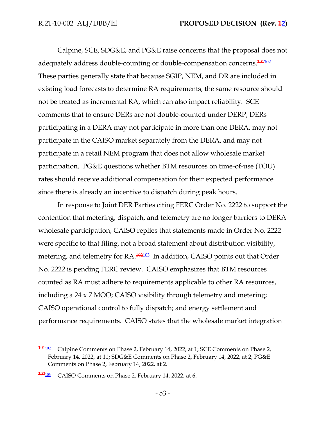Calpine, SCE, SDG&E, and PG&E raise concerns that the proposal does not adequately address double-counting or double-compensation concerns.<sup>101102</sup> These parties generally state that because SGIP, NEM, and DR are included in existing load forecasts to determine RA requirements, the same resource should not be treated as incremental RA, which can also impact reliability. SCE comments that to ensure DERs are not double-counted under DERP, DERs participating in a DERA may not participate in more than one DERA, may not participate in the CAISO market separately from the DERA, and may not participate in a retail NEM program that does not allow wholesale market participation. PG&E questions whether BTM resources on time-of-use (TOU) rates should receive additional compensation for their expected performance since there is already an incentive to dispatch during peak hours.

In response to Joint DER Parties citing FERC Order No. 2222 to support the contention that metering, dispatch, and telemetry are no longer barriers to DERA wholesale participation, CAISO replies that statements made in Order No. 2222 were specific to that filing, not a broad statement about distribution visibility, metering, and telemetry for  $RA$ .  $\frac{102103}{10}$  In addition, CAISO points out that Order No. 2222 is pending FERC review. CAISO emphasizes that BTM resources counted as RA must adhere to requirements applicable to other RA resources, including a 24 x 7 MOO; CAISO visibility through telemetry and metering; CAISO operational control to fully dispatch; and energy settlement and performance requirements. CAISO states that the wholesale market integration

 $\frac{101102}{101102}$  Calpine Comments on Phase 2, February 14, 2022, at 1; SCE Comments on Phase 2, February 14, 2022, at 11; SDG&E Comments on Phase 2, February 14, 2022, at 2; PG&E Comments on Phase 2, February 14, 2022, at 2.

 $\frac{102103}{102103}$  CAISO Comments on Phase 2, February 14, 2022, at 6.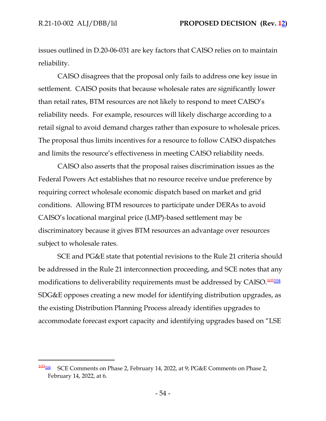issues outlined in D.20-06-031 are key factors that CAISO relies on to maintain reliability.

CAISO disagrees that the proposal only fails to address one key issue in settlement. CAISO posits that because wholesale rates are significantly lower than retail rates, BTM resources are not likely to respond to meet CAISO's reliability needs. For example, resources will likely discharge according to a retail signal to avoid demand charges rather than exposure to wholesale prices. The proposal thus limits incentives for a resource to follow CAISO dispatches and limits the resource's effectiveness in meeting CAISO reliability needs.

CAISO also asserts that the proposal raises discrimination issues as the Federal Powers Act establishes that no resource receive undue preference by requiring correct wholesale economic dispatch based on market and grid conditions. Allowing BTM resources to participate under DERAs to avoid CAISO's locational marginal price (LMP)-based settlement may be discriminatory because it gives BTM resources an advantage over resources subject to wholesale rates.

SCE and PG&E state that potential revisions to the Rule 21 criteria should be addressed in the Rule 21 interconnection proceeding, and SCE notes that any modifications to deliverability requirements must be addressed by CAISO.<sup>103104</sup> SDG&E opposes creating a new model for identifying distribution upgrades, as the existing Distribution Planning Process already identifies upgrades to accommodate forecast export capacity and identifying upgrades based on "LSE

 $\frac{103104}{103104}$  SCE Comments on Phase 2, February 14, 2022, at 9; PG&E Comments on Phase 2, February 14, 2022, at 6.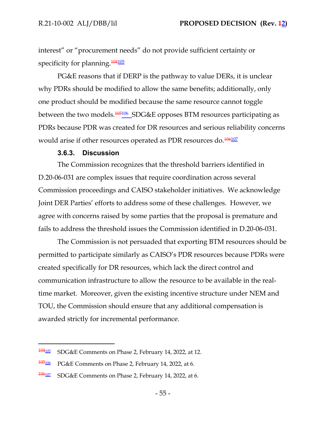interest" or "procurement needs" do not provide sufficient certainty or specificity for planning.<sup>104105</sup>

PG&E reasons that if DERP is the pathway to value DERs, it is unclear why PDRs should be modified to allow the same benefits; additionally, only one product should be modified because the same resource cannot toggle between the two models.<sup>105106</sup> SDG&E opposes BTM resources participating as PDRs because PDR was created for DR resources and serious reliability concerns would arise if other resources operated as PDR resources do.<sup>106107</sup>

#### **3.6.3. Discussion**

The Commission recognizes that the threshold barriers identified in D.20-06-031 are complex issues that require coordination across several Commission proceedings and CAISO stakeholder initiatives. We acknowledge Joint DER Parties' efforts to address some of these challenges. However, we agree with concerns raised by some parties that the proposal is premature and fails to address the threshold issues the Commission identified in D.20-06-031.

The Commission is not persuaded that exporting BTM resources should be permitted to participate similarly as CAISO's PDR resources because PDRs were created specifically for DR resources, which lack the direct control and communication infrastructure to allow the resource to be available in the realtime market. Moreover, given the existing incentive structure under NEM and TOU, the Commission should ensure that any additional compensation is awarded strictly for incremental performance.

 $\frac{104105}{104105}$  SDG&E Comments on Phase 2, February 14, 2022, at 12.

<sup>105106</sup> PG&E Comments on Phase 2, February 14, 2022, at 6.

<sup>106</sup><sup>107</sup> SDG&E Comments on Phase 2, February 14, 2022, at 6.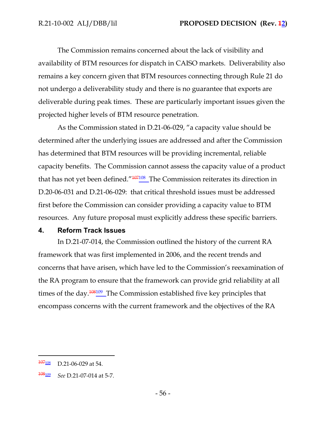The Commission remains concerned about the lack of visibility and availability of BTM resources for dispatch in CAISO markets. Deliverability also remains a key concern given that BTM resources connecting through Rule 21 do not undergo a deliverability study and there is no guarantee that exports are deliverable during peak times. These are particularly important issues given the projected higher levels of BTM resource penetration.

As the Commission stated in D.21-06-029, "a capacity value should be determined after the underlying issues are addressed and after the Commission has determined that BTM resources will be providing incremental, reliable capacity benefits. The Commission cannot assess the capacity value of a product that has not yet been defined."<sup>107108</sup> The Commission reiterates its direction in D.20-06-031 and D.21-06-029: that critical threshold issues must be addressed first before the Commission can consider providing a capacity value to BTM resources. Any future proposal must explicitly address these specific barriers.

#### **4. Reform Track Issues**

In D.21-07-014, the Commission outlined the history of the current RA framework that was first implemented in 2006, and the recent trends and concerns that have arisen, which have led to the Commission's reexamination of the RA program to ensure that the framework can provide grid reliability at all times of the day.<sup>108109</sup> The Commission established five key principles that encompass concerns with the current framework and the objectives of the RA

 $\frac{107108}{100}$  D.21-06-029 at 54.

<sup>108</sup><sup>109</sup> *See* D.21-07-014 at 5-7.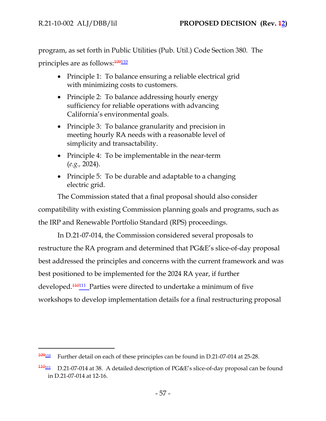program, as set forth in Public Utilities (Pub. Util.) Code Section 380. The principles are as follows:  $\frac{109110}{ }$ 

- Principle 1: To balance ensuring a reliable electrical grid with minimizing costs to customers.
- Principle 2: To balance addressing hourly energy sufficiency for reliable operations with advancing California's environmental goals.
- Principle 3: To balance granularity and precision in meeting hourly RA needs with a reasonable level of simplicity and transactability.
- Principle 4: To be implementable in the near-term (*e.g.,* 2024).
- Principle 5: To be durable and adaptable to a changing electric grid.

The Commission stated that a final proposal should also consider compatibility with existing Commission planning goals and programs, such as the IRP and Renewable Portfolio Standard (RPS) proceedings.

In D.21-07-014, the Commission considered several proposals to restructure the RA program and determined that PG&E's slice-of-day proposal best addressed the principles and concerns with the current framework and was best positioned to be implemented for the 2024 RA year, if further developed.<sup>110111</sup> Parties were directed to undertake a minimum of five workshops to develop implementation details for a final restructuring proposal

 $\frac{109110}{109110}$  Further detail on each of these principles can be found in D.21-07-014 at 25-28.

 $\frac{110111}{110111}$  D.21-07-014 at 38. A detailed description of PG&E's slice-of-day proposal can be found in D.21-07-014 at 12-16.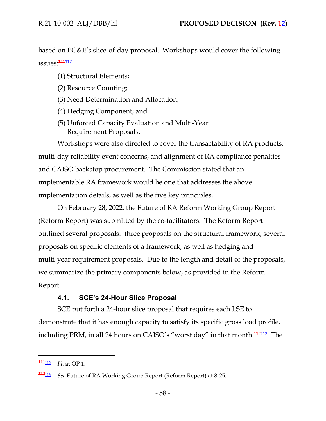based on PG&E's slice-of-day proposal. Workshops would cover the following issues:<sup>111</sup>112

- (1) Structural Elements;
- (2) Resource Counting;
- (3) Need Determination and Allocation;
- (4) Hedging Component; and
- (5) Unforced Capacity Evaluation and Multi-Year Requirement Proposals.

Workshops were also directed to cover the transactability of RA products, multi-day reliability event concerns, and alignment of RA compliance penalties and CAISO backstop procurement. The Commission stated that an implementable RA framework would be one that addresses the above implementation details, as well as the five key principles.

On February 28, 2022, the Future of RA Reform Working Group Report (Reform Report) was submitted by the co-facilitators. The Reform Report outlined several proposals: three proposals on the structural framework, several proposals on specific elements of a framework, as well as hedging and multi-year requirement proposals. Due to the length and detail of the proposals, we summarize the primary components below, as provided in the Reform Report.

## **4.1. SCE's 24-Hour Slice Proposal**

SCE put forth a 24-hour slice proposal that requires each LSE to demonstrate that it has enough capacity to satisfy its specific gross load profile, including PRM, in all 24 hours on CAISO's "worst day" in that month.<sup>112</sup><sup>113</sup> The

<sup>111&</sup>lt;sub>112</sub> *Id.* at OP 1.

<sup>112</sup><sup>113</sup> *See* Future of RA Working Group Report (Reform Report) at 8-25.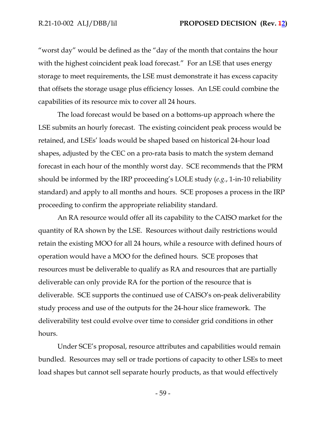"worst day" would be defined as the "day of the month that contains the hour with the highest coincident peak load forecast." For an LSE that uses energy storage to meet requirements, the LSE must demonstrate it has excess capacity that offsets the storage usage plus efficiency losses. An LSE could combine the capabilities of its resource mix to cover all 24 hours.

The load forecast would be based on a bottoms-up approach where the LSE submits an hourly forecast. The existing coincident peak process would be retained, and LSEs' loads would be shaped based on historical 24-hour load shapes, adjusted by the CEC on a pro-rata basis to match the system demand forecast in each hour of the monthly worst day. SCE recommends that the PRM should be informed by the IRP proceeding's LOLE study (*e.g.*, 1-in-10 reliability standard) and apply to all months and hours. SCE proposes a process in the IRP proceeding to confirm the appropriate reliability standard.

An RA resource would offer all its capability to the CAISO market for the quantity of RA shown by the LSE. Resources without daily restrictions would retain the existing MOO for all 24 hours, while a resource with defined hours of operation would have a MOO for the defined hours. SCE proposes that resources must be deliverable to qualify as RA and resources that are partially deliverable can only provide RA for the portion of the resource that is deliverable. SCE supports the continued use of CAISO's on-peak deliverability study process and use of the outputs for the 24-hour slice framework. The deliverability test could evolve over time to consider grid conditions in other hours.

Under SCE's proposal, resource attributes and capabilities would remain bundled. Resources may sell or trade portions of capacity to other LSEs to meet load shapes but cannot sell separate hourly products, as that would effectively

- 59 -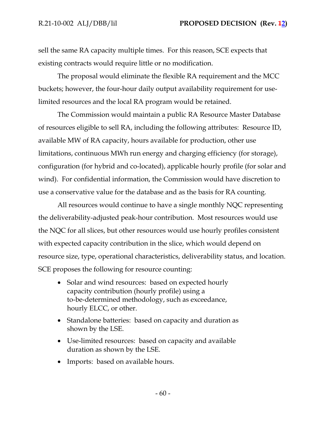sell the same RA capacity multiple times. For this reason, SCE expects that existing contracts would require little or no modification.

The proposal would eliminate the flexible RA requirement and the MCC buckets; however, the four-hour daily output availability requirement for uselimited resources and the local RA program would be retained.

The Commission would maintain a public RA Resource Master Database of resources eligible to sell RA, including the following attributes: Resource ID, available MW of RA capacity, hours available for production, other use limitations, continuous MWh run energy and charging efficiency (for storage), configuration (for hybrid and co-located), applicable hourly profile (for solar and wind). For confidential information, the Commission would have discretion to use a conservative value for the database and as the basis for RA counting.

All resources would continue to have a single monthly NQC representing the deliverability-adjusted peak-hour contribution. Most resources would use the NQC for all slices, but other resources would use hourly profiles consistent with expected capacity contribution in the slice, which would depend on resource size, type, operational characteristics, deliverability status, and location. SCE proposes the following for resource counting:

- Solar and wind resources: based on expected hourly capacity contribution (hourly profile) using a to-be-determined methodology, such as exceedance, hourly ELCC, or other.
- Standalone batteries: based on capacity and duration as shown by the LSE.
- Use-limited resources: based on capacity and available duration as shown by the LSE.
- Imports: based on available hours.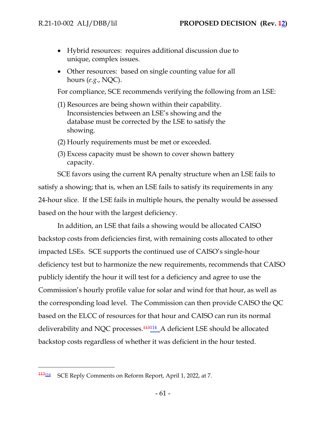- Hybrid resources: requires additional discussion due to unique, complex issues.
- Other resources: based on single counting value for all hours (*e.g*., NQC).

For compliance, SCE recommends verifying the following from an LSE:

- (1) Resources are being shown within their capability. Inconsistencies between an LSE's showing and the database must be corrected by the LSE to satisfy the showing.
- (2) Hourly requirements must be met or exceeded.
- (3) Excess capacity must be shown to cover shown battery capacity.

SCE favors using the current RA penalty structure when an LSE fails to satisfy a showing; that is, when an LSE fails to satisfy its requirements in any 24-hour slice. If the LSE fails in multiple hours, the penalty would be assessed based on the hour with the largest deficiency.

In addition, an LSE that fails a showing would be allocated CAISO backstop costs from deficiencies first, with remaining costs allocated to other impacted LSEs. SCE supports the continued use of CAISO's single-hour deficiency test but to harmonize the new requirements, recommends that CAISO publicly identify the hour it will test for a deficiency and agree to use the Commission's hourly profile value for solar and wind for that hour, as well as the corresponding load level. The Commission can then provide CAISO the QC based on the ELCC of resources for that hour and CAISO can run its normal deliverability and NQC processes.<sup>113114</sup> A deficient LSE should be allocated backstop costs regardless of whether it was deficient in the hour tested.

<sup>113</sup><sup>114</sup> SCE Reply Comments on Reform Report, April 1, 2022, at 7.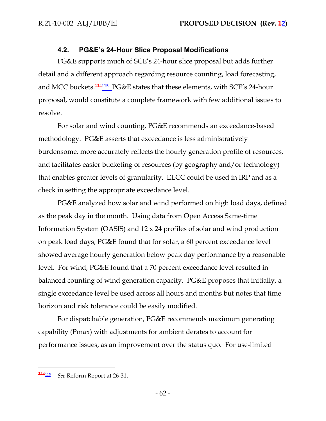### **4.2. PG&E's 24-Hour Slice Proposal Modifications**

PG&E supports much of SCE's 24-hour slice proposal but adds further detail and a different approach regarding resource counting, load forecasting, and MCC buckets.<sup>114115</sup> PG&E states that these elements, with SCE's 24-hour proposal, would constitute a complete framework with few additional issues to resolve.

For solar and wind counting, PG&E recommends an exceedance-based methodology. PG&E asserts that exceedance is less administratively burdensome, more accurately reflects the hourly generation profile of resources, and facilitates easier bucketing of resources (by geography and/or technology) that enables greater levels of granularity. ELCC could be used in IRP and as a check in setting the appropriate exceedance level.

PG&E analyzed how solar and wind performed on high load days, defined as the peak day in the month. Using data from Open Access Same-time Information System (OASIS) and 12 x 24 profiles of solar and wind production on peak load days, PG&E found that for solar, a 60 percent exceedance level showed average hourly generation below peak day performance by a reasonable level. For wind, PG&E found that a 70 percent exceedance level resulted in balanced counting of wind generation capacity. PG&E proposes that initially, a single exceedance level be used across all hours and months but notes that time horizon and risk tolerance could be easily modified.

For dispatchable generation, PG&E recommends maximum generating capability (Pmax) with adjustments for ambient derates to account for performance issues, as an improvement over the status quo. For use-limited

<sup>114</sup><sup>115</sup> *See* Reform Report at 26-31.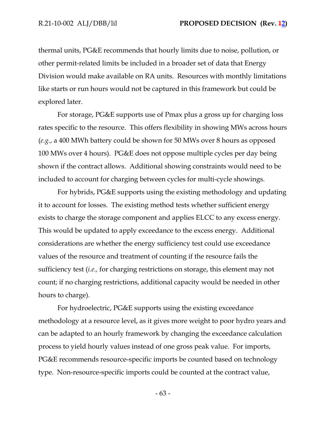thermal units, PG&E recommends that hourly limits due to noise, pollution, or other permit-related limits be included in a broader set of data that Energy Division would make available on RA units. Resources with monthly limitations like starts or run hours would not be captured in this framework but could be explored later.

For storage, PG&E supports use of Pmax plus a gross up for charging loss rates specific to the resource. This offers flexibility in showing MWs across hours (*e.g.*, a 400 MWh battery could be shown for 50 MWs over 8 hours as opposed 100 MWs over 4 hours). PG&E does not oppose multiple cycles per day being shown if the contract allows. Additional showing constraints would need to be included to account for charging between cycles for multi-cycle showings.

For hybrids, PG&E supports using the existing methodology and updating it to account for losses. The existing method tests whether sufficient energy exists to charge the storage component and applies ELCC to any excess energy. This would be updated to apply exceedance to the excess energy. Additional considerations are whether the energy sufficiency test could use exceedance values of the resource and treatment of counting if the resource fails the sufficiency test (*i.e.,* for charging restrictions on storage, this element may not count; if no charging restrictions, additional capacity would be needed in other hours to charge).

For hydroelectric, PG&E supports using the existing exceedance methodology at a resource level, as it gives more weight to poor hydro years and can be adapted to an hourly framework by changing the exceedance calculation process to yield hourly values instead of one gross peak value. For imports, PG&E recommends resource-specific imports be counted based on technology type. Non-resource-specific imports could be counted at the contract value,

- 63 -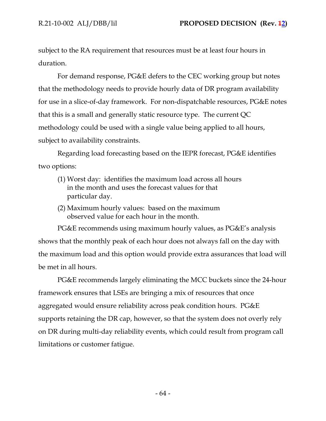subject to the RA requirement that resources must be at least four hours in duration.

For demand response, PG&E defers to the CEC working group but notes that the methodology needs to provide hourly data of DR program availability for use in a slice-of-day framework. For non-dispatchable resources, PG&E notes that this is a small and generally static resource type. The current QC methodology could be used with a single value being applied to all hours, subject to availability constraints.

Regarding load forecasting based on the IEPR forecast, PG&E identifies two options:

- (1) Worst day: identifies the maximum load across all hours in the month and uses the forecast values for that particular day.
- (2) Maximum hourly values: based on the maximum observed value for each hour in the month.

PG&E recommends using maximum hourly values, as PG&E's analysis shows that the monthly peak of each hour does not always fall on the day with the maximum load and this option would provide extra assurances that load will be met in all hours.

PG&E recommends largely eliminating the MCC buckets since the 24-hour framework ensures that LSEs are bringing a mix of resources that once aggregated would ensure reliability across peak condition hours. PG&E supports retaining the DR cap, however, so that the system does not overly rely on DR during multi-day reliability events, which could result from program call limitations or customer fatigue.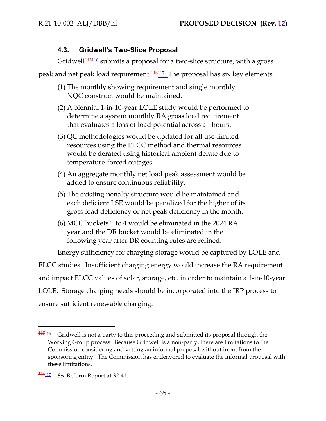## **4.3. Gridwell's Two-Slice Proposal**

Gridwell<sup>115116</sup> submits a proposal for a two-slice structure, with a gross

peak and net peak load requirement.<sup>116117</sup> The proposal has six key elements.

- (1) The monthly showing requirement and single monthly NQC construct would be maintained.
- (2) A biennial 1-in-10-year LOLE study would be performed to determine a system monthly RA gross load requirement that evaluates a loss of load potential across all hours.
- (3) QC methodologies would be updated for all use-limited resources using the ELCC method and thermal resources would be derated using historical ambient derate due to temperature-forced outages.
- (4) An aggregate monthly net load peak assessment would be added to ensure continuous reliability.
- (5) The existing penalty structure would be maintained and each deficient LSE would be penalized for the higher of its gross load deficiency or net peak deficiency in the month.
- (6) MCC buckets 1 to 4 would be eliminated in the 2024 RA year and the DR bucket would be eliminated in the following year after DR counting rules are refined.

Energy sufficiency for charging storage would be captured by LOLE and ELCC studies. Insufficient charging energy would increase the RA requirement and impact ELCC values of solar, storage, etc. in order to maintain a 1-in-10-year LOLE. Storage charging needs should be incorporated into the IRP process to ensure sufficient renewable charging.

<sup>115</sup><sup>116</sup> Gridwell is not a party to this proceeding and submitted its proposal through the Working Group process. Because Gridwell is a non-party, there are limitations to the Commission considering and vetting an informal proposal without input from the sponsoring entity. The Commission has endeavored to evaluate the informal proposal with these limitations.

<sup>116</sup><sup>117</sup> *See* Reform Report at 32-41.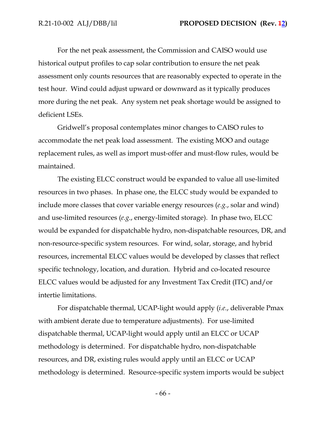For the net peak assessment, the Commission and CAISO would use historical output profiles to cap solar contribution to ensure the net peak assessment only counts resources that are reasonably expected to operate in the test hour. Wind could adjust upward or downward as it typically produces more during the net peak. Any system net peak shortage would be assigned to deficient LSEs.

Gridwell's proposal contemplates minor changes to CAISO rules to accommodate the net peak load assessment. The existing MOO and outage replacement rules, as well as import must-offer and must-flow rules, would be maintained.

The existing ELCC construct would be expanded to value all use-limited resources in two phases. In phase one, the ELCC study would be expanded to include more classes that cover variable energy resources (*e.g.*, solar and wind) and use-limited resources (*e.g*., energy-limited storage). In phase two, ELCC would be expanded for dispatchable hydro, non-dispatchable resources, DR, and non-resource-specific system resources. For wind, solar, storage, and hybrid resources, incremental ELCC values would be developed by classes that reflect specific technology, location, and duration. Hybrid and co-located resource ELCC values would be adjusted for any Investment Tax Credit (ITC) and/or intertie limitations.

For dispatchable thermal, UCAP-light would apply (*i.e.*, deliverable Pmax with ambient derate due to temperature adjustments). For use-limited dispatchable thermal, UCAP-light would apply until an ELCC or UCAP methodology is determined. For dispatchable hydro, non-dispatchable resources, and DR, existing rules would apply until an ELCC or UCAP methodology is determined. Resource-specific system imports would be subject

- 66 -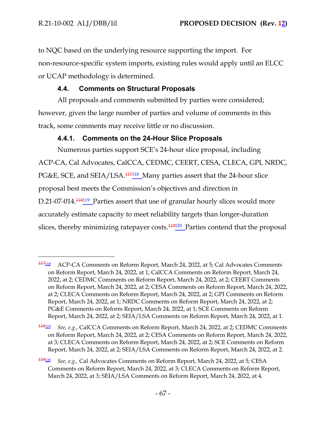to NQC based on the underlying resource supporting the import. For non-resource-specific system imports, existing rules would apply until an ELCC or UCAP methodology is determined.

# **4.4. Comments on Structural Proposals**

All proposals and comments submitted by parties were considered; however, given the large number of parties and volume of comments in this track, some comments may receive little or no discussion.

## **4.4.1. Comments on the 24-Hour Slice Proposals**

Numerous parties support SCE's 24-hour slice proposal, including ACP-CA, Cal Advocates, CalCCA, CEDMC, CEERT, CESA, CLECA, GPI, NRDC, PG&E, SCE, and SEIA/LSA.<sup>117118</sup> Many parties assert that the 24-hour slice proposal best meets the Commission's objectives and direction in D.21-07-014.<sup>118119</sup> Parties assert that use of granular hourly slices would more accurately estimate capacity to meet reliability targets than longer-duration slices, thereby minimizing ratepayer costs.<sup>119120</sup> Parties contend that the proposal

<sup>118</sup><sup>119</sup> *See, e.g.*, CalCCA Comments on Reform Report, March 24, 2022, at 2; CEDMC Comments on Reform Report, March 24, 2022, at 2; CESA Comments on Reform Report, March 24, 2022, at 3; CLECA Comments on Reform Report, March 24, 2022, at 2; SCE Comments on Reform Report, March 24, 2022, at 2; SEIA/LSA Comments on Reform Report, March 24, 2022, at 2.

<sup>117</sup><sup>118</sup> ACP-CA Comments on Reform Report, March 24, 2022, at 5; Cal Advocates Comments on Reform Report, March 24, 2022, at 1; CalCCA Comments on Reform Report, March 24, 2022, at 2; CEDMC Comments on Reform Report, March 24, 2022, at 2; CEERT Comments on Reform Report, March 24, 2022, at 2; CESA Comments on Reform Report, March 24, 2022, at 2; CLECA Comments on Reform Report, March 24, 2022, at 2; GPI Comments on Reform Report, March 24, 2022, at 1; NRDC Comments on Reform Report, March 24, 2022, at 2; PG&E Comments on Reform Report, March 24, 2022, at 1; SCE Comments on Reform Report, March 24, 2022, at 2; SEIA/LSA Comments on Reform Report, March 24, 2022, at 1.

<sup>119</sup><sup>120</sup> *See, e.g.,* Cal Advocates Comments on Reform Report, March 24, 2022, at 5; CESA Comments on Reform Report, March 24, 2022, at 3; CLECA Comments on Reform Report, March 24, 2022, at 3; SEIA/LSA Comments on Reform Report, March 24, 2022, at 4.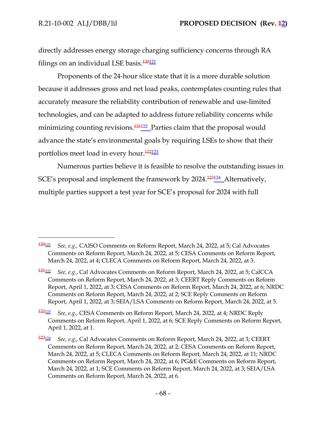directly addresses energy storage charging sufficiency concerns through RA filings on an individual LSE basis.<sup>120121</sup>

Proponents of the 24-hour slice state that it is a more durable solution because it addresses gross and net load peaks, contemplates counting rules that accurately measure the reliability contribution of renewable and use-limited technologies, and can be adapted to address future reliability concerns while minimizing counting revisions.<sup>121122</sup> Parties claim that the proposal would advance the state's environmental goals by requiring LSEs to show that their portfolios meet load in every hour.<sup>122123</sup>

Numerous parties believe it is feasible to resolve the outstanding issues in SCE's proposal and implement the framework by 2024.<sup>123124</sup> Alternatively, multiple parties support a test year for SCE's proposal for 2024 with full

<sup>120</sup><sup>121</sup> *See, e.g.,* CAISO Comments on Reform Report, March 24, 2022, at 5; Cal Advocates Comments on Reform Report, March 24, 2022, at 5; CESA Comments on Reform Report, March 24, 2022, at 4; CLECA Comments on Reform Report, March 24, 2022, at 3.

<sup>121</sup><sup>122</sup> *See, e.g.*, Cal Advocates Comments on Reform Report, March 24, 2022, at 5; CalCCA Comments on Reform Report, March 24, 2022, at 3; CEERT Reply Comments on Reform Report, April 1, 2022, at 3; CESA Comments on Reform Report, March 24, 2022, at 6; NRDC Comments on Reform Report, March 24, 2022, at 2; SCE Reply Comments on Reform Report, April 1, 2022, at 3; SEIA/LSA Comments on Reform Report, March 24, 2022, at 5.

<sup>122</sup><sup>123</sup> *See, e.g.,* CESA Comments on Reform Report, March 24, 2022, at 4; NRDC Reply Comments on Reform Report, April 1, 2022, at 6; SCE Reply Comments on Reform Report, April 1, 2022, at 1.

<sup>123</sup><sup>124</sup> *See, e.g.*, Cal Advocates Comments on Reform Report, March 24, 2022, at 3; CEERT Comments on Reform Report, March 24, 2022, at 2; CESA Comments on Reform Report, March 24, 2022, at 5; CLECA Comments on Reform Report, March 24, 2022, at 11; NRDC Comments on Reform Report, March 24, 2022, at 6; PG&E Comments on Reform Report, March 24, 2022, at 1; SCE Comments on Reform Report, March 24, 2022, at 3; SEIA/LSA Comments on Reform Report, March 24, 2022, at 6.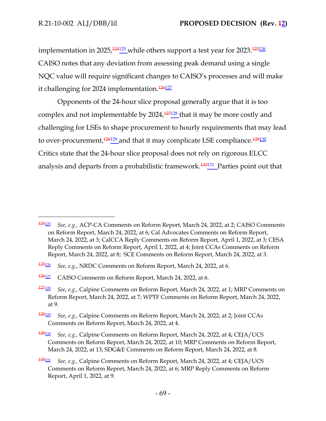implementation in 2025,<sup>124125</sup> while others support a test year for 2023.<sup>125126</sup> CAISO notes that any deviation from assessing peak demand using a single NQC value will require significant changes to CAISO's processes and will make it challenging for 2024 implementation.<sup>126127</sup>

Opponents of the 24-hour slice proposal generally argue that it is too complex and not implementable by  $2024$ ,  $\frac{127128}{27126}$  that it may be more costly and challenging for LSEs to shape procurement to hourly requirements that may lead to over-procurement,<sup>128129</sup> and that it may complicate LSE compliance.<sup>129130</sup> Critics state that the 24-hour slice proposal does not rely on rigorous ELCC analysis and departs from a probabilistic framework.<sup>130131</sup> Parties point out that

<sup>124</sup><sup>125</sup> *See, e.g.,* ACP-CA Comments on Reform Report, March 24, 2022, at 2; CAISO Comments on Reform Report, March 24, 2022, at 6; Cal Advocates Comments on Reform Report, March 24, 2022, at 3; CalCCA Reply Comments on Reform Report, April 1, 2022, at 3; CESA Reply Comments on Reform Report, April 1, 2022, at 4; Joint CCAs Comments on Reform Report, March 24, 2022, at 8; SCE Comments on Reform Report, March 24, 2022, at 3.

<sup>125</sup><sup>126</sup> *See, e.g.*, NRDC Comments on Reform Report, March 24, 2022, at 6.

<sup>126</sup><sup>127</sup> CAISO Comments on Reform Report, March 24, 2022, at 6.

<sup>127</sup><sup>128</sup> *See, e.g.,* Calpine Comments on Reform Report, March 24, 2022, at 1; MRP Comments on Reform Report, March 24, 2022, at 7; WPTF Comments on Reform Report, March 24, 2022, at 9.

<sup>128</sup><sup>129</sup> *See, e.g.,* Calpine Comments on Reform Report, March 24, 2022, at 2; Joint CCAs Comments on Reform Report, March 24, 2022, at 4.

<sup>129</sup><sup>130</sup> *See, e.g.,* Calpine Comments on Reform Report, March 24, 2022, at 4; CEJA/UCS Comments on Reform Report, March 24, 2022, at 10; MRP Comments on Reform Report, March 24, 2022, at 13; SDG&E Comments on Reform Report, March 24, 2022, at 8.

<sup>130</sup><sup>131</sup> *See, e.g.,* Calpine Comments on Reform Report, March 24, 2022, at 4; CEJA/UCS Comments on Reform Report, March 24, 2022, at 6; MRP Reply Comments on Reform Report, April 1, 2022, at 9.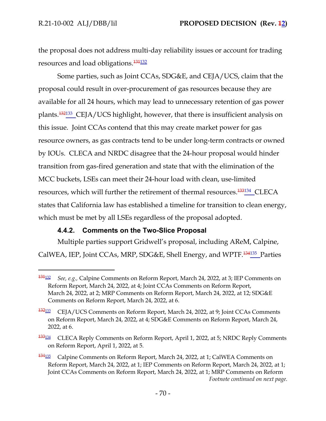the proposal does not address multi-day reliability issues or account for trading resources and load obligations.<sup>131132</sup>

Some parties, such as Joint CCAs, SDG&E, and CEJA/UCS, claim that the proposal could result in over-procurement of gas resources because they are available for all 24 hours, which may lead to unnecessary retention of gas power plants.<sup>132133</sup> CEJA/UCS highlight, however, that there is insufficient analysis on this issue. Joint CCAs contend that this may create market power for gas resource owners, as gas contracts tend to be under long-term contracts or owned by IOUs. CLECA and NRDC disagree that the 24-hour proposal would hinder transition from gas-fired generation and state that with the elimination of the MCC buckets, LSEs can meet their 24-hour load with clean, use-limited resources, which will further the retirement of thermal resources.<sup>133134</sup> CLECA states that California law has established a timeline for transition to clean energy, which must be met by all LSEs regardless of the proposal adopted.

### **4.4.2. Comments on the Two-Slice Proposal**

Multiple parties support Gridwell's proposal, including AReM, Calpine, CalWEA, IEP, Joint CCAs, MRP, SDG&E, Shell Energy, and WPTF.<sup>134135</sup> Parties

<sup>131</sup><sup>132</sup> *See, e.g.,* Calpine Comments on Reform Report, March 24, 2022, at 3; IEP Comments on Reform Report, March 24, 2022, at 4; Joint CCAs Comments on Reform Report, March 24, 2022, at 2; MRP Comments on Reform Report, March 24, 2022, at 12; SDG&E Comments on Reform Report, March 24, 2022, at 6.

<sup>&</sup>lt;sup>132</sup><sup>132</sup><sub>133</sub> CEJA/UCS Comments on Reform Report, March 24, 2022, at 9; Joint CCAs Comments on Reform Report, March 24, 2022, at 4; SDG&E Comments on Reform Report, March 24, 2022, at 6.

<sup>133</sup><sup>134</sup> CLECA Reply Comments on Reform Report, April 1, 2022, at 5; NRDC Reply Comments on Reform Report, April 1, 2022, at 5.

<sup>&</sup>lt;sup>134<sub>135</sub></sup> Calpine Comments on Reform Report, March 24, 2022, at 1; CalWEA Comments on Reform Report, March 24, 2022, at 1; IEP Comments on Reform Report, March 24, 2022, at 1; Joint CCAs Comments on Reform Report, March 24, 2022, at 1; MRP Comments on Reform *Footnote continued on next page.*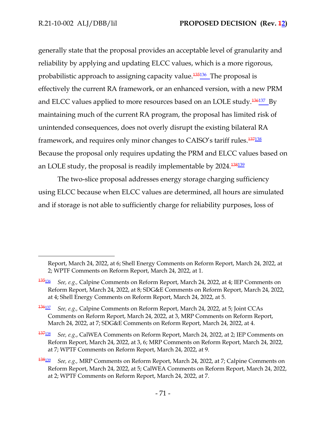generally state that the proposal provides an acceptable level of granularity and reliability by applying and updating ELCC values, which is a more rigorous, probabilistic approach to assigning capacity value.<sup>135136</sup> The proposal is effectively the current RA framework, or an enhanced version, with a new PRM and ELCC values applied to more resources based on an LOLE study.<sup>136137</sup>\_By maintaining much of the current RA program, the proposal has limited risk of unintended consequences, does not overly disrupt the existing bilateral RA framework, and requires only minor changes to CAISO's tariff rules.<sup>137138</sup> Because the proposal only requires updating the PRM and ELCC values based on an LOLE study, the proposal is readily implementable by 2024.<sup>138<u>139</u></sup>

The two-slice proposal addresses energy storage charging sufficiency using ELCC because when ELCC values are determined, all hours are simulated and if storage is not able to sufficiently charge for reliability purposes, loss of

<sup>137</sup><sup>138</sup> *See, e.g.*, CalWEA Comments on Reform Report, March 24, 2022, at 2; IEP Comments on Reform Report, March 24, 2022, at 3, 6; MRP Comments on Reform Report, March 24, 2022, at 7; WPTF Comments on Reform Report, March 24, 2022, at 9.

Report, March 24, 2022, at 6; Shell Energy Comments on Reform Report, March 24, 2022, at 2; WPTF Comments on Reform Report, March 24, 2022, at 1.

<sup>135</sup><sup>136</sup> *See, e.g.,* Calpine Comments on Reform Report, March 24, 2022, at 4; IEP Comments on Reform Report, March 24, 2022, at 8; SDG&E Comments on Reform Report, March 24, 2022, at 4; Shell Energy Comments on Reform Report, March 24, 2022, at 5.

<sup>136</sup><sup>137</sup> *See, e.g.,* Calpine Comments on Reform Report, March 24, 2022, at 5; Joint CCAs Comments on Reform Report, March 24, 2022, at 3, MRP Comments on Reform Report, March 24, 2022, at 7; SDG&E Comments on Reform Report, March 24, 2022, at 4.

<sup>138</sup><sup>139</sup> *See, e.g.,* MRP Comments on Reform Report, March 24, 2022, at 7; Calpine Comments on Reform Report, March 24, 2022, at 5; CalWEA Comments on Reform Report, March 24, 2022, at 2; WPTF Comments on Reform Report, March 24, 2022, at 7.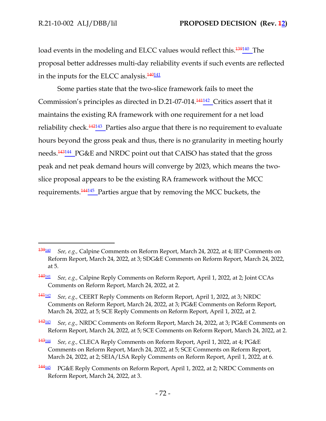load events in the modeling and ELCC values would reflect this.<sup>139140</sup> The proposal better addresses multi-day reliability events if such events are reflected in the inputs for the ELCC analysis.<sup>140141</sup>

Some parties state that the two-slice framework fails to meet the Commission's principles as directed in D.21-07-014.<sup>141142</sup> Critics assert that it maintains the existing RA framework with one requirement for a net load reliability check.<sup>142143</sup> Parties also argue that there is no requirement to evaluate hours beyond the gross peak and thus, there is no granularity in meeting hourly needs.<sup>143144</sup> PG&E and NRDC point out that CAISO has stated that the gross peak and net peak demand hours will converge by 2023, which means the twoslice proposal appears to be the existing RA framework without the MCC requirements.<sup>144145</sup> Parties argue that by removing the MCC buckets, the

- <sup>141</sup><sup>142</sup> *See, e.g.,* CEERT Reply Comments on Reform Report, April 1, 2022, at 3; NRDC Comments on Reform Report, March 24, 2022, at 3; PG&E Comments on Reform Report, March 24, 2022, at 5; SCE Reply Comments on Reform Report, April 1, 2022, at 2.
- <sup>142</sup><sup>143</sup> *See, e.g.,* NRDC Comments on Reform Report, March 24, 2022, at 3; PG&E Comments on Reform Report, March 24, 2022, at 5; SCE Comments on Reform Report, March 24, 2022, at 2.
- <sup>143</sup><sup>144</sup> *See, e.g.,* CLECA Reply Comments on Reform Report, April 1, 2022, at 4; PG&E Comments on Reform Report, March 24, 2022, at 5; SCE Comments on Reform Report, March 24, 2022, at 2; SEIA/LSA Reply Comments on Reform Report, April 1, 2022, at 6.
- <sup>144</sup><sup>145</sup> PG&E Reply Comments on Reform Report, April 1, 2022, at 2; NRDC Comments on Reform Report, March 24, 2022, at 3.

<sup>139</sup><sup>140</sup> *See, e.g.,* Calpine Comments on Reform Report, March 24, 2022, at 4; IEP Comments on Reform Report, March 24, 2022, at 3; SDG&E Comments on Reform Report, March 24, 2022, at 5.

<sup>140</sup><sup>141</sup> *See, e.g.,* Calpine Reply Comments on Reform Report, April 1, 2022, at 2; Joint CCAs Comments on Reform Report, March 24, 2022, at 2.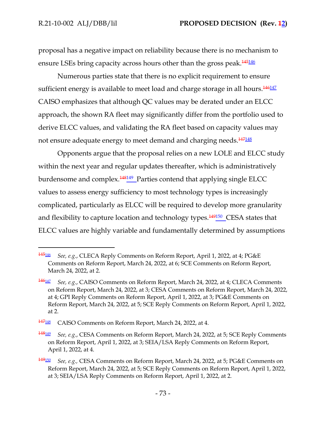proposal has a negative impact on reliability because there is no mechanism to ensure LSEs bring capacity across hours other than the gross peak.<sup>145146</sup>

Numerous parties state that there is no explicit requirement to ensure sufficient energy is available to meet load and charge storage in all hours.<sup>146147</sup> CAISO emphasizes that although QC values may be derated under an ELCC approach, the shown RA fleet may significantly differ from the portfolio used to derive ELCC values, and validating the RA fleet based on capacity values may not ensure adequate energy to meet demand and charging needs.<sup>147148</sup>

Opponents argue that the proposal relies on a new LOLE and ELCC study within the next year and regular updates thereafter, which is administratively burdensome and complex.<sup>148149</sup> Parties contend that applying single ELCC values to assess energy sufficiency to most technology types is increasingly complicated, particularly as ELCC will be required to develop more granularity and flexibility to capture location and technology types.<sup>149150</sup> CESA states that ELCC values are highly variable and fundamentally determined by assumptions

<sup>145</sup><sup>146</sup> *See, e.g.*, CLECA Reply Comments on Reform Report, April 1, 2022, at 4; PG&E Comments on Reform Report, March 24, 2022, at 6; SCE Comments on Reform Report, March 24, 2022, at 2.

<sup>146</sup><sup>147</sup> *See, e.g.*, CAISO Comments on Reform Report, March 24, 2022, at 4; CLECA Comments on Reform Report, March 24, 2022, at 3; CESA Comments on Reform Report, March 24, 2022, at 4; GPI Reply Comments on Reform Report, April 1, 2022, at 3; PG&E Comments on Reform Report, March 24, 2022, at 5; SCE Reply Comments on Reform Report, April 1, 2022, at 2.

<sup>147</sup><sup>148</sup> CAISO Comments on Reform Report, March 24, 2022, at 4.

<sup>148</sup><sup>149</sup> *See, e.g.*, CESA Comments on Reform Report, March 24, 2022, at 5; SCE Reply Comments on Reform Report, April 1, 2022, at 3; SEIA/LSA Reply Comments on Reform Report, April 1, 2022, at 4.

<sup>149</sup><sup>150</sup> *See, e.g.,* CESA Comments on Reform Report, March 24, 2022, at 5; PG&E Comments on Reform Report, March 24, 2022, at 5; SCE Reply Comments on Reform Report, April 1, 2022, at 3; SEIA/LSA Reply Comments on Reform Report, April 1, 2022, at 2.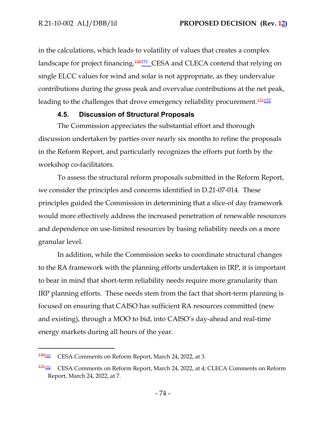in the calculations, which leads to volatility of values that creates a complex landscape for project financing.<sup>150151</sup> CESA and CLECA contend that relying on single ELCC values for wind and solar is not appropriate, as they undervalue contributions during the gross peak and overvalue contributions at the net peak, leading to the challenges that drove emergency reliability procurement.<sup>151152</sup>

## **4.5. Discussion of Structural Proposals**

The Commission appreciates the substantial effort and thorough discussion undertaken by parties over nearly six months to refine the proposals in the Reform Report, and particularly recognizes the efforts put forth by the workshop co-facilitators.

To assess the structural reform proposals submitted in the Reform Report, we consider the principles and concerns identified in D.21-07-014. These principles guided the Commission in determining that a slice-of day framework would more effectively address the increased penetration of renewable resources and dependence on use-limited resources by basing reliability needs on a more granular level.

In addition, while the Commission seeks to coordinate structural changes to the RA framework with the planning efforts undertaken in IRP, it is important to bear in mind that short-term reliability needs require more granularity than IRP planning efforts. These needs stem from the fact that short-term planning is focused on ensuring that CAISO has sufficient RA resources committed (new and existing), through a MOO to bid, into CAISO's day-ahead and real-time energy markets during all hours of the year.

<sup>150</sup><sup>151</sup> CESA Comments on Reform Report, March 24, 2022, at 3.

<sup>&</sup>lt;sup>151<sub>152</sub></sup> CESA Comments on Reform Report, March 24, 2022, at 4; CLECA Comments on Reform Report, March 24, 2022, at 7.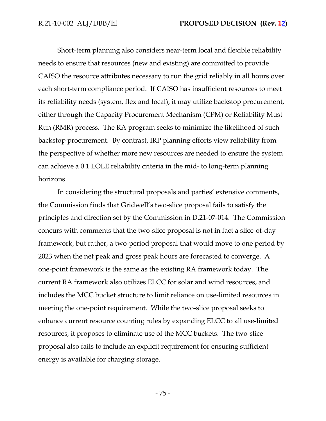Short-term planning also considers near-term local and flexible reliability needs to ensure that resources (new and existing) are committed to provide CAISO the resource attributes necessary to run the grid reliably in all hours over each short-term compliance period. If CAISO has insufficient resources to meet its reliability needs (system, flex and local), it may utilize backstop procurement, either through the Capacity Procurement Mechanism (CPM) or Reliability Must Run (RMR) process. The RA program seeks to minimize the likelihood of such backstop procurement. By contrast, IRP planning efforts view reliability from the perspective of whether more new resources are needed to ensure the system can achieve a 0.1 LOLE reliability criteria in the mid- to long-term planning horizons.

In considering the structural proposals and parties' extensive comments, the Commission finds that Gridwell's two-slice proposal fails to satisfy the principles and direction set by the Commission in D.21-07-014. The Commission concurs with comments that the two-slice proposal is not in fact a slice-of-day framework, but rather, a two-period proposal that would move to one period by 2023 when the net peak and gross peak hours are forecasted to converge. A one-point framework is the same as the existing RA framework today. The current RA framework also utilizes ELCC for solar and wind resources, and includes the MCC bucket structure to limit reliance on use-limited resources in meeting the one-point requirement. While the two-slice proposal seeks to enhance current resource counting rules by expanding ELCC to all use-limited resources, it proposes to eliminate use of the MCC buckets. The two-slice proposal also fails to include an explicit requirement for ensuring sufficient energy is available for charging storage.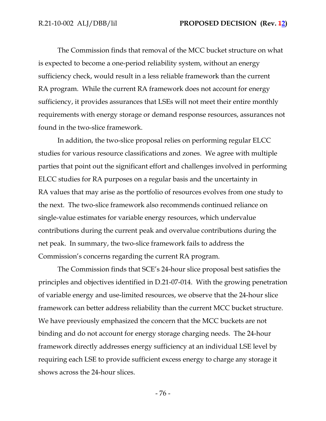The Commission finds that removal of the MCC bucket structure on what is expected to become a one-period reliability system, without an energy sufficiency check, would result in a less reliable framework than the current RA program. While the current RA framework does not account for energy sufficiency, it provides assurances that LSEs will not meet their entire monthly requirements with energy storage or demand response resources, assurances not found in the two-slice framework.

In addition, the two-slice proposal relies on performing regular ELCC studies for various resource classifications and zones. We agree with multiple parties that point out the significant effort and challenges involved in performing ELCC studies for RA purposes on a regular basis and the uncertainty in RA values that may arise as the portfolio of resources evolves from one study to the next. The two-slice framework also recommends continued reliance on single-value estimates for variable energy resources, which undervalue contributions during the current peak and overvalue contributions during the net peak. In summary, the two-slice framework fails to address the Commission's concerns regarding the current RA program.

The Commission finds that SCE's 24-hour slice proposal best satisfies the principles and objectives identified in D.21-07-014. With the growing penetration of variable energy and use-limited resources, we observe that the 24-hour slice framework can better address reliability than the current MCC bucket structure. We have previously emphasized the concern that the MCC buckets are not binding and do not account for energy storage charging needs. The 24-hour framework directly addresses energy sufficiency at an individual LSE level by requiring each LSE to provide sufficient excess energy to charge any storage it shows across the 24-hour slices.

- 76 -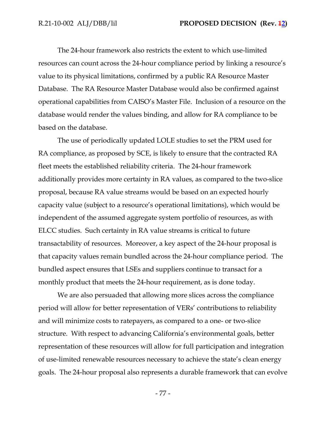The 24-hour framework also restricts the extent to which use-limited resources can count across the 24-hour compliance period by linking a resource's value to its physical limitations, confirmed by a public RA Resource Master Database. The RA Resource Master Database would also be confirmed against operational capabilities from CAISO's Master File. Inclusion of a resource on the database would render the values binding, and allow for RA compliance to be based on the database.

The use of periodically updated LOLE studies to set the PRM used for RA compliance, as proposed by SCE, is likely to ensure that the contracted RA fleet meets the established reliability criteria. The 24-hour framework additionally provides more certainty in RA values, as compared to the two-slice proposal, because RA value streams would be based on an expected hourly capacity value (subject to a resource's operational limitations), which would be independent of the assumed aggregate system portfolio of resources, as with ELCC studies. Such certainty in RA value streams is critical to future transactability of resources. Moreover, a key aspect of the 24-hour proposal is that capacity values remain bundled across the 24-hour compliance period. The bundled aspect ensures that LSEs and suppliers continue to transact for a monthly product that meets the 24-hour requirement, as is done today.

We are also persuaded that allowing more slices across the compliance period will allow for better representation of VERs' contributions to reliability and will minimize costs to ratepayers, as compared to a one- or two-slice structure. With respect to advancing California's environmental goals, better representation of these resources will allow for full participation and integration of use-limited renewable resources necessary to achieve the state's clean energy goals. The 24-hour proposal also represents a durable framework that can evolve

- 77 -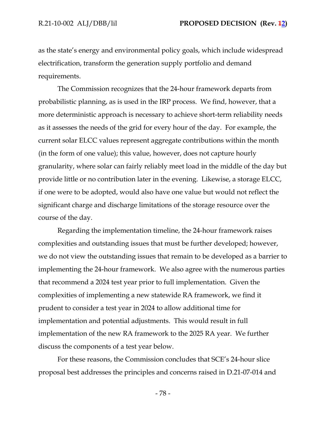as the state's energy and environmental policy goals, which include widespread electrification, transform the generation supply portfolio and demand requirements.

The Commission recognizes that the 24-hour framework departs from probabilistic planning, as is used in the IRP process. We find, however, that a more deterministic approach is necessary to achieve short-term reliability needs as it assesses the needs of the grid for every hour of the day. For example, the current solar ELCC values represent aggregate contributions within the month (in the form of one value); this value, however, does not capture hourly granularity, where solar can fairly reliably meet load in the middle of the day but provide little or no contribution later in the evening. Likewise, a storage ELCC, if one were to be adopted, would also have one value but would not reflect the significant charge and discharge limitations of the storage resource over the course of the day.

Regarding the implementation timeline, the 24-hour framework raises complexities and outstanding issues that must be further developed; however, we do not view the outstanding issues that remain to be developed as a barrier to implementing the 24-hour framework. We also agree with the numerous parties that recommend a 2024 test year prior to full implementation. Given the complexities of implementing a new statewide RA framework, we find it prudent to consider a test year in 2024 to allow additional time for implementation and potential adjustments. This would result in full implementation of the new RA framework to the 2025 RA year. We further discuss the components of a test year below.

For these reasons, the Commission concludes that SCE's 24-hour slice proposal best addresses the principles and concerns raised in D.21-07-014 and

- 78 -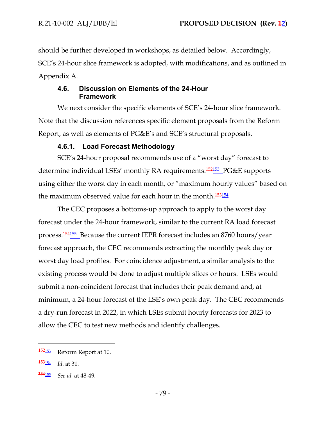should be further developed in workshops, as detailed below. Accordingly, SCE's 24-hour slice framework is adopted, with modifications, and as outlined in Appendix A.

# **4.6. Discussion on Elements of the 24-Hour Framework**

We next consider the specific elements of SCE's 24-hour slice framework. Note that the discussion references specific element proposals from the Reform Report, as well as elements of PG&E's and SCE's structural proposals.

# **4.6.1. Load Forecast Methodology**

SCE's 24-hour proposal recommends use of a "worst day" forecast to determine individual LSEs' monthly RA requirements.<sup>452153</sup> PG&E supports using either the worst day in each month, or "maximum hourly values" based on the maximum observed value for each hour in the month.<sup>153154</sup>

The CEC proposes a bottoms-up approach to apply to the worst day forecast under the 24-hour framework, similar to the current RA load forecast process.<sup>154155</sup> Because the current IEPR forecast includes an 8760 hours/year forecast approach, the CEC recommends extracting the monthly peak day or worst day load profiles. For coincidence adjustment, a similar analysis to the existing process would be done to adjust multiple slices or hours. LSEs would submit a non-coincident forecast that includes their peak demand and, at minimum, a 24-hour forecast of the LSE's own peak day. The CEC recommends a dry-run forecast in 2022, in which LSEs submit hourly forecasts for 2023 to allow the CEC to test new methods and identify challenges.

<sup>152</sup><sup>153</sup> Reform Report at 10.

<sup>153</sup><sup>154</sup> *Id*. at 31.

<sup>154</sup><sup>155</sup> *See id.* at 48-49.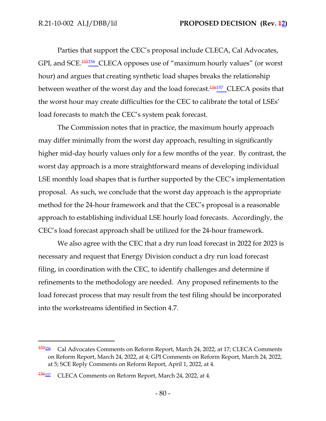Parties that support the CEC's proposal include CLECA, Cal Advocates, GPI, and SCE.<sup>155156</sup> CLECA opposes use of "maximum hourly values" (or worst hour) and argues that creating synthetic load shapes breaks the relationship between weather of the worst day and the load forecast.<sup>156157</sup> CLECA posits that the worst hour may create difficulties for the CEC to calibrate the total of LSEs' load forecasts to match the CEC's system peak forecast.

The Commission notes that in practice, the maximum hourly approach may differ minimally from the worst day approach, resulting in significantly higher mid-day hourly values only for a few months of the year. By contrast, the worst day approach is a more straightforward means of developing individual LSE monthly load shapes that is further supported by the CEC's implementation proposal. As such, we conclude that the worst day approach is the appropriate method for the 24-hour framework and that the CEC's proposal is a reasonable approach to establishing individual LSE hourly load forecasts. Accordingly, the CEC's load forecast approach shall be utilized for the 24-hour framework.

We also agree with the CEC that a dry run load forecast in 2022 for 2023 is necessary and request that Energy Division conduct a dry run load forecast filing, in coordination with the CEC, to identify challenges and determine if refinements to the methodology are needed. Any proposed refinements to the load forecast process that may result from the test filing should be incorporated into the workstreams identified in Section 4.7.

<sup>155</sup><sup>156</sup> Cal Advocates Comments on Reform Report, March 24, 2022, at 17; CLECA Comments on Reform Report, March 24, 2022, at 4; GPI Comments on Reform Report, March 24, 2022, at 5; SCE Reply Comments on Reform Report, April 1, 2022, at 4.

<sup>156157</sup> CLECA Comments on Reform Report, March 24, 2022, at 4.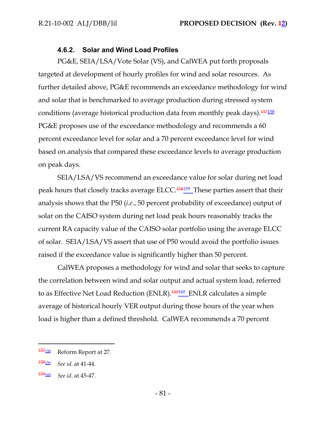#### **4.6.2. Solar and Wind Load Profiles**

PG&E, SEIA/LSA/Vote Solar (VS), and CalWEA put forth proposals targeted at development of hourly profiles for wind and solar resources. As further detailed above, PG&E recommends an exceedance methodology for wind and solar that is benchmarked to average production during stressed system conditions (average historical production data from monthly peak days).<sup>157158</sup> PG&E proposes use of the exceedance methodology and recommends a 60 percent exceedance level for solar and a 70 percent exceedance level for wind based on analysis that compared these exceedance levels to average production on peak days.

SEIA/LSA/VS recommend an exceedance value for solar during net load peak hours that closely tracks average ELCC.<sup>158159</sup> These parties assert that their analysis shows that the P50 (*i.e.*, 50 percent probability of exceedance) output of solar on the CAISO system during net load peak hours reasonably tracks the current RA capacity value of the CAISO solar portfolio using the average ELCC of solar. SEIA/LSA/VS assert that use of P50 would avoid the portfolio issues raised if the exceedance value is significantly higher than 50 percent.

CalWEA proposes a methodology for wind and solar that seeks to capture the correlation between wind and solar output and actual system load, referred to as Effective Net Load Reduction (ENLR).<sup>159160</sup> ENLR calculates a simple average of historical hourly VER output during those hours of the year when load is higher than a defined threshold. CalWEA recommends a 70 percent

<sup>&</sup>lt;sup>157</sup><sup>158</sup> Reform Report at 27.

<sup>158</sup><sup>159</sup> *See id*. at 41-44.

<sup>159</sup><sup>160</sup> *See id*. at 45-47.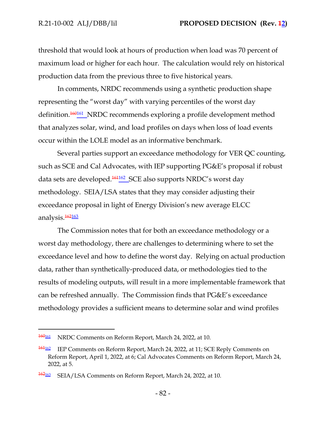threshold that would look at hours of production when load was 70 percent of maximum load or higher for each hour. The calculation would rely on historical production data from the previous three to five historical years.

In comments, NRDC recommends using a synthetic production shape representing the "worst day" with varying percentiles of the worst day definition.<sup>160161</sup> NRDC recommends exploring a profile development method that analyzes solar, wind, and load profiles on days when loss of load events occur within the LOLE model as an informative benchmark.

Several parties support an exceedance methodology for VER QC counting, such as SCE and Cal Advocates, with IEP supporting PG&E's proposal if robust data sets are developed.<sup>161162</sup> SCE also supports NRDC's worst day methodology. SEIA/LSA states that they may consider adjusting their exceedance proposal in light of Energy Division's new average ELCC analysis.<sup>162</sup>163

The Commission notes that for both an exceedance methodology or a worst day methodology, there are challenges to determining where to set the exceedance level and how to define the worst day. Relying on actual production data, rather than synthetically-produced data, or methodologies tied to the results of modeling outputs, will result in a more implementable framework that can be refreshed annually. The Commission finds that PG&E's exceedance methodology provides a sufficient means to determine solar and wind profiles

<sup>160&</sup>lt;sup>161</sup> NRDC Comments on Reform Report, March 24, 2022, at 10.

<sup>&</sup>lt;sup>161<sub>162</sub></sup> IEP Comments on Reform Report, March 24, 2022, at 11; SCE Reply Comments on Reform Report, April 1, 2022, at 6; Cal Advocates Comments on Reform Report, March 24, 2022, at 5.

<sup>162&</sup>lt;sup>162</sup><sub>163</sub> SEIA/LSA Comments on Reform Report, March 24, 2022, at 10.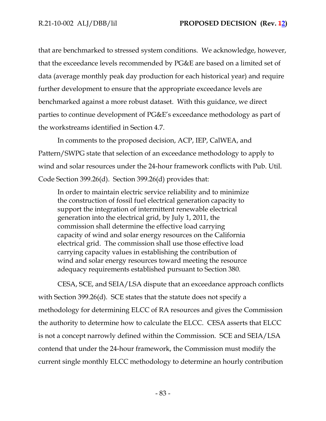that are benchmarked to stressed system conditions. We acknowledge, however, that the exceedance levels recommended by PG&E are based on a limited set of data (average monthly peak day production for each historical year) and require further development to ensure that the appropriate exceedance levels are benchmarked against a more robust dataset. With this guidance, we direct parties to continue development of PG&E's exceedance methodology as part of the workstreams identified in Section 4.7.

In comments to the proposed decision, ACP, IEP, CalWEA, and Pattern/SWPG state that selection of an exceedance methodology to apply to wind and solar resources under the 24-hour framework conflicts with Pub. Util. Code Section 399.26(d). Section 399.26(d) provides that:

In order to maintain electric service reliability and to minimize the construction of fossil fuel electrical generation capacity to support the integration of intermittent renewable electrical generation into the electrical grid, by July 1, 2011, the commission shall determine the effective load carrying capacity of wind and solar energy resources on the California electrical grid. The commission shall use those effective load carrying capacity values in establishing the contribution of wind and solar energy resources toward meeting the resource adequacy requirements established pursuant to Section 380.

CESA, SCE, and SEIA/LSA dispute that an exceedance approach conflicts with Section 399.26(d). SCE states that the statute does not specify a methodology for determining ELCC of RA resources and gives the Commission the authority to determine how to calculate the ELCC. CESA asserts that ELCC is not a concept narrowly defined within the Commission. SCE and SEIA/LSA contend that under the 24-hour framework, the Commission must modify the current single monthly ELCC methodology to determine an hourly contribution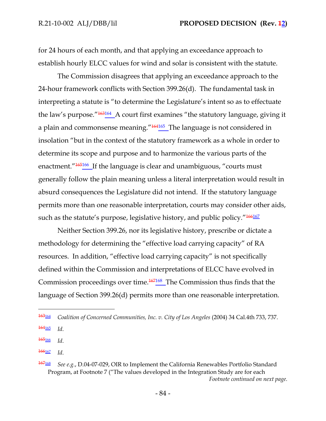for 24 hours of each month, and that applying an exceedance approach to establish hourly ELCC values for wind and solar is consistent with the statute.

The Commission disagrees that applying an exceedance approach to the 24-hour framework conflicts with Section 399.26(d). The fundamental task in interpreting a statute is "to determine the Legislature's intent so as to effectuate the law's purpose."<sup>163164</sup> A court first examines "the statutory language, giving it a plain and commonsense meaning."<sup>164165</sup> The language is not considered in insolation "but in the context of the statutory framework as a whole in order to determine its scope and purpose and to harmonize the various parts of the enactment."<sup>165166</sup> If the language is clear and unambiguous, "courts must generally follow the plain meaning unless a literal interpretation would result in absurd consequences the Legislature did not intend. If the statutory language permits more than one reasonable interpretation, courts may consider other aids, such as the statute's purpose, legislative history, and public policy."<sup>166167</sup>

Neither Section 399.26, nor its legislative history, prescribe or dictate a methodology for determining the "effective load carrying capacity" of RA resources. In addition, "effective load carrying capacity" is not specifically defined within the Commission and interpretations of ELCC have evolved in Commission proceedings over time.<sup>167168</sup> The Commission thus finds that the language of Section 399.26(d) permits more than one reasonable interpretation.

<sup>165</sup><sup>166</sup> *Id*.

<sup>166</sup><sup>167</sup> *Id*.

<sup>163</sup><sup>164</sup> *Coalition of Concerned Communities, Inc. v. City of Los Angeles* (2004) 34 Cal.4th 733, 737.

<sup>164</sup><sup>165</sup> *Id*.

<sup>167</sup><sup>168</sup> *See e.g.*, D.04-07-029, OIR to Implement the California Renewables Portfolio Standard Program, at Footnote 7 ("The values developed in the Integration Study are for each *Footnote continued on next page.*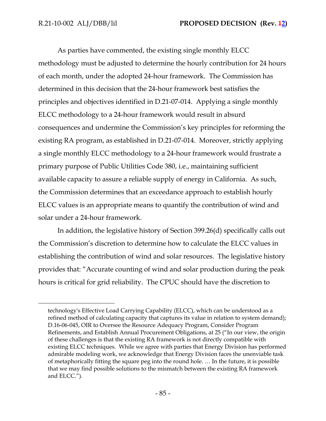As parties have commented, the existing single monthly ELCC methodology must be adjusted to determine the hourly contribution for 24 hours of each month, under the adopted 24-hour framework. The Commission has determined in this decision that the 24-hour framework best satisfies the principles and objectives identified in D.21-07-014. Applying a single monthly ELCC methodology to a 24-hour framework would result in absurd consequences and undermine the Commission's key principles for reforming the existing RA program, as established in D.21-07-014. Moreover, strictly applying a single monthly ELCC methodology to a 24-hour framework would frustrate a primary purpose of Public Utilities Code 380, i.e., maintaining sufficient available capacity to assure a reliable supply of energy in California. As such, the Commission determines that an exceedance approach to establish hourly ELCC values is an appropriate means to quantify the contribution of wind and solar under a 24-hour framework.

In addition, the legislative history of Section 399.26(d) specifically calls out the Commission's discretion to determine how to calculate the ELCC values in establishing the contribution of wind and solar resources. The legislative history provides that: "Accurate counting of wind and solar production during the peak hours is critical for grid reliability. The CPUC should have the discretion to

technology's Effective Load Carrying Capability (ELCC), which can be understood as a refined method of calculating capacity that captures its value in relation to system demand); D.16-06-045, OIR to Oversee the Resource Adequacy Program, Consider Program Refinements, and Establish Annual Procurement Obligations, at 25 ("In our view, the origin of these challenges is that the existing RA framework is not directly compatible with existing ELCC techniques. While we agree with parties that Energy Division has performed admirable modeling work, we acknowledge that Energy Division faces the unenviable task of metaphorically fitting the square peg into the round hole. … In the future, it is possible that we may find possible solutions to the mismatch between the existing RA framework and ELCC.").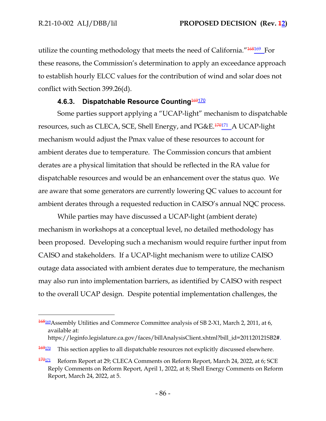utilize the counting methodology that meets the need of California."<sup>168169</sup> For these reasons, the Commission's determination to apply an exceedance approach to establish hourly ELCC values for the contribution of wind and solar does not conflict with Section 399.26(d).

# **4.6.3. Dispatchable Resource Counting 169170**

Some parties support applying a "UCAP-light" mechanism to dispatchable resources, such as CLECA, SCE, Shell Energy, and PG&E.<sup>170171</sup>\_A UCAP-light mechanism would adjust the Pmax value of these resources to account for ambient derates due to temperature. The Commission concurs that ambient derates are a physical limitation that should be reflected in the RA value for dispatchable resources and would be an enhancement over the status quo. We are aware that some generators are currently lowering QC values to account for ambient derates through a requested reduction in CAISO's annual NQC process.

While parties may have discussed a UCAP-light (ambient derate) mechanism in workshops at a conceptual level, no detailed methodology has been proposed. Developing such a mechanism would require further input from CAISO and stakeholders. If a UCAP-light mechanism were to utilize CAISO outage data associated with ambient derates due to temperature, the mechanism may also run into implementation barriers, as identified by CAISO with respect to the overall UCAP design. Despite potential implementation challenges, the

<sup>168169</sup> Assembly Utilities and Commerce Committee analysis of SB 2-X1, March 2, 2011, at 6, available at: [https://leginfo.legislature.ca.gov/faces/billAnalysisClient.xhtml?bill\\_id=201120121SB2#.](https://leginfo.legislature.ca.gov/faces/billAnalysisClient.xhtml?bill_id=201120121SB2)

 $\frac{169170}{169170}$  This section applies to all dispatchable resources not explicitly discussed elsewhere.

 $\frac{170171}{1701}$  Reform Report at 29; CLECA Comments on Reform Report, March 24, 2022, at 6; SCE Reply Comments on Reform Report, April 1, 2022, at 8; Shell Energy Comments on Reform Report, March 24, 2022, at 5.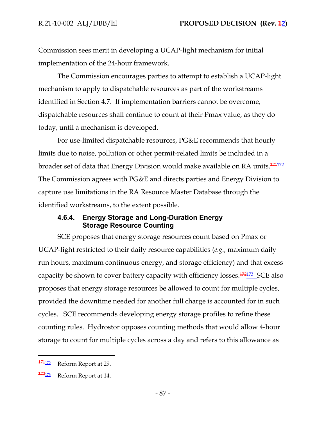Commission sees merit in developing a UCAP-light mechanism for initial implementation of the 24-hour framework.

The Commission encourages parties to attempt to establish a UCAP-light mechanism to apply to dispatchable resources as part of the workstreams identified in Section 4.7. If implementation barriers cannot be overcome, dispatchable resources shall continue to count at their Pmax value, as they do today, until a mechanism is developed.

For use-limited dispatchable resources, PG&E recommends that hourly limits due to noise, pollution or other permit-related limits be included in a broader set of data that Energy Division would make available on RA units.<sup>171172</sup> The Commission agrees with PG&E and directs parties and Energy Division to capture use limitations in the RA Resource Master Database through the identified workstreams, to the extent possible.

## **4.6.4. Energy Storage and Long-Duration Energy Storage Resource Counting**

SCE proposes that energy storage resources count based on Pmax or UCAP-light restricted to their daily resource capabilities (*e.g.*, maximum daily run hours, maximum continuous energy, and storage efficiency) and that excess capacity be shown to cover battery capacity with efficiency losses.<sup>172173</sup> SCE also proposes that energy storage resources be allowed to count for multiple cycles, provided the downtime needed for another full charge is accounted for in such cycles. SCE recommends developing energy storage profiles to refine these counting rules. Hydrostor opposes counting methods that would allow 4-hour storage to count for multiple cycles across a day and refers to this allowance as

<sup>171&</sup>lt;sup>172</sup> Reform Report at 29.

<sup>172</sup><sup>173</sup> Reform Report at 14.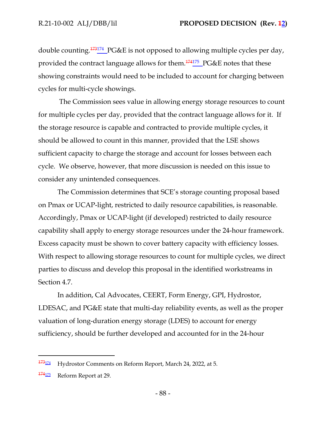double counting.<sup>173174</sup> PG&E is not opposed to allowing multiple cycles per day, provided the contract language allows for them.<sup>174175</sup> PG&E notes that these showing constraints would need to be included to account for charging between cycles for multi-cycle showings.

 The Commission sees value in allowing energy storage resources to count for multiple cycles per day, provided that the contract language allows for it. If the storage resource is capable and contracted to provide multiple cycles, it should be allowed to count in this manner, provided that the LSE shows sufficient capacity to charge the storage and account for losses between each cycle. We observe, however, that more discussion is needed on this issue to consider any unintended consequences.

The Commission determines that SCE's storage counting proposal based on Pmax or UCAP-light, restricted to daily resource capabilities, is reasonable. Accordingly, Pmax or UCAP-light (if developed) restricted to daily resource capability shall apply to energy storage resources under the 24-hour framework. Excess capacity must be shown to cover battery capacity with efficiency losses. With respect to allowing storage resources to count for multiple cycles, we direct parties to discuss and develop this proposal in the identified workstreams in Section 4.7.

In addition, Cal Advocates, CEERT, Form Energy, GPI, Hydrostor, LDESAC, and PG&E state that multi-day reliability events, as well as the proper valuation of long-duration energy storage (LDES) to account for energy sufficiency, should be further developed and accounted for in the 24-hour

<sup>173</sup><sup>174</sup> Hydrostor Comments on Reform Report, March 24, 2022, at 5.

<sup>174</sup><sup>175</sup> Reform Report at 29.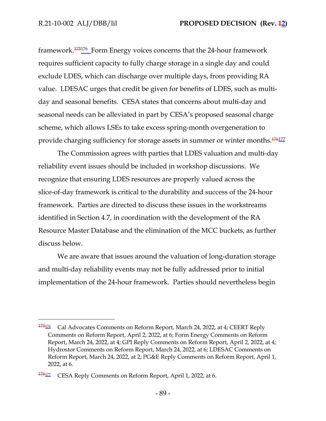framework.<sup>175176</sup> Form Energy voices concerns that the 24-hour framework requires sufficient capacity to fully charge storage in a single day and could exclude LDES, which can discharge over multiple days, from providing RA value. LDESAC urges that credit be given for benefits of LDES, such as multiday and seasonal benefits. CESA states that concerns about multi-day and seasonal needs can be alleviated in part by CESA's proposed seasonal charge scheme, which allows LSEs to take excess spring-month overgeneration to provide charging sufficiency for storage assets in summer or winter months.<sup>176177</sup>

The Commission agrees with parties that LDES valuation and multi-day reliability event issues should be included in workshop discussions. We recognize that ensuring LDES resources are properly valued across the slice-of-day framework is critical to the durability and success of the 24-hour framework. Parties are directed to discuss these issues in the workstreams identified in Section 4.7, in coordination with the development of the RA Resource Master Database and the elimination of the MCC buckets, as further discuss below.

We are aware that issues around the valuation of long-duration storage and multi-day reliability events may not be fully addressed prior to initial implementation of the 24-hour framework. Parties should nevertheless begin

<sup>&</sup>lt;sup>175</sup><sup>176</sup> Cal Advocates Comments on Reform Report, March 24, 2022, at 4; CEERT Reply Comments on Reform Report, April 2, 2022, at 6; Form Energy Comments on Reform Report, March 24, 2022, at 4; GPI Reply Comments on Reform Report, April 2, 2022, at 4; Hydrostor Comments on Reform Report, March 24, 2022, at 6; LDESAC Comments on Reform Report, March 24, 2022, at 2; PG&E Reply Comments on Reform Report, April 1, 2022, at 6.

<sup>&</sup>lt;sup>176</sup><sup>177</sup> CESA Reply Comments on Reform Report, April 1, 2022, at 6.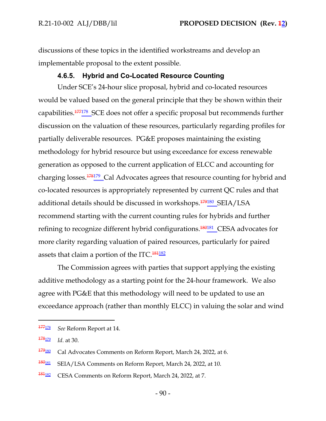discussions of these topics in the identified workstreams and develop an implementable proposal to the extent possible.

### **4.6.5. Hybrid and Co-Located Resource Counting**

Under SCE's 24-hour slice proposal, hybrid and co-located resources would be valued based on the general principle that they be shown within their capabilities.<sup>177178</sup> SCE does not offer a specific proposal but recommends further discussion on the valuation of these resources, particularly regarding profiles for partially deliverable resources. PG&E proposes maintaining the existing methodology for hybrid resource but using exceedance for excess renewable generation as opposed to the current application of ELCC and accounting for charging losses.<sup>178179</sup> Cal Advocates agrees that resource counting for hybrid and co-located resources is appropriately represented by current QC rules and that additional details should be discussed in workshops.<sup>179180</sup>\_SEIA/LSA recommend starting with the current counting rules for hybrids and further refining to recognize different hybrid configurations.<sup>180181</sup> CESA advocates for more clarity regarding valuation of paired resources, particularly for paired assets that claim a portion of the ITC. $184182$ 

The Commission agrees with parties that support applying the existing additive methodology as a starting point for the 24-hour framework. We also agree with PG&E that this methodology will need to be updated to use an exceedance approach (rather than monthly ELCC) in valuing the solar and wind

<sup>177</sup><sup>178</sup> *See* Reform Report at 14.

<sup>178</sup><sup>179</sup> *Id*. at 30.

 $\frac{179_{180}}{179_{180}}$  Cal Advocates Comments on Reform Report, March 24, 2022, at 6.

<sup>180181</sup> SEIA/LSA Comments on Reform Report, March 24, 2022, at 10.

<sup>181</sup><sup>182</sup> CESA Comments on Reform Report, March 24, 2022, at 7.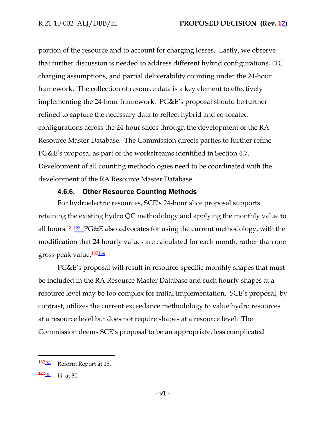portion of the resource and to account for charging losses. Lastly, we observe that further discussion is needed to address different hybrid configurations, ITC charging assumptions, and partial deliverability counting under the 24-hour framework. The collection of resource data is a key element to effectively implementing the 24-hour framework. PG&E's proposal should be further refined to capture the necessary data to reflect hybrid and co-located configurations across the 24-hour slices through the development of the RA Resource Master Database. The Commission directs parties to further refine PG&E's proposal as part of the workstreams identified in Section 4.7. Development of all counting methodologies need to be coordinated with the development of the RA Resource Master Database.

## **4.6.6. Other Resource Counting Methods**

For hydroelectric resources, SCE's 24-hour slice proposal supports retaining the existing hydro QC methodology and applying the monthly value to all hours.<sup>182183</sup> PG&E also advocates for using the current methodology, with the modification that 24 hourly values are calculated for each month, rather than one gross peak value.<sup>183184</sup>

PG&E's proposal will result in resource-specific monthly shapes that must be included in the RA Resource Master Database and such hourly shapes at a resource level may be too complex for initial implementation. SCE's proposal, by contrast, utilizes the current exceedance methodology to value hydro resources at a resource level but does not require shapes at a resource level. The Commission deems SCE's proposal to be an appropriate, less complicated

<sup>182183</sup> Reform Report at 15.

<sup>183</sup><sup>184</sup> *Id*. at 30.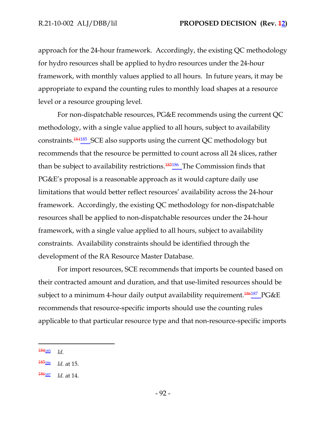approach for the 24-hour framework. Accordingly, the existing QC methodology for hydro resources shall be applied to hydro resources under the 24-hour framework, with monthly values applied to all hours. In future years, it may be appropriate to expand the counting rules to monthly load shapes at a resource level or a resource grouping level.

For non-dispatchable resources, PG&E recommends using the current QC methodology, with a single value applied to all hours, subject to availability constraints.<sup>184185</sup> SCE also supports using the current QC methodology but recommends that the resource be permitted to count across all 24 slices, rather than be subject to availability restrictions.<sup>185186</sup> The Commission finds that PG&E's proposal is a reasonable approach as it would capture daily use limitations that would better reflect resources' availability across the 24-hour framework. Accordingly, the existing QC methodology for non-dispatchable resources shall be applied to non-dispatchable resources under the 24-hour framework, with a single value applied to all hours, subject to availability constraints. Availability constraints should be identified through the development of the RA Resource Master Database.

For import resources, SCE recommends that imports be counted based on their contracted amount and duration, and that use-limited resources should be subject to a minimum 4-hour daily output availability requirement.<sup>186187</sup> PG&E recommends that resource-specific imports should use the counting rules applicable to that particular resource type and that non-resource-specific imports

<sup>184</sup><sup>185</sup> *Id*.

<sup>185</sup><sup>186</sup> *Id.* at 15.

<sup>186</sup><sup>187</sup> *Id.* at 14.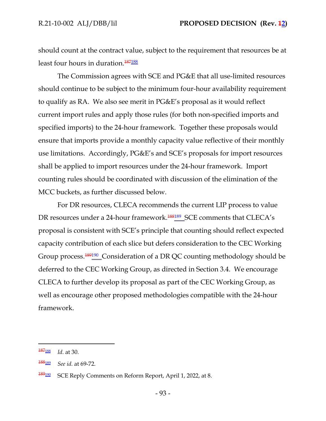should count at the contract value, subject to the requirement that resources be at least four hours in duration.<sup>187188</sup>

The Commission agrees with SCE and PG&E that all use-limited resources should continue to be subject to the minimum four-hour availability requirement to qualify as RA. We also see merit in PG&E's proposal as it would reflect current import rules and apply those rules (for both non-specified imports and specified imports) to the 24-hour framework. Together these proposals would ensure that imports provide a monthly capacity value reflective of their monthly use limitations. Accordingly, PG&E's and SCE's proposals for import resources shall be applied to import resources under the 24-hour framework. Import counting rules should be coordinated with discussion of the elimination of the MCC buckets, as further discussed below.

For DR resources, CLECA recommends the current LIP process to value DR resources under a 24-hour framework.<sup>188189</sup>\_SCE comments that CLECA's proposal is consistent with SCE's principle that counting should reflect expected capacity contribution of each slice but defers consideration to the CEC Working Group process.<sup>189190</sup> Consideration of a DR QC counting methodology should be deferred to the CEC Working Group, as directed in Section 3.4. We encourage CLECA to further develop its proposal as part of the CEC Working Group, as well as encourage other proposed methodologies compatible with the 24-hour framework.

<sup>187</sup><sup>188</sup> *Id*. at 30.

<sup>188</sup><sup>189</sup> *See id.* at 69-72.

<sup>189</sup><sup>190</sup> SCE Reply Comments on Reform Report, April 1, 2022, at 8.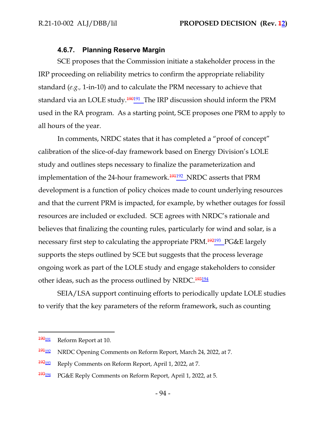#### **4.6.7. Planning Reserve Margin**

SCE proposes that the Commission initiate a stakeholder process in the IRP proceeding on reliability metrics to confirm the appropriate reliability standard (*e.g.,* 1-in-10) and to calculate the PRM necessary to achieve that standard via an LOLE study.<sup>190191</sup>\_The IRP discussion should inform the PRM used in the RA program. As a starting point, SCE proposes one PRM to apply to all hours of the year.

In comments, NRDC states that it has completed a "proof of concept" calibration of the slice-of-day framework based on Energy Division's LOLE study and outlines steps necessary to finalize the parameterization and implementation of the 24-hour framework.<sup>191192</sup>\_NRDC asserts that PRM development is a function of policy choices made to count underlying resources and that the current PRM is impacted, for example, by whether outages for fossil resources are included or excluded. SCE agrees with NRDC's rationale and believes that finalizing the counting rules, particularly for wind and solar, is a necessary first step to calculating the appropriate PRM.<sup>192193</sup>\_PG&E largely supports the steps outlined by SCE but suggests that the process leverage ongoing work as part of the LOLE study and engage stakeholders to consider other ideas, such as the process outlined by NRDC.<sup>193194</sup>

SEIA/LSA support continuing efforts to periodically update LOLE studies to verify that the key parameters of the reform framework, such as counting

 $\frac{190 \text{ }}{191}$  Reform Report at 10.

 $\frac{194192}{1911}$  NRDC Opening Comments on Reform Report, March 24, 2022, at 7.

<sup>192193</sup> Reply Comments on Reform Report, April 1, 2022, at 7.

<sup>193</sup><sup>194</sup> PG&E Reply Comments on Reform Report, April 1, 2022, at 5.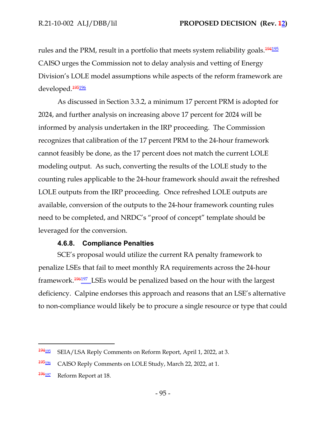rules and the PRM, result in a portfolio that meets system reliability goals.<sup>194195</sup> CAISO urges the Commission not to delay analysis and vetting of Energy Division's LOLE model assumptions while aspects of the reform framework are developed.<sup>195</sup>196

As discussed in Section 3.3.2, a minimum 17 percent PRM is adopted for 2024, and further analysis on increasing above 17 percent for 2024 will be informed by analysis undertaken in the IRP proceeding. The Commission recognizes that calibration of the 17 percent PRM to the 24-hour framework cannot feasibly be done, as the 17 percent does not match the current LOLE modeling output. As such, converting the results of the LOLE study to the counting rules applicable to the 24-hour framework should await the refreshed LOLE outputs from the IRP proceeding. Once refreshed LOLE outputs are available, conversion of the outputs to the 24-hour framework counting rules need to be completed, and NRDC's "proof of concept" template should be leveraged for the conversion.

## **4.6.8. Compliance Penalties**

SCE's proposal would utilize the current RA penalty framework to penalize LSEs that fail to meet monthly RA requirements across the 24-hour framework.<sup>196197</sup> LSEs would be penalized based on the hour with the largest deficiency. Calpine endorses this approach and reasons that an LSE's alternative to non-compliance would likely be to procure a single resource or type that could

<sup>194195</sup> SEIA/LSA Reply Comments on Reform Report, April 1, 2022, at 3.

<sup>195196</sup> CAISO Reply Comments on LOLE Study, March 22, 2022, at 1.

 $\frac{196197}{2}$  Reform Report at 18.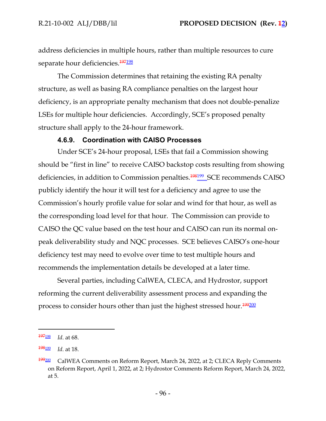address deficiencies in multiple hours, rather than multiple resources to cure separate hour deficiencies.<sup>197</sup>198

The Commission determines that retaining the existing RA penalty structure, as well as basing RA compliance penalties on the largest hour deficiency, is an appropriate penalty mechanism that does not double-penalize LSEs for multiple hour deficiencies. Accordingly, SCE's proposed penalty structure shall apply to the 24-hour framework.

### **4.6.9. Coordination with CAISO Processes**

Under SCE's 24-hour proposal, LSEs that fail a Commission showing should be "first in line" to receive CAISO backstop costs resulting from showing deficiencies, in addition to Commission penalties.<sup>198199</sup> SCE recommends CAISO publicly identify the hour it will test for a deficiency and agree to use the Commission's hourly profile value for solar and wind for that hour, as well as the corresponding load level for that hour. The Commission can provide to CAISO the QC value based on the test hour and CAISO can run its normal onpeak deliverability study and NQC processes. SCE believes CAISO's one-hour deficiency test may need to evolve over time to test multiple hours and recommends the implementation details be developed at a later time.

Several parties, including CalWEA, CLECA, and Hydrostor, support reforming the current deliverability assessment process and expanding the process to consider hours other than just the highest stressed hour.<sup>199200</sup>

<sup>197</sup><sup>198</sup> *Id*. at 68.

<sup>198</sup><sup>199</sup> *Id*. at 18.

<sup>199</sup><sup>200</sup> CalWEA Comments on Reform Report, March 24, 2022, at 2; CLECA Reply Comments on Reform Report, April 1, 2022, at 2; Hydrostor Comments Reform Report, March 24, 2022, at 5.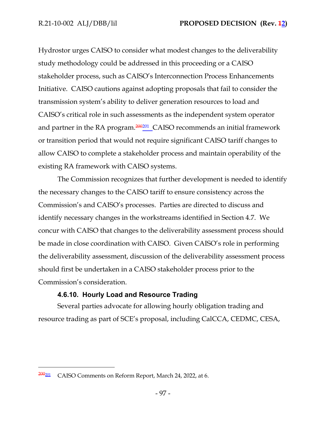Hydrostor urges CAISO to consider what modest changes to the deliverability study methodology could be addressed in this proceeding or a CAISO stakeholder process, such as CAISO's Interconnection Process Enhancements Initiative. CAISO cautions against adopting proposals that fail to consider the transmission system's ability to deliver generation resources to load and CAISO's critical role in such assessments as the independent system operator and partner in the RA program. $\frac{200201}{200}$  CAISO recommends an initial framework or transition period that would not require significant CAISO tariff changes to allow CAISO to complete a stakeholder process and maintain operability of the existing RA framework with CAISO systems.

The Commission recognizes that further development is needed to identify the necessary changes to the CAISO tariff to ensure consistency across the Commission's and CAISO's processes. Parties are directed to discuss and identify necessary changes in the workstreams identified in Section 4.7. We concur with CAISO that changes to the deliverability assessment process should be made in close coordination with CAISO. Given CAISO's role in performing the deliverability assessment, discussion of the deliverability assessment process should first be undertaken in a CAISO stakeholder process prior to the Commission's consideration.

# **4.6.10. Hourly Load and Resource Trading**

Several parties advocate for allowing hourly obligation trading and resource trading as part of SCE's proposal, including CalCCA, CEDMC, CESA,

 $200201$  CAISO Comments on Reform Report, March 24, 2022, at 6.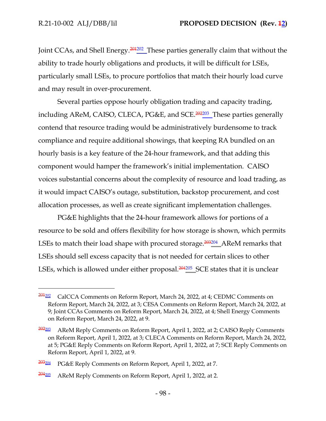Joint CCAs, and Shell Energy.<sup>2012</sup><sup>201</sup> These parties generally claim that without the ability to trade hourly obligations and products, it will be difficult for LSEs, particularly small LSEs, to procure portfolios that match their hourly load curve and may result in over-procurement.

Several parties oppose hourly obligation trading and capacity trading, including AReM, CAISO, CLECA, PG&E, and SCE.<sup>202203</sup> These parties generally contend that resource trading would be administratively burdensome to track compliance and require additional showings, that keeping RA bundled on an hourly basis is a key feature of the 24-hour framework, and that adding this component would hamper the framework's initial implementation. CAISO voices substantial concerns about the complexity of resource and load trading, as it would impact CAISO's outage, substitution, backstop procurement, and cost allocation processes, as well as create significant implementation challenges.

PG&E highlights that the 24-hour framework allows for portions of a resource to be sold and offers flexibility for how storage is shown, which permits LSEs to match their load shape with procured storage. $\frac{203204}{\ldots}$  AReM remarks that LSEs should sell excess capacity that is not needed for certain slices to other LSEs, which is allowed under either proposal.<sup>204205</sup> SCE states that it is unclear

 $201202$  CalCCA Comments on Reform Report, March 24, 2022, at 4; CEDMC Comments on Reform Report, March 24, 2022, at 3; CESA Comments on Reform Report, March 24, 2022, at 9; Joint CCAs Comments on Reform Report, March 24, 2022, at 4; Shell Energy Comments on Reform Report, March 24, 2022, at 9.

 $202203$  AReM Reply Comments on Reform Report, April 1, 2022, at 2; CAISO Reply Comments on Reform Report, April 1, 2022, at 3; CLECA Comments on Reform Report, March 24, 2022, at 5; PG&E Reply Comments on Reform Report, April 1, 2022, at 7; SCE Reply Comments on Reform Report, April 1, 2022, at 9.

<sup>&</sup>lt;sup>203<sub>204</sub></sup> PG&E Reply Comments on Reform Report, April 1, 2022, at 7.

 $204205$  AReM Reply Comments on Reform Report, April 1, 2022, at 2.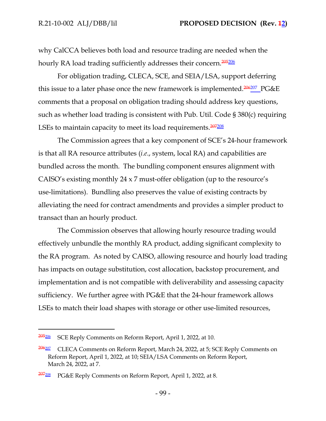why CalCCA believes both load and resource trading are needed when the hourly RA load trading sufficiently addresses their concern.<sup>205206</sup>

For obligation trading, CLECA, SCE, and SEIA/LSA, support deferring this issue to a later phase once the new framework is implemented.<sup>206207</sup> PG&E comments that a proposal on obligation trading should address key questions, such as whether load trading is consistent with Pub. Util. Code § 380(c) requiring LSEs to maintain capacity to meet its load requirements.<sup>207208</sup>

The Commission agrees that a key component of SCE's 24-hour framework is that all RA resource attributes (*i.e*., system, local RA) and capabilities are bundled across the month. The bundling component ensures alignment with CAISO's existing monthly 24 x 7 must-offer obligation (up to the resource's use-limitations). Bundling also preserves the value of existing contracts by alleviating the need for contract amendments and provides a simpler product to transact than an hourly product.

The Commission observes that allowing hourly resource trading would effectively unbundle the monthly RA product, adding significant complexity to the RA program. As noted by CAISO, allowing resource and hourly load trading has impacts on outage substitution, cost allocation, backstop procurement, and implementation and is not compatible with deliverability and assessing capacity sufficiency. We further agree with PG&E that the 24-hour framework allows LSEs to match their load shapes with storage or other use-limited resources,

<sup>205</sup><sup>206</sup> SCE Reply Comments on Reform Report, April 1, 2022, at 10.

<sup>&</sup>lt;sup>206207</sup> CLECA Comments on Reform Report, March 24, 2022, at 5; SCE Reply Comments on Reform Report, April 1, 2022, at 10; SEIA/LSA Comments on Reform Report, March 24, 2022, at 7.

<sup>&</sup>lt;sup>207208</sup> PG&E Reply Comments on Reform Report, April 1, 2022, at 8.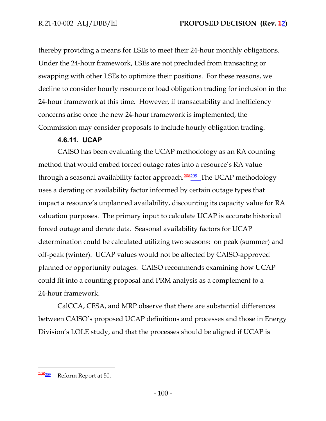thereby providing a means for LSEs to meet their 24-hour monthly obligations. Under the 24-hour framework, LSEs are not precluded from transacting or swapping with other LSEs to optimize their positions. For these reasons, we decline to consider hourly resource or load obligation trading for inclusion in the 24-hour framework at this time. However, if transactability and inefficiency concerns arise once the new 24-hour framework is implemented, the Commission may consider proposals to include hourly obligation trading.

## **4.6.11. UCAP**

CAISO has been evaluating the UCAP methodology as an RA counting method that would embed forced outage rates into a resource's RA value through a seasonal availability factor approach.<sup>208209</sup> The UCAP methodology uses a derating or availability factor informed by certain outage types that impact a resource's unplanned availability, discounting its capacity value for RA valuation purposes. The primary input to calculate UCAP is accurate historical forced outage and derate data. Seasonal availability factors for UCAP determination could be calculated utilizing two seasons: on peak (summer) and off-peak (winter). UCAP values would not be affected by CAISO-approved planned or opportunity outages. CAISO recommends examining how UCAP could fit into a counting proposal and PRM analysis as a complement to a 24-hour framework.

CalCCA, CESA, and MRP observe that there are substantial differences between CAISO's proposed UCAP definitions and processes and those in Energy Division's LOLE study, and that the processes should be aligned if UCAP is

<sup>208</sup><sup>209</sup> Reform Report at 50.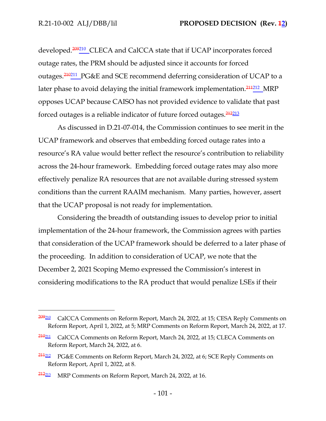developed.<sup>209210</sup> CLECA and CalCCA state that if UCAP incorporates forced outage rates, the PRM should be adjusted since it accounts for forced outages.<sup>210</sup><sup>211</sup> PG&E and SCE recommend deferring consideration of UCAP to a later phase to avoid delaying the initial framework implementation. $\frac{244212}{\ldots}$ MRP opposes UCAP because CAISO has not provided evidence to validate that past forced outages is a reliable indicator of future forced outages.<sup>212213</sup>

As discussed in D.21-07-014, the Commission continues to see merit in the UCAP framework and observes that embedding forced outage rates into a resource's RA value would better reflect the resource's contribution to reliability across the 24-hour framework. Embedding forced outage rates may also more effectively penalize RA resources that are not available during stressed system conditions than the current RAAIM mechanism. Many parties, however, assert that the UCAP proposal is not ready for implementation.

Considering the breadth of outstanding issues to develop prior to initial implementation of the 24-hour framework, the Commission agrees with parties that consideration of the UCAP framework should be deferred to a later phase of the proceeding. In addition to consideration of UCAP, we note that the December 2, 2021 Scoping Memo expressed the Commission's interest in considering modifications to the RA product that would penalize LSEs if their

<sup>209</sup><sup>210</sup> CalCCA Comments on Reform Report, March 24, 2022, at 15; CESA Reply Comments on Reform Report, April 1, 2022, at 5; MRP Comments on Reform Report, March 24, 2022, at 17.

<sup>210&</sup>lt;sub>211</sub> CalCCA Comments on Reform Report, March 24, 2022, at 15; CLECA Comments on Reform Report, March 24, 2022, at 6.

<sup>211</sup><sup>212</sup> PG&E Comments on Reform Report, March 24, 2022, at 6; SCE Reply Comments on Reform Report, April 1, 2022, at 8.

<sup>&</sup>lt;sup>212<sub>213</sub></sup> MRP Comments on Reform Report, March 24, 2022, at 16.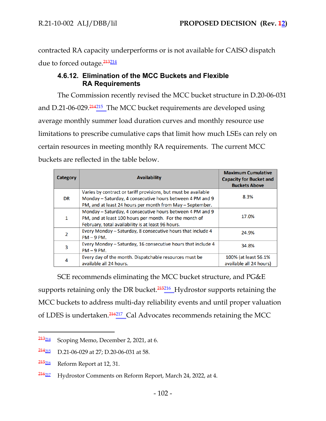contracted RA capacity underperforms or is not available for CAISO dispatch due to forced outage.<sup>213214</sup>

# **4.6.12. Elimination of the MCC Buckets and Flexible RA Requirements**

The Commission recently revised the MCC bucket structure in D.20-06-031 and D.21-06-029.<sup>214215</sup> The MCC bucket requirements are developed using average monthly summer load duration curves and monthly resource use limitations to prescribe cumulative caps that limit how much LSEs can rely on certain resources in meeting monthly RA requirements. The current MCC buckets are reflected in the table below.

| Category  | <b>Availability</b>                                                                                                                                                                      | <b>Maximum Cumulative</b><br><b>Capacity for Bucket and</b><br><b>Buckets Above</b> |
|-----------|------------------------------------------------------------------------------------------------------------------------------------------------------------------------------------------|-------------------------------------------------------------------------------------|
| <b>DR</b> | Varies by contract or tariff provisions, but must be available<br>Monday - Saturday, 4 consecutive hours between 4 PM and 9<br>PM, and at least 24 hours per month from May - September. | 8.3%                                                                                |
| 1         | Monday - Saturday, 4 consecutive hours between 4 PM and 9<br>PM, and at least 100 hours per month. For the month of<br>February, total availability is at least 96 hours.                | 17.0%                                                                               |
| 2         | Every Monday - Saturday, 8 consecutive hours that include 4<br>$PM - 9 PM$ .                                                                                                             | 24.9%                                                                               |
| 3         | Every Monday - Saturday, 16 consecutive hours that include 4<br>$PM - 9 PM$ .                                                                                                            | 34.8%                                                                               |
| 4         | Every day of the month. Dispatchable resources must be<br>available all 24 hours.                                                                                                        | 100% (at least 56.1%)<br>available all 24 hours)                                    |

SCE recommends eliminating the MCC bucket structure, and PG&E supports retaining only the DR bucket.<sup>215216</sup> Hydrostor supports retaining the MCC buckets to address multi-day reliability events and until proper valuation of LDES is undertaken.<sup>216</sup><sup>217</sup> Cal Advocates recommends retaining the MCC

 $\frac{213214}{213214}$  Scoping Memo, December 2, 2021, at 6.

 $\frac{214215}{214215}$  D.21-06-029 at 27; D.20-06-031 at 58.

 $\frac{215}{216}$  Reform Report at 12, 31.

<sup>216</sup><sup>217</sup> Hydrostor Comments on Reform Report, March 24, 2022, at 4.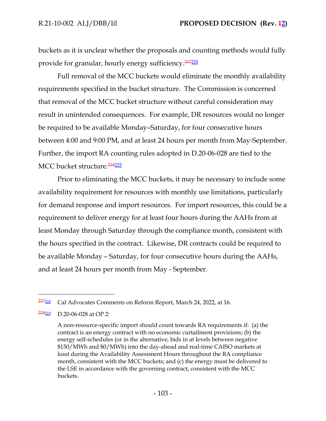buckets as it is unclear whether the proposals and counting methods would fully provide for granular, hourly energy sufficiency.<sup>217218</sup>

Full removal of the MCC buckets would eliminate the monthly availability requirements specified in the bucket structure. The Commission is concerned that removal of the MCC bucket structure without careful consideration may result in unintended consequences. For example, DR resources would no longer be required to be available Monday–Saturday, for four consecutive hours between 4:00 and 9:00 PM, and at least 24 hours per month from May-September. Further, the import RA counting rules adopted in D.20-06-028 are tied to the MCC bucket structure.<sup>218</sup>219

Prior to eliminating the MCC buckets, it may be necessary to include some availability requirement for resources with monthly use limitations, particularly for demand response and import resources. For import resources, this could be a requirement to deliver energy for at least four hours during the AAHs from at least Monday through Saturday through the compliance month, consistent with the hours specified in the contract. Likewise, DR contracts could be required to be available Monday – Saturday, for four consecutive hours during the AAHs, and at least 24 hours per month from May - September.

<sup>217</sup><sup>218</sup> Cal Advocates Comments on Reform Report, March 24, 2022, at 16.

 $\frac{218219}{\text{D}}$  D.20-06-028 at OP 2:

A non-resource-specific import should count towards RA requirements if: (a) the contract is an energy contract with no economic curtailment provisions; (b) the energy self-schedules (or in the alternative, bids in at levels between negative \$150/MWh and \$0/MWh) into the day-ahead and real-time CAISO markets at least during the Availability Assessment Hours throughout the RA compliance month, consistent with the MCC buckets; and (c) the energy must be delivered to the LSE in accordance with the governing contract, consistent with the MCC buckets.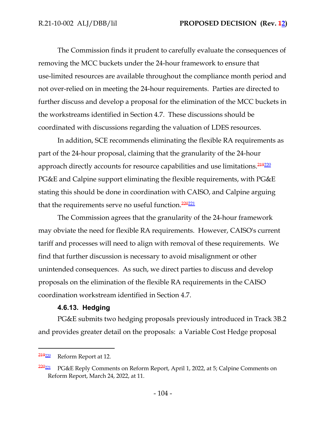The Commission finds it prudent to carefully evaluate the consequences of removing the MCC buckets under the 24-hour framework to ensure that use-limited resources are available throughout the compliance month period and not over-relied on in meeting the 24-hour requirements. Parties are directed to further discuss and develop a proposal for the elimination of the MCC buckets in the workstreams identified in Section 4.7. These discussions should be coordinated with discussions regarding the valuation of LDES resources.

In addition, SCE recommends eliminating the flexible RA requirements as part of the 24-hour proposal, claiming that the granularity of the 24-hour approach directly accounts for resource capabilities and use limitations.<sup>219220</sup> PG&E and Calpine support eliminating the flexible requirements, with PG&E stating this should be done in coordination with CAISO, and Calpine arguing that the requirements serve no useful function.<sup>220221</sup>

The Commission agrees that the granularity of the 24-hour framework may obviate the need for flexible RA requirements. However, CAISO's current tariff and processes will need to align with removal of these requirements. We find that further discussion is necessary to avoid misalignment or other unintended consequences. As such, we direct parties to discuss and develop proposals on the elimination of the flexible RA requirements in the CAISO coordination workstream identified in Section 4.7.

## **4.6.13. Hedging**

PG&E submits two hedging proposals previously introduced in Track 3B.2 and provides greater detail on the proposals: a Variable Cost Hedge proposal

<sup>219</sup><sup>220</sup> Reform Report at 12.

 $220_{221}$  PG&E Reply Comments on Reform Report, April 1, 2022, at 5; Calpine Comments on Reform Report, March 24, 2022, at 11.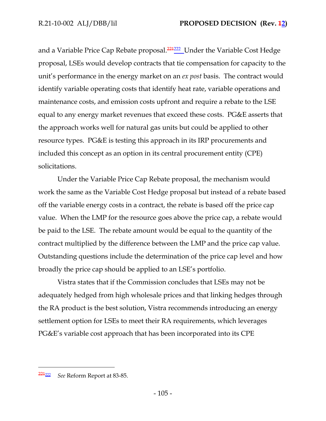and a Variable Price Cap Rebate proposal.<sup>221222</sup> Under the Variable Cost Hedge proposal, LSEs would develop contracts that tie compensation for capacity to the unit's performance in the energy market on an *ex post* basis. The contract would identify variable operating costs that identify heat rate, variable operations and maintenance costs, and emission costs upfront and require a rebate to the LSE equal to any energy market revenues that exceed these costs. PG&E asserts that the approach works well for natural gas units but could be applied to other resource types. PG&E is testing this approach in its IRP procurements and included this concept as an option in its central procurement entity (CPE) solicitations.

Under the Variable Price Cap Rebate proposal, the mechanism would work the same as the Variable Cost Hedge proposal but instead of a rebate based off the variable energy costs in a contract, the rebate is based off the price cap value. When the LMP for the resource goes above the price cap, a rebate would be paid to the LSE. The rebate amount would be equal to the quantity of the contract multiplied by the difference between the LMP and the price cap value. Outstanding questions include the determination of the price cap level and how broadly the price cap should be applied to an LSE's portfolio.

Vistra states that if the Commission concludes that LSEs may not be adequately hedged from high wholesale prices and that linking hedges through the RA product is the best solution, Vistra recommends introducing an energy settlement option for LSEs to meet their RA requirements, which leverages PG&E's variable cost approach that has been incorporated into its CPE

<sup>221</sup><sup>222</sup> *See* Reform Report at 83-85.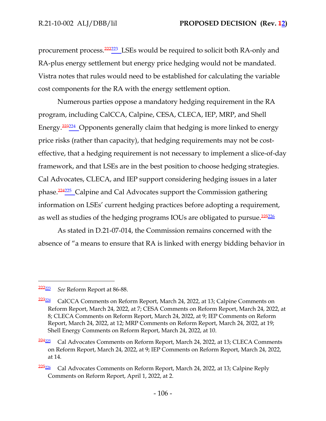procurement process.<sup>222223</sup> LSEs would be required to solicit both RA-only and RA-plus energy settlement but energy price hedging would not be mandated. Vistra notes that rules would need to be established for calculating the variable cost components for the RA with the energy settlement option.

Numerous parties oppose a mandatory hedging requirement in the RA program, including CalCCA, Calpine, CESA, CLECA, IEP, MRP, and Shell Energy.<sup>223224</sup> Opponents generally claim that hedging is more linked to energy price risks (rather than capacity), that hedging requirements may not be costeffective, that a hedging requirement is not necessary to implement a slice-of-day framework, and that LSEs are in the best position to choose hedging strategies. Cal Advocates, CLECA, and IEP support considering hedging issues in a later phase.<sup>224225</sup> Calpine and Cal Advocates support the Commission gathering information on LSEs' current hedging practices before adopting a requirement, as well as studies of the hedging programs IOUs are obligated to pursue.<sup>225226</sup>

As stated in D.21-07-014, the Commission remains concerned with the absence of "a means to ensure that RA is linked with energy bidding behavior in

<sup>222</sup><sup>223</sup> *See* Reform Report at 86-88.

 $\frac{223224}{223224}$  CalCCA Comments on Reform Report, March 24, 2022, at 13; Calpine Comments on Reform Report, March 24, 2022, at 7; CESA Comments on Reform Report, March 24, 2022, at 8; CLECA Comments on Reform Report, March 24, 2022, at 9; IEP Comments on Reform Report, March 24, 2022, at 12; MRP Comments on Reform Report, March 24, 2022, at 19; Shell Energy Comments on Reform Report, March 24, 2022, at 10.

 $224_{225}$  Cal Advocates Comments on Reform Report, March 24, 2022, at 13; CLECA Comments on Reform Report, March 24, 2022, at 9; IEP Comments on Reform Report, March 24, 2022, at 14.

 $\frac{225226}{2}$  Cal Advocates Comments on Reform Report, March 24, 2022, at 13; Calpine Reply Comments on Reform Report, April 1, 2022, at 2.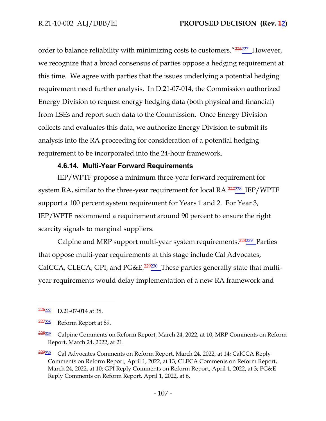order to balance reliability with minimizing costs to customers."<sup>226227</sup> However, we recognize that a broad consensus of parties oppose a hedging requirement at this time. We agree with parties that the issues underlying a potential hedging requirement need further analysis. In D.21-07-014, the Commission authorized Energy Division to request energy hedging data (both physical and financial) from LSEs and report such data to the Commission. Once Energy Division collects and evaluates this data, we authorize Energy Division to submit its analysis into the RA proceeding for consideration of a potential hedging requirement to be incorporated into the 24-hour framework.

### **4.6.14. Multi-Year Forward Requirements**

IEP/WPTF propose a minimum three-year forward requirement for system RA, similar to the three-year requirement for local RA.<sup>227228</sup> IEP/WPTF support a 100 percent system requirement for Years 1 and 2. For Year 3, IEP/WPTF recommend a requirement around 90 percent to ensure the right scarcity signals to marginal suppliers.

Calpine and MRP support multi-year system requirements.<sup>228229</sup> Parties that oppose multi-year requirements at this stage include Cal Advocates, CalCCA, CLECA, GPI, and PG&E.<sup>229230</sup> These parties generally state that multiyear requirements would delay implementation of a new RA framework and

 $\frac{226227}{2}$  D.21-07-014 at 38.

<sup>227</sup><sup>228</sup> Reform Report at 89.

<sup>&</sup>lt;sup>228<sub>229</sub></sup> Calpine Comments on Reform Report, March 24, 2022, at 10; MRP Comments on Reform Report, March 24, 2022, at 21.

<sup>&</sup>lt;sup>229</sup><sup>230</sup> Cal Advocates Comments on Reform Report, March 24, 2022, at 14; CalCCA Reply Comments on Reform Report, April 1, 2022, at 13; CLECA Comments on Reform Report, March 24, 2022, at 10; GPI Reply Comments on Reform Report, April 1, 2022, at 3; PG&E Reply Comments on Reform Report, April 1, 2022, at 6.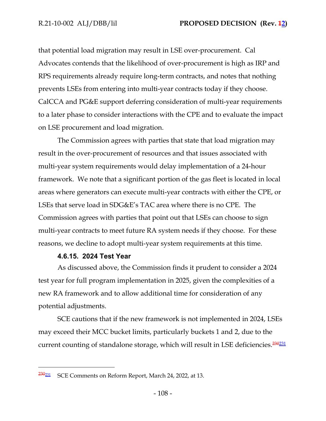that potential load migration may result in LSE over-procurement. Cal Advocates contends that the likelihood of over-procurement is high as IRP and RPS requirements already require long-term contracts, and notes that nothing prevents LSEs from entering into multi-year contracts today if they choose. CalCCA and PG&E support deferring consideration of multi-year requirements to a later phase to consider interactions with the CPE and to evaluate the impact on LSE procurement and load migration.

The Commission agrees with parties that state that load migration may result in the over-procurement of resources and that issues associated with multi-year system requirements would delay implementation of a 24-hour framework. We note that a significant portion of the gas fleet is located in local areas where generators can execute multi-year contracts with either the CPE, or LSEs that serve load in SDG&E's TAC area where there is no CPE. The Commission agrees with parties that point out that LSEs can choose to sign multi-year contracts to meet future RA system needs if they choose. For these reasons, we decline to adopt multi-year system requirements at this time.

#### **4.6.15. 2024 Test Year**

As discussed above, the Commission finds it prudent to consider a 2024 test year for full program implementation in 2025, given the complexities of a new RA framework and to allow additional time for consideration of any potential adjustments.

SCE cautions that if the new framework is not implemented in 2024, LSEs may exceed their MCC bucket limits, particularly buckets 1 and 2, due to the current counting of standalone storage, which will result in LSE deficiencies.<sup>230231</sup>

<sup>&</sup>lt;sup>230<sub>231</sub> SCE Comments on Reform Report, March 24, 2022, at 13.</sup>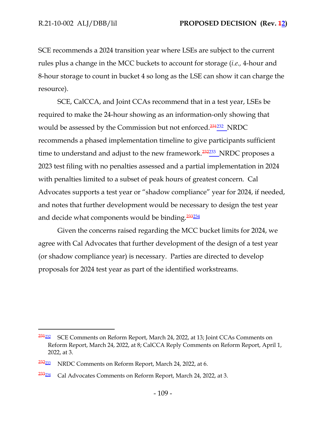SCE recommends a 2024 transition year where LSEs are subject to the current rules plus a change in the MCC buckets to account for storage (*i.e.,* 4-hour and 8-hour storage to count in bucket 4 so long as the LSE can show it can charge the resource).

SCE, CalCCA, and Joint CCAs recommend that in a test year, LSEs be required to make the 24-hour showing as an information-only showing that would be assessed by the Commission but not enforced.<sup>231232</sup>\_NRDC recommends a phased implementation timeline to give participants sufficient time to understand and adjust to the new framework.<sup>232233</sup>\_NRDC proposes a 2023 test filing with no penalties assessed and a partial implementation in 2024 with penalties limited to a subset of peak hours of greatest concern. Cal Advocates supports a test year or "shadow compliance" year for 2024, if needed, and notes that further development would be necessary to design the test year and decide what components would be binding.<sup>233234</sup>

Given the concerns raised regarding the MCC bucket limits for 2024, we agree with Cal Advocates that further development of the design of a test year (or shadow compliance year) is necessary. Parties are directed to develop proposals for 2024 test year as part of the identified workstreams.

<sup>231</sup><sup>232</sup> SCE Comments on Reform Report, March 24, 2022, at 13; Joint CCAs Comments on Reform Report, March 24, 2022, at 8; CalCCA Reply Comments on Reform Report, April 1, 2022, at 3.

<sup>&</sup>lt;sup>232<sub>233</sub></sup> NRDC Comments on Reform Report, March 24, 2022, at 6.

<sup>&</sup>lt;sup>233<sub>234</sub></sup> Cal Advocates Comments on Reform Report, March 24, 2022, at 3.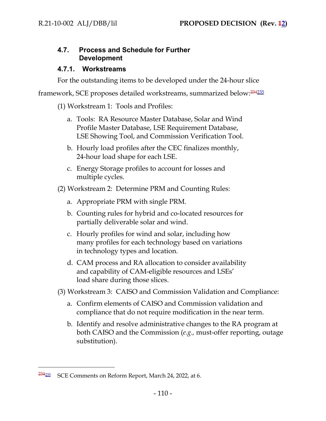# **4.7. Process and Schedule for Further Development**

## **4.7.1. Workstreams**

For the outstanding items to be developed under the 24-hour slice

framework, SCE proposes detailed workstreams, summarized below:<sup>234235</sup>

(1) Workstream 1: Tools and Profiles:

- a. Tools: RA Resource Master Database, Solar and Wind Profile Master Database, LSE Requirement Database, LSE Showing Tool, and Commission Verification Tool.
- b. Hourly load profiles after the CEC finalizes monthly, 24-hour load shape for each LSE.
- c. Energy Storage profiles to account for losses and multiple cycles.
- (2) Workstream 2: Determine PRM and Counting Rules:
	- a. Appropriate PRM with single PRM.
	- b. Counting rules for hybrid and co-located resources for partially deliverable solar and wind.
	- c. Hourly profiles for wind and solar, including how many profiles for each technology based on variations in technology types and location.
	- d. CAM process and RA allocation to consider availability and capability of CAM-eligible resources and LSEs' load share during those slices.
- (3) Workstream 3: CAISO and Commission Validation and Compliance:
	- a. Confirm elements of CAISO and Commission validation and compliance that do not require modification in the near term.
	- b. Identify and resolve administrative changes to the RA program at both CAISO and the Commission (*e.g.,* must-offer reporting, outage substitution).

<sup>234</sup><sup>235</sup> SCE Comments on Reform Report, March 24, 2022, at 6.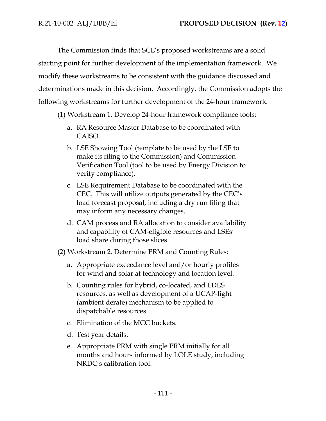The Commission finds that SCE's proposed workstreams are a solid starting point for further development of the implementation framework. We modify these workstreams to be consistent with the guidance discussed and determinations made in this decision. Accordingly, the Commission adopts the following workstreams for further development of the 24-hour framework.

- (1) Workstream 1. Develop 24-hour framework compliance tools:
	- a. RA Resource Master Database to be coordinated with CAISO.
	- b. LSE Showing Tool (template to be used by the LSE to make its filing to the Commission) and Commission Verification Tool (tool to be used by Energy Division to verify compliance).
	- c. LSE Requirement Database to be coordinated with the CEC. This will utilize outputs generated by the CEC's load forecast proposal, including a dry run filing that may inform any necessary changes.
	- d. CAM process and RA allocation to consider availability and capability of CAM-eligible resources and LSEs' load share during those slices.
- (2) Workstream 2. Determine PRM and Counting Rules:
	- a. Appropriate exceedance level and/or hourly profiles for wind and solar at technology and location level.
	- b. Counting rules for hybrid, co-located, and LDES resources, as well as development of a UCAP-light (ambient derate) mechanism to be applied to dispatchable resources.
	- c. Elimination of the MCC buckets.
	- d. Test year details.
	- e. Appropriate PRM with single PRM initially for all months and hours informed by LOLE study, including NRDC's calibration tool.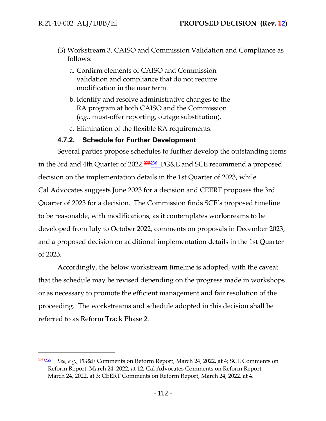- (3) Workstream 3. CAISO and Commission Validation and Compliance as follows:
	- a. Confirm elements of CAISO and Commission validation and compliance that do not require modification in the near term.
	- b. Identify and resolve administrative changes to the RA program at both CAISO and the Commission (*e.g.*, must-offer reporting, outage substitution).
	- c. Elimination of the flexible RA requirements.

## **4.7.2. Schedule for Further Development**

Several parties propose schedules to further develop the outstanding items in the 3rd and 4th Quarter of 2022.<sup>235236</sup>\_PG&E and SCE recommend a proposed decision on the implementation details in the 1st Quarter of 2023, while Cal Advocates suggests June 2023 for a decision and CEERT proposes the 3rd Quarter of 2023 for a decision. The Commission finds SCE's proposed timeline to be reasonable, with modifications, as it contemplates workstreams to be developed from July to October 2022, comments on proposals in December 2023, and a proposed decision on additional implementation details in the 1st Quarter of 2023.

Accordingly, the below workstream timeline is adopted, with the caveat that the schedule may be revised depending on the progress made in workshops or as necessary to promote the efficient management and fair resolution of the proceeding. The workstreams and schedule adopted in this decision shall be referred to as Reform Track Phase 2.

<sup>235</sup><sup>236</sup> *See, e.g.,* PG&E Comments on Reform Report, March 24, 2022, at 4; SCE Comments on Reform Report, March 24, 2022, at 12; Cal Advocates Comments on Reform Report, March 24, 2022, at 3; CEERT Comments on Reform Report, March 24, 2022, at 4.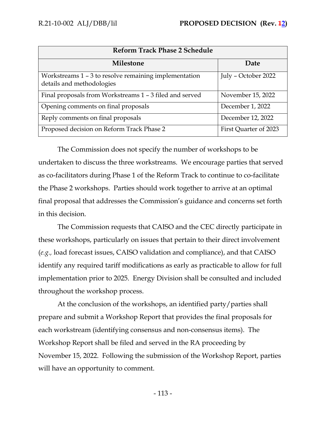| <b>Reform Track Phase 2 Schedule</b>                                               |                       |  |  |
|------------------------------------------------------------------------------------|-----------------------|--|--|
| <b>Milestone</b>                                                                   | Date                  |  |  |
| Workstreams 1 - 3 to resolve remaining implementation<br>details and methodologies | July - October 2022   |  |  |
| Final proposals from Workstreams 1 - 3 filed and served                            | November 15, 2022     |  |  |
| Opening comments on final proposals                                                | December 1, 2022      |  |  |
| Reply comments on final proposals                                                  | December 12, 2022     |  |  |
| Proposed decision on Reform Track Phase 2                                          | First Quarter of 2023 |  |  |

The Commission does not specify the number of workshops to be undertaken to discuss the three workstreams. We encourage parties that served as co-facilitators during Phase 1 of the Reform Track to continue to co-facilitate the Phase 2 workshops. Parties should work together to arrive at an optimal final proposal that addresses the Commission's guidance and concerns set forth in this decision.

The Commission requests that CAISO and the CEC directly participate in these workshops, particularly on issues that pertain to their direct involvement (*e.g.,* load forecast issues, CAISO validation and compliance), and that CAISO identify any required tariff modifications as early as practicable to allow for full implementation prior to 2025. Energy Division shall be consulted and included throughout the workshop process.

At the conclusion of the workshops, an identified party/parties shall prepare and submit a Workshop Report that provides the final proposals for each workstream (identifying consensus and non-consensus items). The Workshop Report shall be filed and served in the RA proceeding by November 15, 2022. Following the submission of the Workshop Report, parties will have an opportunity to comment.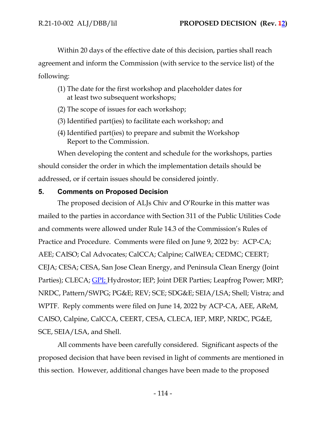Within 20 days of the effective date of this decision, parties shall reach agreement and inform the Commission (with service to the service list) of the following:

- (1) The date for the first workshop and placeholder dates for at least two subsequent workshops;
- (2) The scope of issues for each workshop;
- (3) Identified part(ies) to facilitate each workshop; and
- (4) Identified part(ies) to prepare and submit the Workshop Report to the Commission.

When developing the content and schedule for the workshops, parties should consider the order in which the implementation details should be addressed, or if certain issues should be considered jointly.

## **5. Comments on Proposed Decision**

The proposed decision of ALJs Chiv and O'Rourke in this matter was mailed to the parties in accordance with Section 311 of the Public Utilities Code and comments were allowed under Rule 14.3 of the Commission's Rules of Practice and Procedure. Comments were filed on June 9, 2022 by: ACP-CA; AEE; CAISO; Cal Advocates; CalCCA; Calpine; CalWEA; CEDMC; CEERT; CEJA; CESA; CESA, San Jose Clean Energy, and Peninsula Clean Energy (Joint Parties); CLECA; GPI; Hydrostor; IEP; Joint DER Parties; Leapfrog Power; MRP; NRDC, Pattern/SWPG; PG&E; REV; SCE; SDG&E; SEIA/LSA; Shell; Vistra; and WPTF. Reply comments were filed on June 14, 2022 by ACP-CA, AEE, AReM, CAISO, Calpine, CalCCA, CEERT, CESA, CLECA, IEP, MRP, NRDC, PG&E, SCE, SEIA/LSA, and Shell.

All comments have been carefully considered. Significant aspects of the proposed decision that have been revised in light of comments are mentioned in this section. However, additional changes have been made to the proposed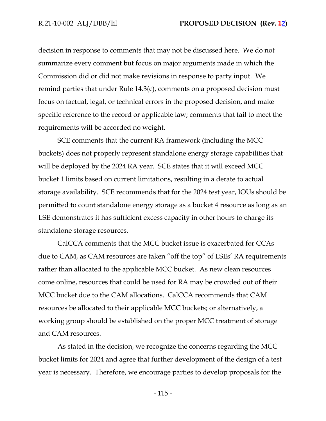decision in response to comments that may not be discussed here. We do not summarize every comment but focus on major arguments made in which the Commission did or did not make revisions in response to party input. We remind parties that under Rule 14.3(c), comments on a proposed decision must focus on factual, legal, or technical errors in the proposed decision, and make specific reference to the record or applicable law; comments that fail to meet the requirements will be accorded no weight.

SCE comments that the current RA framework (including the MCC buckets) does not properly represent standalone energy storage capabilities that will be deployed by the 2024 RA year. SCE states that it will exceed MCC bucket 1 limits based on current limitations, resulting in a derate to actual storage availability. SCE recommends that for the 2024 test year, IOUs should be permitted to count standalone energy storage as a bucket 4 resource as long as an LSE demonstrates it has sufficient excess capacity in other hours to charge its standalone storage resources.

CalCCA comments that the MCC bucket issue is exacerbated for CCAs due to CAM, as CAM resources are taken "off the top" of LSEs' RA requirements rather than allocated to the applicable MCC bucket. As new clean resources come online, resources that could be used for RA may be crowded out of their MCC bucket due to the CAM allocations. CalCCA recommends that CAM resources be allocated to their applicable MCC buckets; or alternatively, a working group should be established on the proper MCC treatment of storage and CAM resources.

As stated in the decision, we recognize the concerns regarding the MCC bucket limits for 2024 and agree that further development of the design of a test year is necessary. Therefore, we encourage parties to develop proposals for the

- 115 -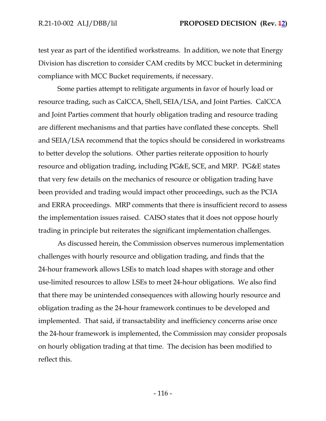test year as part of the identified workstreams. In addition, we note that Energy Division has discretion to consider CAM credits by MCC bucket in determining compliance with MCC Bucket requirements, if necessary.

Some parties attempt to relitigate arguments in favor of hourly load or resource trading, such as CalCCA, Shell, SEIA/LSA, and Joint Parties. CalCCA and Joint Parties comment that hourly obligation trading and resource trading are different mechanisms and that parties have conflated these concepts. Shell and SEIA/LSA recommend that the topics should be considered in workstreams to better develop the solutions. Other parties reiterate opposition to hourly resource and obligation trading, including PG&E, SCE, and MRP. PG&E states that very few details on the mechanics of resource or obligation trading have been provided and trading would impact other proceedings, such as the PCIA and ERRA proceedings. MRP comments that there is insufficient record to assess the implementation issues raised. CAISO states that it does not oppose hourly trading in principle but reiterates the significant implementation challenges.

As discussed herein, the Commission observes numerous implementation challenges with hourly resource and obligation trading, and finds that the 24-hour framework allows LSEs to match load shapes with storage and other use-limited resources to allow LSEs to meet 24-hour obligations. We also find that there may be unintended consequences with allowing hourly resource and obligation trading as the 24-hour framework continues to be developed and implemented. That said, if transactability and inefficiency concerns arise once the 24-hour framework is implemented, the Commission may consider proposals on hourly obligation trading at that time. The decision has been modified to reflect this.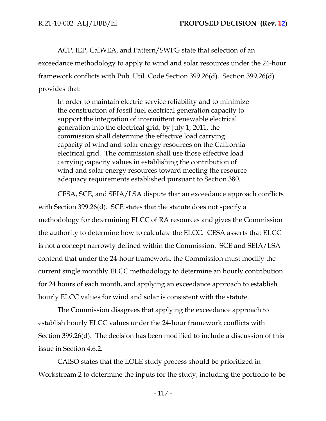ACP, IEP, CalWEA, and Pattern/SWPG state that selection of an exceedance methodology to apply to wind and solar resources under the 24-hour framework conflicts with Pub. Util. Code Section 399.26(d). Section 399.26(d) provides that:

In order to maintain electric service reliability and to minimize the construction of fossil fuel electrical generation capacity to support the integration of intermittent renewable electrical generation into the electrical grid, by July 1, 2011, the commission shall determine the effective load carrying capacity of wind and solar energy resources on the California electrical grid. The commission shall use those effective load carrying capacity values in establishing the contribution of wind and solar energy resources toward meeting the resource adequacy requirements established pursuant to Section 380.

CESA, SCE, and SEIA/LSA dispute that an exceedance approach conflicts with Section 399.26(d). SCE states that the statute does not specify a methodology for determining ELCC of RA resources and gives the Commission the authority to determine how to calculate the ELCC. CESA asserts that ELCC is not a concept narrowly defined within the Commission. SCE and SEIA/LSA contend that under the 24-hour framework, the Commission must modify the current single monthly ELCC methodology to determine an hourly contribution for 24 hours of each month, and applying an exceedance approach to establish hourly ELCC values for wind and solar is consistent with the statute.

The Commission disagrees that applying the exceedance approach to establish hourly ELCC values under the 24-hour framework conflicts with Section 399.26(d). The decision has been modified to include a discussion of this issue in Section 4.6.2.

CAISO states that the LOLE study process should be prioritized in Workstream 2 to determine the inputs for the study, including the portfolio to be

- 117 -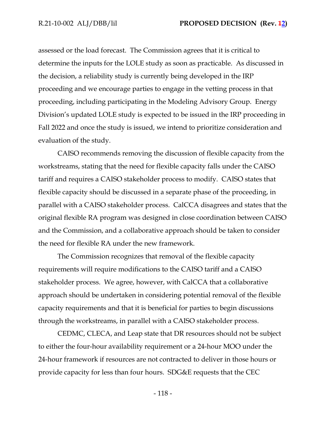assessed or the load forecast. The Commission agrees that it is critical to determine the inputs for the LOLE study as soon as practicable. As discussed in the decision, a reliability study is currently being developed in the IRP proceeding and we encourage parties to engage in the vetting process in that proceeding, including participating in the Modeling Advisory Group. Energy Division's updated LOLE study is expected to be issued in the IRP proceeding in Fall 2022 and once the study is issued, we intend to prioritize consideration and evaluation of the study.

CAISO recommends removing the discussion of flexible capacity from the workstreams, stating that the need for flexible capacity falls under the CAISO tariff and requires a CAISO stakeholder process to modify. CAISO states that flexible capacity should be discussed in a separate phase of the proceeding, in parallel with a CAISO stakeholder process. CalCCA disagrees and states that the original flexible RA program was designed in close coordination between CAISO and the Commission, and a collaborative approach should be taken to consider the need for flexible RA under the new framework.

The Commission recognizes that removal of the flexible capacity requirements will require modifications to the CAISO tariff and a CAISO stakeholder process. We agree, however, with CalCCA that a collaborative approach should be undertaken in considering potential removal of the flexible capacity requirements and that it is beneficial for parties to begin discussions through the workstreams, in parallel with a CAISO stakeholder process.

CEDMC, CLECA, and Leap state that DR resources should not be subject to either the four-hour availability requirement or a 24-hour MOO under the 24-hour framework if resources are not contracted to deliver in those hours or provide capacity for less than four hours. SDG&E requests that the CEC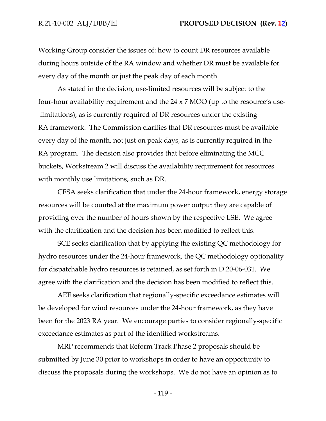Working Group consider the issues of: how to count DR resources available during hours outside of the RA window and whether DR must be available for every day of the month or just the peak day of each month.

As stated in the decision, use-limited resources will be subject to the four-hour availability requirement and the  $24 \times 7$  MOO (up to the resource's use limitations), as is currently required of DR resources under the existing RA framework. The Commission clarifies that DR resources must be available every day of the month, not just on peak days, as is currently required in the RA program. The decision also provides that before eliminating the MCC buckets, Workstream 2 will discuss the availability requirement for resources with monthly use limitations, such as DR.

CESA seeks clarification that under the 24-hour framework, energy storage resources will be counted at the maximum power output they are capable of providing over the number of hours shown by the respective LSE. We agree with the clarification and the decision has been modified to reflect this.

SCE seeks clarification that by applying the existing QC methodology for hydro resources under the 24-hour framework, the QC methodology optionality for dispatchable hydro resources is retained, as set forth in D.20-06-031. We agree with the clarification and the decision has been modified to reflect this.

AEE seeks clarification that regionally-specific exceedance estimates will be developed for wind resources under the 24-hour framework, as they have been for the 2023 RA year. We encourage parties to consider regionally-specific exceedance estimates as part of the identified workstreams.

MRP recommends that Reform Track Phase 2 proposals should be submitted by June 30 prior to workshops in order to have an opportunity to discuss the proposals during the workshops. We do not have an opinion as to

- 119 -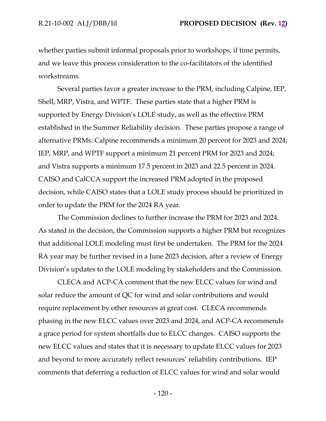whether parties submit informal proposals prior to workshops, if time permits, and we leave this process consideration to the co-facilitators of the identified workstreams.

Several parties favor a greater increase to the PRM, including Calpine, IEP, Shell, MRP, Vistra, and WPTF. These parties state that a higher PRM is supported by Energy Division's LOLE study, as well as the effective PRM established in the Summer Reliability decision. These parties propose a range of alternative PRMs: Calpine recommends a minimum 20 percent for 2023 and 2024; IEP, MRP, and WPTF support a minimum 21 percent PRM for 2023 and 2024; and Vistra supports a minimum 17.5 percent in 2023 and 22.5 percent in 2024. CAISO and CalCCA support the increased PRM adopted in the proposed decision, while CAISO states that a LOLE study process should be prioritized in order to update the PRM for the 2024 RA year.

The Commission declines to further increase the PRM for 2023 and 2024. As stated in the decision, the Commission supports a higher PRM but recognizes that additional LOLE modeling must first be undertaken. The PRM for the 2024 RA year may be further revised in a June 2023 decision, after a review of Energy Division's updates to the LOLE modeling by stakeholders and the Commission.

CLECA and ACP-CA comment that the new ELCC values for wind and solar reduce the amount of QC for wind and solar contributions and would require replacement by other resources at great cost. CLECA recommends phasing in the new ELCC values over 2023 and 2024, and ACP-CA recommends a grace period for system shortfalls due to ELCC changes. CAISO supports the new ELCC values and states that it is necessary to update ELCC values for 2023 and beyond to more accurately reflect resources' reliability contributions. IEP comments that deferring a reduction of ELCC values for wind and solar would

- 120 -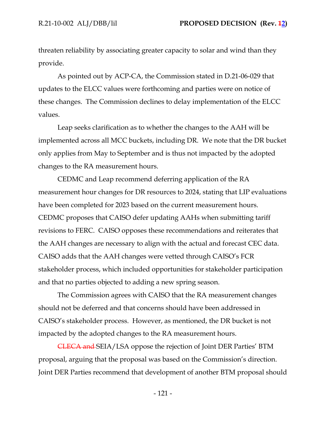threaten reliability by associating greater capacity to solar and wind than they provide.

As pointed out by ACP-CA, the Commission stated in D.21-06-029 that updates to the ELCC values were forthcoming and parties were on notice of these changes. The Commission declines to delay implementation of the ELCC values.

Leap seeks clarification as to whether the changes to the AAH will be implemented across all MCC buckets, including DR. We note that the DR bucket only applies from May to September and is thus not impacted by the adopted changes to the RA measurement hours.

CEDMC and Leap recommend deferring application of the RA measurement hour changes for DR resources to 2024, stating that LIP evaluations have been completed for 2023 based on the current measurement hours. CEDMC proposes that CAISO defer updating AAHs when submitting tariff revisions to FERC. CAISO opposes these recommendations and reiterates that the AAH changes are necessary to align with the actual and forecast CEC data. CAISO adds that the AAH changes were vetted through CAISO's FCR stakeholder process, which included opportunities for stakeholder participation and that no parties objected to adding a new spring season.

The Commission agrees with CAISO that the RA measurement changes should not be deferred and that concerns should have been addressed in CAISO's stakeholder process. However, as mentioned, the DR bucket is not impacted by the adopted changes to the RA measurement hours.

CLECA and SEIA/LSA oppose the rejection of Joint DER Parties' BTM proposal, arguing that the proposal was based on the Commission's direction. Joint DER Parties recommend that development of another BTM proposal should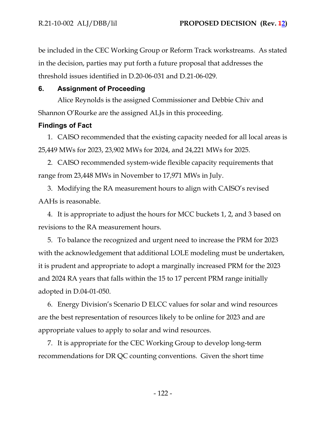be included in the CEC Working Group or Reform Track workstreams. As stated in the decision, parties may put forth a future proposal that addresses the threshold issues identified in D.20-06-031 and D.21-06-029.

# **6. Assignment of Proceeding**

Alice Reynolds is the assigned Commissioner and Debbie Chiv and Shannon O'Rourke are the assigned ALJs in this proceeding.

# **Findings of Fact**

1. CAISO recommended that the existing capacity needed for all local areas is 25,449 MWs for 2023, 23,902 MWs for 2024, and 24,221 MWs for 2025.

2. CAISO recommended system-wide flexible capacity requirements that range from 23,448 MWs in November to 17,971 MWs in July.

3. Modifying the RA measurement hours to align with CAISO's revised AAHs is reasonable.

4. It is appropriate to adjust the hours for MCC buckets 1, 2, and 3 based on revisions to the RA measurement hours.

5. To balance the recognized and urgent need to increase the PRM for 2023 with the acknowledgement that additional LOLE modeling must be undertaken, it is prudent and appropriate to adopt a marginally increased PRM for the 2023 and 2024 RA years that falls within the 15 to 17 percent PRM range initially adopted in D.04-01-050.

6. Energy Division's Scenario D ELCC values for solar and wind resources are the best representation of resources likely to be online for 2023 and are appropriate values to apply to solar and wind resources.

7. It is appropriate for the CEC Working Group to develop long-term recommendations for DR QC counting conventions. Given the short time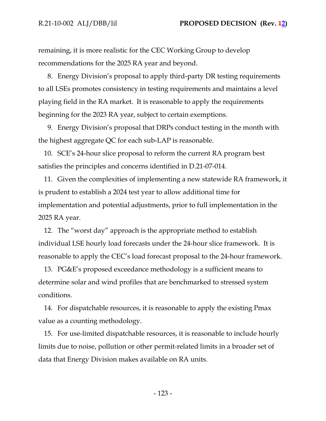remaining, it is more realistic for the CEC Working Group to develop recommendations for the 2025 RA year and beyond.

8. Energy Division's proposal to apply third-party DR testing requirements to all LSEs promotes consistency in testing requirements and maintains a level playing field in the RA market. It is reasonable to apply the requirements beginning for the 2023 RA year, subject to certain exemptions.

9. Energy Division's proposal that DRPs conduct testing in the month with the highest aggregate QC for each sub-LAP is reasonable.

10. SCE's 24-hour slice proposal to reform the current RA program best satisfies the principles and concerns identified in D.21-07-014.

11. Given the complexities of implementing a new statewide RA framework, it is prudent to establish a 2024 test year to allow additional time for implementation and potential adjustments, prior to full implementation in the 2025 RA year.

12. The "worst day" approach is the appropriate method to establish individual LSE hourly load forecasts under the 24-hour slice framework. It is reasonable to apply the CEC's load forecast proposal to the 24-hour framework.

13. PG&E's proposed exceedance methodology is a sufficient means to determine solar and wind profiles that are benchmarked to stressed system conditions.

14. For dispatchable resources, it is reasonable to apply the existing Pmax value as a counting methodology.

15. For use-limited dispatchable resources, it is reasonable to include hourly limits due to noise, pollution or other permit-related limits in a broader set of data that Energy Division makes available on RA units.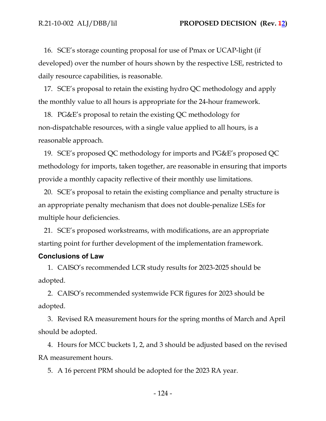16. SCE's storage counting proposal for use of Pmax or UCAP-light (if developed) over the number of hours shown by the respective LSE, restricted to daily resource capabilities, is reasonable.

17. SCE's proposal to retain the existing hydro QC methodology and apply the monthly value to all hours is appropriate for the 24-hour framework.

18. PG&E's proposal to retain the existing QC methodology for non-dispatchable resources, with a single value applied to all hours, is a reasonable approach.

19. SCE's proposed QC methodology for imports and PG&E's proposed QC methodology for imports, taken together, are reasonable in ensuring that imports provide a monthly capacity reflective of their monthly use limitations.

20. SCE's proposal to retain the existing compliance and penalty structure is an appropriate penalty mechanism that does not double-penalize LSEs for multiple hour deficiencies.

21. SCE's proposed workstreams, with modifications, are an appropriate starting point for further development of the implementation framework.

#### **Conclusions of Law**

1. CAISO's recommended LCR study results for 2023-2025 should be adopted.

2. CAISO's recommended systemwide FCR figures for 2023 should be adopted.

3. Revised RA measurement hours for the spring months of March and April should be adopted.

4. Hours for MCC buckets 1, 2, and 3 should be adjusted based on the revised RA measurement hours.

5. A 16 percent PRM should be adopted for the 2023 RA year.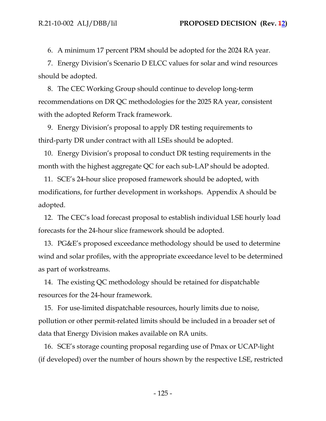6. A minimum 17 percent PRM should be adopted for the 2024 RA year.

7. Energy Division's Scenario D ELCC values for solar and wind resources should be adopted.

8. The CEC Working Group should continue to develop long-term recommendations on DR QC methodologies for the 2025 RA year, consistent with the adopted Reform Track framework.

9. Energy Division's proposal to apply DR testing requirements to third-party DR under contract with all LSEs should be adopted.

10. Energy Division's proposal to conduct DR testing requirements in the month with the highest aggregate QC for each sub-LAP should be adopted.

11. SCE's 24-hour slice proposed framework should be adopted, with modifications, for further development in workshops. Appendix A should be adopted.

12. The CEC's load forecast proposal to establish individual LSE hourly load forecasts for the 24-hour slice framework should be adopted.

13. PG&E's proposed exceedance methodology should be used to determine wind and solar profiles, with the appropriate exceedance level to be determined as part of workstreams.

14. The existing QC methodology should be retained for dispatchable resources for the 24-hour framework.

15. For use-limited dispatchable resources, hourly limits due to noise, pollution or other permit-related limits should be included in a broader set of data that Energy Division makes available on RA units.

16. SCE's storage counting proposal regarding use of Pmax or UCAP-light (if developed) over the number of hours shown by the respective LSE, restricted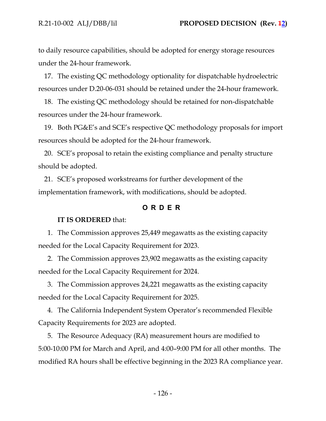to daily resource capabilities, should be adopted for energy storage resources under the 24-hour framework.

17. The existing QC methodology optionality for dispatchable hydroelectric resources under D.20-06-031 should be retained under the 24-hour framework.

18. The existing QC methodology should be retained for non-dispatchable resources under the 24-hour framework.

19. Both PG&E's and SCE's respective QC methodology proposals for import resources should be adopted for the 24-hour framework.

20. SCE's proposal to retain the existing compliance and penalty structure should be adopted.

21. SCE's proposed workstreams for further development of the implementation framework, with modifications, should be adopted.

## **O R D E R**

#### **IT IS ORDERED** that:

1. The Commission approves 25,449 megawatts as the existing capacity needed for the Local Capacity Requirement for 2023.

2. The Commission approves 23,902 megawatts as the existing capacity needed for the Local Capacity Requirement for 2024.

3. The Commission approves 24,221 megawatts as the existing capacity needed for the Local Capacity Requirement for 2025.

4. The California Independent System Operator's recommended Flexible Capacity Requirements for 2023 are adopted.

5. The Resource Adequacy (RA) measurement hours are modified to 5:00-10:00 PM for March and April, and 4:00–9:00 PM for all other months. The modified RA hours shall be effective beginning in the 2023 RA compliance year.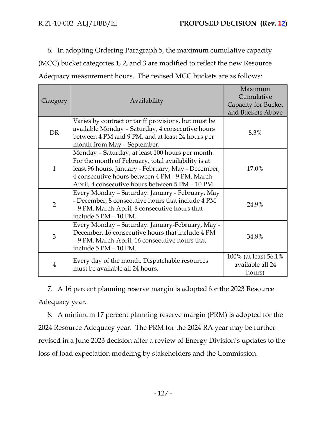6. In adopting Ordering Paragraph 5, the maximum cumulative capacity (MCC) bucket categories 1, 2, and 3 are modified to reflect the new Resource Adequacy measurement hours. The revised MCC buckets are as follows:

| Category       | Availability                                                                      | Maximum               |
|----------------|-----------------------------------------------------------------------------------|-----------------------|
|                |                                                                                   | Cumulative            |
|                |                                                                                   | Capacity for Bucket   |
|                |                                                                                   | and Buckets Above     |
| <b>DR</b>      | Varies by contract or tariff provisions, but must be                              | 8.3%                  |
|                | available Monday - Saturday, 4 consecutive hours                                  |                       |
|                | between 4 PM and 9 PM, and at least 24 hours per                                  |                       |
|                | month from May - September.                                                       |                       |
| $\mathbf{1}$   | Monday - Saturday, at least 100 hours per month.                                  | 17.0%                 |
|                | For the month of February, total availability is at                               |                       |
|                | least 96 hours. January - February, May - December,                               |                       |
|                | 4 consecutive hours between 4 PM - 9 PM. March -                                  |                       |
|                | April, 4 consecutive hours between 5 PM - 10 PM.                                  |                       |
| $\overline{2}$ | Every Monday - Saturday. January - February, May                                  | 24.9%                 |
|                | - December, 8 consecutive hours that include 4 PM                                 |                       |
|                | - 9 PM. March-April, 8 consecutive hours that                                     |                       |
|                | include 5 PM - 10 PM.                                                             |                       |
| 3              | Every Monday - Saturday. January-February, May -                                  | 34.8%                 |
|                | December, 16 consecutive hours that include 4 PM                                  |                       |
|                | - 9 PM. March-April, 16 consecutive hours that                                    |                       |
|                | include 5 PM - 10 PM.                                                             |                       |
| $\overline{4}$ | Every day of the month. Dispatchable resources<br>must be available all 24 hours. | 100% (at least 56.1%) |
|                |                                                                                   | available all 24      |
|                |                                                                                   | hours)                |

7. A 16 percent planning reserve margin is adopted for the 2023 Resource Adequacy year.

8. A minimum 17 percent planning reserve margin (PRM) is adopted for the 2024 Resource Adequacy year. The PRM for the 2024 RA year may be further revised in a June 2023 decision after a review of Energy Division's updates to the loss of load expectation modeling by stakeholders and the Commission.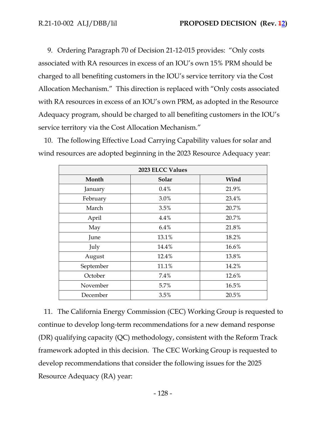9. Ordering Paragraph 70 of Decision 21-12-015 provides: "Only costs associated with RA resources in excess of an IOU's own 15% PRM should be charged to all benefiting customers in the IOU's service territory via the Cost Allocation Mechanism." This direction is replaced with "Only costs associated with RA resources in excess of an IOU's own PRM, as adopted in the Resource Adequacy program, should be charged to all benefiting customers in the IOU's service territory via the Cost Allocation Mechanism."

10. The following Effective Load Carrying Capability values for solar and wind resources are adopted beginning in the 2023 Resource Adequacy year:

| 2023 ELCC Values |       |       |  |  |
|------------------|-------|-------|--|--|
| Month            | Solar | Wind  |  |  |
| January          | 0.4%  | 21.9% |  |  |
| February         | 3.0%  | 23.4% |  |  |
| March            | 3.5%  | 20.7% |  |  |
| April            | 4.4%  | 20.7% |  |  |
| May              | 6.4%  | 21.8% |  |  |
| June             | 13.1% | 18.2% |  |  |
| July             | 14.4% | 16.6% |  |  |
| August           | 12.4% | 13.8% |  |  |
| September        | 11.1% | 14.2% |  |  |
| October          | 7.4%  | 12.6% |  |  |
| November         | 5.7%  | 16.5% |  |  |
| December         | 3.5%  | 20.5% |  |  |

11. The California Energy Commission (CEC) Working Group is requested to continue to develop long-term recommendations for a new demand response (DR) qualifying capacity (QC) methodology, consistent with the Reform Track framework adopted in this decision. The CEC Working Group is requested to develop recommendations that consider the following issues for the 2025 Resource Adequacy (RA) year: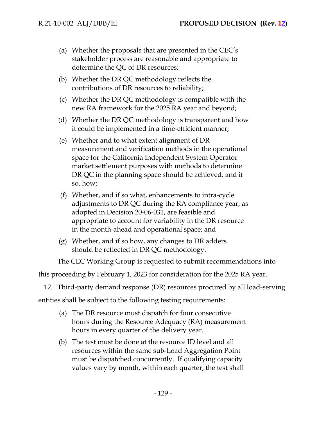- (a) Whether the proposals that are presented in the CEC's stakeholder process are reasonable and appropriate to determine the QC of DR resources;
- (b) Whether the DR QC methodology reflects the contributions of DR resources to reliability;
- (c) Whether the DR QC methodology is compatible with the new RA framework for the 2025 RA year and beyond;
- (d) Whether the DR QC methodology is transparent and how it could be implemented in a time-efficient manner;
- (e) Whether and to what extent alignment of DR measurement and verification methods in the operational space for the California Independent System Operator market settlement purposes with methods to determine DR QC in the planning space should be achieved, and if so, how;
- (f) Whether, and if so what, enhancements to intra-cycle adjustments to DR QC during the RA compliance year, as adopted in Decision 20-06-031, are feasible and appropriate to account for variability in the DR resource in the month-ahead and operational space; and
- (g) Whether, and if so how, any changes to DR adders should be reflected in DR QC methodology.

The CEC Working Group is requested to submit recommendations into

this proceeding by February 1, 2023 for consideration for the 2025 RA year.

12. Third-party demand response (DR) resources procured by all load-serving

entities shall be subject to the following testing requirements:

- (a) The DR resource must dispatch for four consecutive hours during the Resource Adequacy (RA) measurement hours in every quarter of the delivery year.
- (b) The test must be done at the resource ID level and all resources within the same sub-Load Aggregation Point must be dispatched concurrently. If qualifying capacity values vary by month, within each quarter, the test shall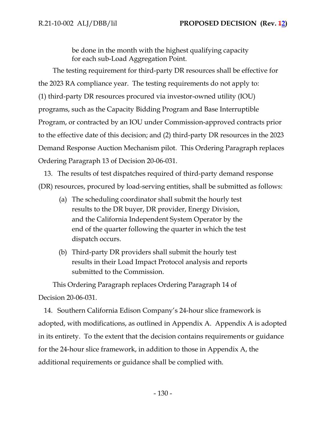be done in the month with the highest qualifying capacity for each sub-Load Aggregation Point.

The testing requirement for third-party DR resources shall be effective for the 2023 RA compliance year. The testing requirements do not apply to: (1) third-party DR resources procured via investor-owned utility (IOU) programs, such as the Capacity Bidding Program and Base Interruptible Program, or contracted by an IOU under Commission-approved contracts prior to the effective date of this decision; and (2) third-party DR resources in the 2023 Demand Response Auction Mechanism pilot. This Ordering Paragraph replaces Ordering Paragraph 13 of Decision 20-06-031.

13. The results of test dispatches required of third-party demand response (DR) resources, procured by load-serving entities, shall be submitted as follows:

- (a) The scheduling coordinator shall submit the hourly test results to the DR buyer, DR provider, Energy Division, and the California Independent System Operator by the end of the quarter following the quarter in which the test dispatch occurs.
- (b) Third-party DR providers shall submit the hourly test results in their Load Impact Protocol analysis and reports submitted to the Commission.

This Ordering Paragraph replaces Ordering Paragraph 14 of Decision 20-06-031.

14. Southern California Edison Company's 24-hour slice framework is adopted, with modifications, as outlined in Appendix A. Appendix A is adopted in its entirety. To the extent that the decision contains requirements or guidance for the 24-hour slice framework, in addition to those in Appendix A, the additional requirements or guidance shall be complied with.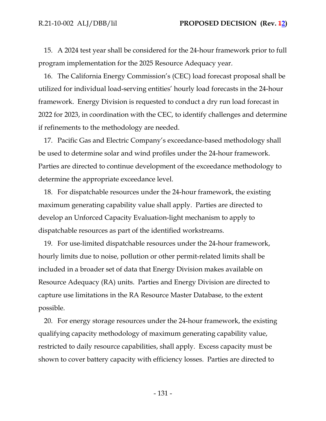15. A 2024 test year shall be considered for the 24-hour framework prior to full program implementation for the 2025 Resource Adequacy year.

16. The California Energy Commission's (CEC) load forecast proposal shall be utilized for individual load-serving entities' hourly load forecasts in the 24-hour framework. Energy Division is requested to conduct a dry run load forecast in 2022 for 2023, in coordination with the CEC, to identify challenges and determine if refinements to the methodology are needed.

17. Pacific Gas and Electric Company's exceedance-based methodology shall be used to determine solar and wind profiles under the 24-hour framework. Parties are directed to continue development of the exceedance methodology to determine the appropriate exceedance level.

18. For dispatchable resources under the 24-hour framework, the existing maximum generating capability value shall apply. Parties are directed to develop an Unforced Capacity Evaluation-light mechanism to apply to dispatchable resources as part of the identified workstreams.

19. For use-limited dispatchable resources under the 24-hour framework, hourly limits due to noise, pollution or other permit-related limits shall be included in a broader set of data that Energy Division makes available on Resource Adequacy (RA) units. Parties and Energy Division are directed to capture use limitations in the RA Resource Master Database, to the extent possible.

20. For energy storage resources under the 24-hour framework, the existing qualifying capacity methodology of maximum generating capability value, restricted to daily resource capabilities, shall apply. Excess capacity must be shown to cover battery capacity with efficiency losses. Parties are directed to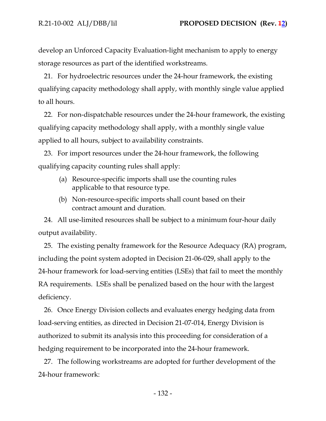develop an Unforced Capacity Evaluation-light mechanism to apply to energy storage resources as part of the identified workstreams.

21. For hydroelectric resources under the 24-hour framework, the existing qualifying capacity methodology shall apply, with monthly single value applied to all hours.

22. For non-dispatchable resources under the 24-hour framework, the existing qualifying capacity methodology shall apply, with a monthly single value applied to all hours, subject to availability constraints.

23. For import resources under the 24-hour framework, the following qualifying capacity counting rules shall apply:

- (a) Resource-specific imports shall use the counting rules applicable to that resource type.
- (b) Non-resource-specific imports shall count based on their contract amount and duration.

24. All use-limited resources shall be subject to a minimum four-hour daily output availability.

25. The existing penalty framework for the Resource Adequacy (RA) program, including the point system adopted in Decision 21-06-029, shall apply to the 24-hour framework for load-serving entities (LSEs) that fail to meet the monthly RA requirements. LSEs shall be penalized based on the hour with the largest deficiency.

26. Once Energy Division collects and evaluates energy hedging data from load-serving entities, as directed in Decision 21-07-014, Energy Division is authorized to submit its analysis into this proceeding for consideration of a hedging requirement to be incorporated into the 24-hour framework.

27. The following workstreams are adopted for further development of the 24-hour framework: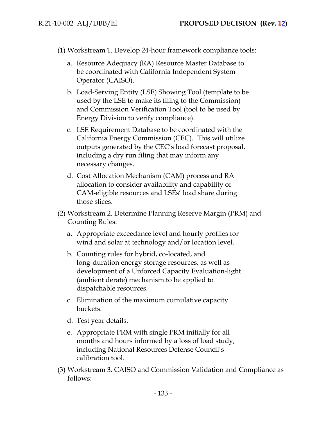(1) Workstream 1. Develop 24-hour framework compliance tools:

- a. Resource Adequacy (RA) Resource Master Database to be coordinated with California Independent System Operator (CAISO).
- b. Load-Serving Entity (LSE) Showing Tool (template to be used by the LSE to make its filing to the Commission) and Commission Verification Tool (tool to be used by Energy Division to verify compliance).
- c. LSE Requirement Database to be coordinated with the California Energy Commission (CEC). This will utilize outputs generated by the CEC's load forecast proposal, including a dry run filing that may inform any necessary changes.
- d. Cost Allocation Mechanism (CAM) process and RA allocation to consider availability and capability of CAM-eligible resources and LSEs' load share during those slices.
- (2) Workstream 2. Determine Planning Reserve Margin (PRM) and Counting Rules:
	- a. Appropriate exceedance level and hourly profiles for wind and solar at technology and/or location level.
	- b. Counting rules for hybrid, co-located, and long-duration energy storage resources, as well as development of a Unforced Capacity Evaluation-light (ambient derate) mechanism to be applied to dispatchable resources.
	- c. Elimination of the maximum cumulative capacity buckets.
	- d. Test year details.
	- e. Appropriate PRM with single PRM initially for all months and hours informed by a loss of load study, including National Resources Defense Council's calibration tool.
- (3) Workstream 3. CAISO and Commission Validation and Compliance as follows: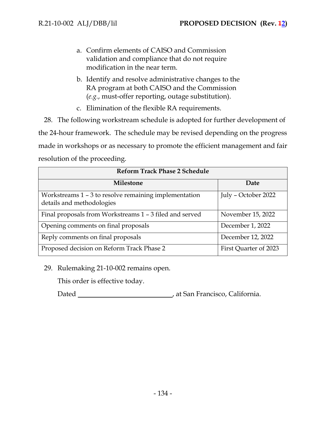- a. Confirm elements of CAISO and Commission validation and compliance that do not require modification in the near term.
- b. Identify and resolve administrative changes to the RA program at both CAISO and the Commission (*e.g.*, must-offer reporting, outage substitution).
- c. Elimination of the flexible RA requirements.

28. The following workstream schedule is adopted for further development of the 24-hour framework. The schedule may be revised depending on the progress made in workshops or as necessary to promote the efficient management and fair resolution of the proceeding.

| <b>Reform Track Phase 2 Schedule</b>                                               |                       |  |  |
|------------------------------------------------------------------------------------|-----------------------|--|--|
| Milestone                                                                          | Date                  |  |  |
| Workstreams 1 – 3 to resolve remaining implementation<br>details and methodologies | July - October 2022   |  |  |
| Final proposals from Workstreams 1 - 3 filed and served                            | November 15, 2022     |  |  |
| Opening comments on final proposals                                                | December 1, 2022      |  |  |
| Reply comments on final proposals                                                  | December 12, 2022     |  |  |
| Proposed decision on Reform Track Phase 2                                          | First Quarter of 2023 |  |  |

29. Rulemaking 21-10-002 remains open.

This order is effective today.

Dated **Material Contract Contract Contract Contract Contract Contract Contract Contract Contract Contract Contract Contract Contract Contract Contract Contract Contract Contract Contract Contract Contract Contract Contract**